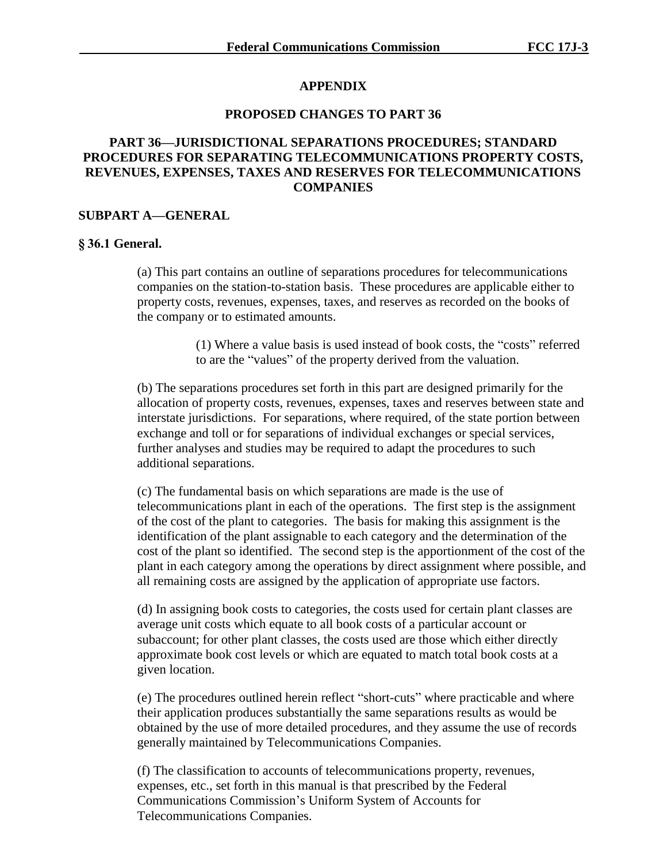## **APPENDIX**

## **PROPOSED CHANGES TO PART 36**

## **PART 36—JURISDICTIONAL SEPARATIONS PROCEDURES; STANDARD PROCEDURES FOR SEPARATING TELECOMMUNICATIONS PROPERTY COSTS, REVENUES, EXPENSES, TAXES AND RESERVES FOR TELECOMMUNICATIONS COMPANIES**

### **SUBPART A—GENERAL**

### **§ 36.1 General.**

(a) This part contains an outline of separations procedures for telecommunications companies on the station-to-station basis. These procedures are applicable either to property costs, revenues, expenses, taxes, and reserves as recorded on the books of the company or to estimated amounts.

> (1) Where a value basis is used instead of book costs, the "costs" referred to are the "values" of the property derived from the valuation.

(b) The separations procedures set forth in this part are designed primarily for the allocation of property costs, revenues, expenses, taxes and reserves between state and interstate jurisdictions. For separations, where required, of the state portion between exchange and toll or for separations of individual exchanges or special services, further analyses and studies may be required to adapt the procedures to such additional separations.

(c) The fundamental basis on which separations are made is the use of telecommunications plant in each of the operations. The first step is the assignment of the cost of the plant to categories. The basis for making this assignment is the identification of the plant assignable to each category and the determination of the cost of the plant so identified. The second step is the apportionment of the cost of the plant in each category among the operations by direct assignment where possible, and all remaining costs are assigned by the application of appropriate use factors.

(d) In assigning book costs to categories, the costs used for certain plant classes are average unit costs which equate to all book costs of a particular account or subaccount; for other plant classes, the costs used are those which either directly approximate book cost levels or which are equated to match total book costs at a given location.

(e) The procedures outlined herein reflect "short-cuts" where practicable and where their application produces substantially the same separations results as would be obtained by the use of more detailed procedures, and they assume the use of records generally maintained by Telecommunications Companies.

(f) The classification to accounts of telecommunications property, revenues, expenses, etc., set forth in this manual is that prescribed by the Federal Communications Commission's Uniform System of Accounts for Telecommunications Companies.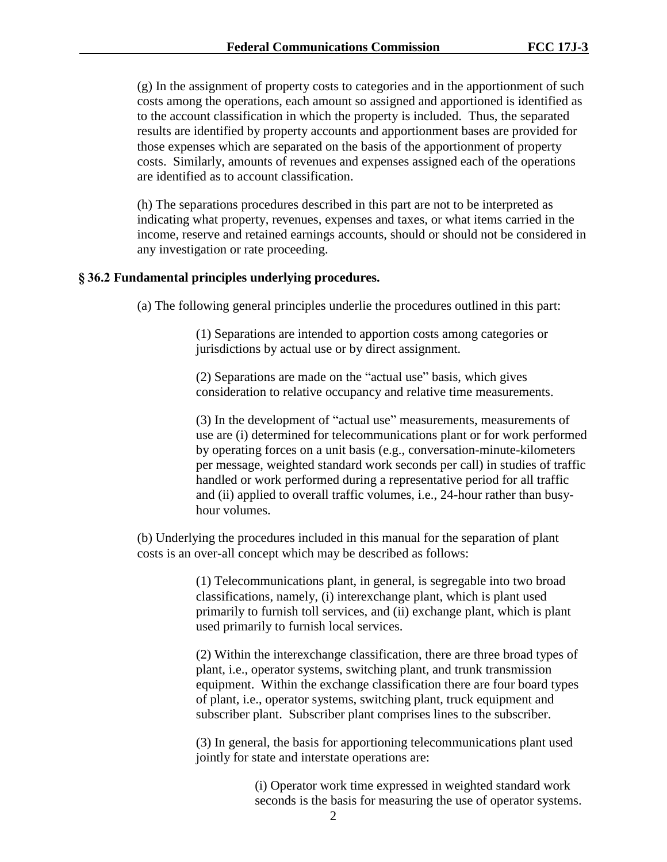(g) In the assignment of property costs to categories and in the apportionment of such costs among the operations, each amount so assigned and apportioned is identified as to the account classification in which the property is included. Thus, the separated results are identified by property accounts and apportionment bases are provided for those expenses which are separated on the basis of the apportionment of property costs. Similarly, amounts of revenues and expenses assigned each of the operations are identified as to account classification.

(h) The separations procedures described in this part are not to be interpreted as indicating what property, revenues, expenses and taxes, or what items carried in the income, reserve and retained earnings accounts, should or should not be considered in any investigation or rate proceeding.

### **§ 36.2 Fundamental principles underlying procedures.**

(a) The following general principles underlie the procedures outlined in this part:

(1) Separations are intended to apportion costs among categories or jurisdictions by actual use or by direct assignment.

(2) Separations are made on the "actual use" basis, which gives consideration to relative occupancy and relative time measurements.

(3) In the development of "actual use" measurements, measurements of use are (i) determined for telecommunications plant or for work performed by operating forces on a unit basis (e.g., conversation-minute-kilometers per message, weighted standard work seconds per call) in studies of traffic handled or work performed during a representative period for all traffic and (ii) applied to overall traffic volumes, i.e., 24-hour rather than busyhour volumes.

(b) Underlying the procedures included in this manual for the separation of plant costs is an over-all concept which may be described as follows:

> (1) Telecommunications plant, in general, is segregable into two broad classifications, namely, (i) interexchange plant, which is plant used primarily to furnish toll services, and (ii) exchange plant, which is plant used primarily to furnish local services.

(2) Within the interexchange classification, there are three broad types of plant, i.e., operator systems, switching plant, and trunk transmission equipment. Within the exchange classification there are four board types of plant, i.e., operator systems, switching plant, truck equipment and subscriber plant. Subscriber plant comprises lines to the subscriber.

(3) In general, the basis for apportioning telecommunications plant used jointly for state and interstate operations are:

> (i) Operator work time expressed in weighted standard work seconds is the basis for measuring the use of operator systems.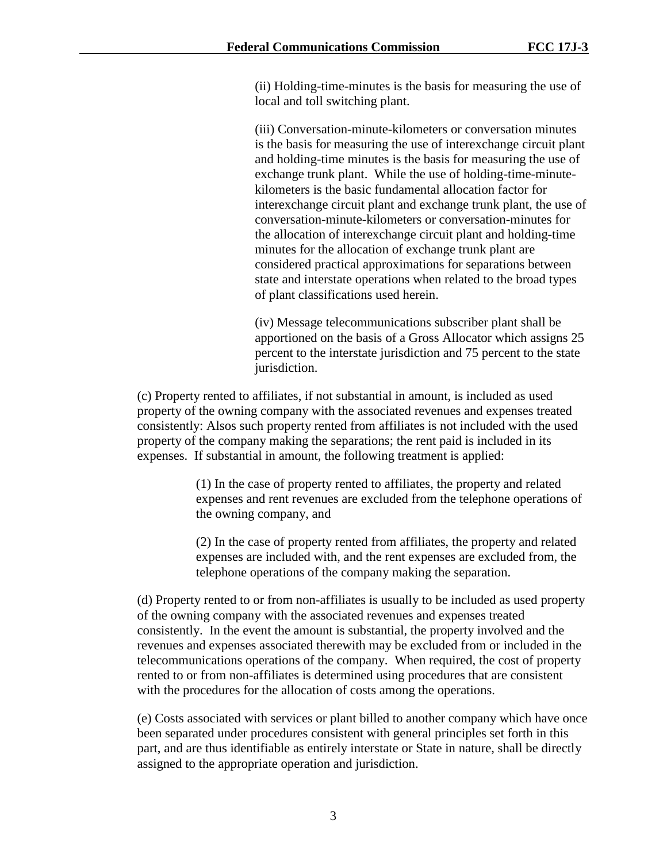(ii) Holding-time-minutes is the basis for measuring the use of local and toll switching plant.

(iii) Conversation-minute-kilometers or conversation minutes is the basis for measuring the use of interexchange circuit plant and holding-time minutes is the basis for measuring the use of exchange trunk plant. While the use of holding-time-minutekilometers is the basic fundamental allocation factor for interexchange circuit plant and exchange trunk plant, the use of conversation-minute-kilometers or conversation-minutes for the allocation of interexchange circuit plant and holding-time minutes for the allocation of exchange trunk plant are considered practical approximations for separations between state and interstate operations when related to the broad types of plant classifications used herein.

(iv) Message telecommunications subscriber plant shall be apportioned on the basis of a Gross Allocator which assigns 25 percent to the interstate jurisdiction and 75 percent to the state jurisdiction.

(c) Property rented to affiliates, if not substantial in amount, is included as used property of the owning company with the associated revenues and expenses treated consistently: Alsos such property rented from affiliates is not included with the used property of the company making the separations; the rent paid is included in its expenses. If substantial in amount, the following treatment is applied:

> (1) In the case of property rented to affiliates, the property and related expenses and rent revenues are excluded from the telephone operations of the owning company, and

(2) In the case of property rented from affiliates, the property and related expenses are included with, and the rent expenses are excluded from, the telephone operations of the company making the separation.

(d) Property rented to or from non-affiliates is usually to be included as used property of the owning company with the associated revenues and expenses treated consistently. In the event the amount is substantial, the property involved and the revenues and expenses associated therewith may be excluded from or included in the telecommunications operations of the company. When required, the cost of property rented to or from non-affiliates is determined using procedures that are consistent with the procedures for the allocation of costs among the operations.

(e) Costs associated with services or plant billed to another company which have once been separated under procedures consistent with general principles set forth in this part, and are thus identifiable as entirely interstate or State in nature, shall be directly assigned to the appropriate operation and jurisdiction.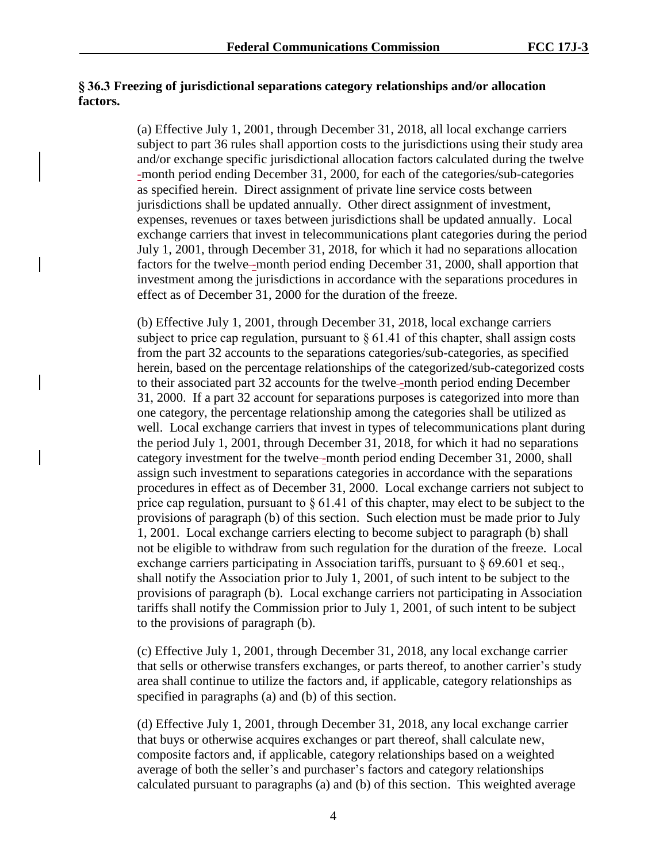## **§ 36.3 Freezing of jurisdictional separations category relationships and/or allocation factors.**

(a) Effective July 1, 2001, through December 31, 2018, all local exchange carriers subject to part 36 rules shall apportion costs to the jurisdictions using their study area and/or exchange specific jurisdictional allocation factors calculated during the twelve -month period ending December 31, 2000, for each of the categories/sub-categories as specified herein. Direct assignment of private line service costs between jurisdictions shall be updated annually. Other direct assignment of investment, expenses, revenues or taxes between jurisdictions shall be updated annually. Local exchange carriers that invest in telecommunications plant categories during the period July 1, 2001, through December 31, 2018, for which it had no separations allocation factors for the twelve--month period ending December 31, 2000, shall apportion that investment among the jurisdictions in accordance with the separations procedures in effect as of December 31, 2000 for the duration of the freeze.

(b) Effective July 1, 2001, through December 31, 2018, local exchange carriers subject to price cap regulation, pursuant to  $\S 61.41$  of this chapter, shall assign costs from the part 32 accounts to the separations categories/sub-categories, as specified herein, based on the percentage relationships of the categorized/sub-categorized costs to their associated part 32 accounts for the twelve -month period ending December 31, 2000. If a part 32 account for separations purposes is categorized into more than one category, the percentage relationship among the categories shall be utilized as well. Local exchange carriers that invest in types of telecommunications plant during the period July 1, 2001, through December 31, 2018, for which it had no separations category investment for the twelve--month period ending December 31, 2000, shall assign such investment to separations categories in accordance with the separations procedures in effect as of December 31, 2000. Local exchange carriers not subject to price cap regulation, pursuant to § 61.41 of this chapter, may elect to be subject to the provisions of paragraph (b) of this section. Such election must be made prior to July 1, 2001. Local exchange carriers electing to become subject to paragraph (b) shall not be eligible to withdraw from such regulation for the duration of the freeze. Local exchange carriers participating in Association tariffs, pursuant to § 69.601 et seq., shall notify the Association prior to July 1, 2001, of such intent to be subject to the provisions of paragraph (b). Local exchange carriers not participating in Association tariffs shall notify the Commission prior to July 1, 2001, of such intent to be subject to the provisions of paragraph (b).

(c) Effective July 1, 2001, through December 31, 2018, any local exchange carrier that sells or otherwise transfers exchanges, or parts thereof, to another carrier's study area shall continue to utilize the factors and, if applicable, category relationships as specified in paragraphs (a) and (b) of this section.

(d) Effective July 1, 2001, through December 31, 2018, any local exchange carrier that buys or otherwise acquires exchanges or part thereof, shall calculate new, composite factors and, if applicable, category relationships based on a weighted average of both the seller's and purchaser's factors and category relationships calculated pursuant to paragraphs (a) and (b) of this section. This weighted average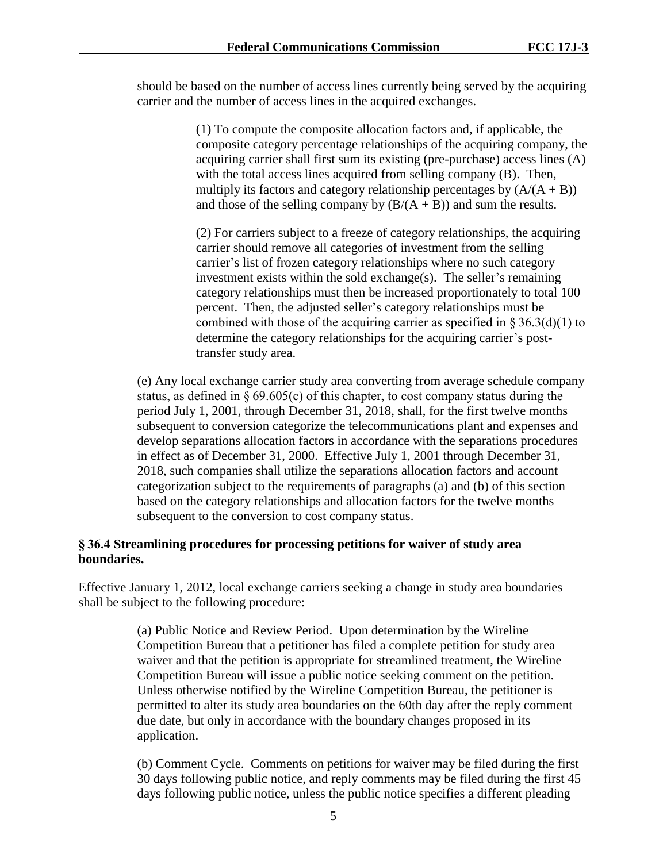should be based on the number of access lines currently being served by the acquiring carrier and the number of access lines in the acquired exchanges.

> (1) To compute the composite allocation factors and, if applicable, the composite category percentage relationships of the acquiring company, the acquiring carrier shall first sum its existing (pre-purchase) access lines (A) with the total access lines acquired from selling company (B). Then, multiply its factors and category relationship percentages by  $(A/(A + B))$ and those of the selling company by  $(B/(A + B))$  and sum the results.

> (2) For carriers subject to a freeze of category relationships, the acquiring carrier should remove all categories of investment from the selling carrier's list of frozen category relationships where no such category investment exists within the sold exchange(s). The seller's remaining category relationships must then be increased proportionately to total 100 percent. Then, the adjusted seller's category relationships must be combined with those of the acquiring carrier as specified in  $\S 36.3(d)(1)$  to determine the category relationships for the acquiring carrier's posttransfer study area.

(e) Any local exchange carrier study area converting from average schedule company status, as defined in  $\S 69.605(c)$  of this chapter, to cost company status during the period July 1, 2001, through December 31, 2018, shall, for the first twelve months subsequent to conversion categorize the telecommunications plant and expenses and develop separations allocation factors in accordance with the separations procedures in effect as of December 31, 2000. Effective July 1, 2001 through December 31, 2018, such companies shall utilize the separations allocation factors and account categorization subject to the requirements of paragraphs (a) and (b) of this section based on the category relationships and allocation factors for the twelve months subsequent to the conversion to cost company status.

## **§ 36.4 Streamlining procedures for processing petitions for waiver of study area boundaries.**

Effective January 1, 2012, local exchange carriers seeking a change in study area boundaries shall be subject to the following procedure:

> (a) Public Notice and Review Period. Upon determination by the Wireline Competition Bureau that a petitioner has filed a complete petition for study area waiver and that the petition is appropriate for streamlined treatment, the Wireline Competition Bureau will issue a public notice seeking comment on the petition. Unless otherwise notified by the Wireline Competition Bureau, the petitioner is permitted to alter its study area boundaries on the 60th day after the reply comment due date, but only in accordance with the boundary changes proposed in its application.

(b) Comment Cycle. Comments on petitions for waiver may be filed during the first 30 days following public notice, and reply comments may be filed during the first 45 days following public notice, unless the public notice specifies a different pleading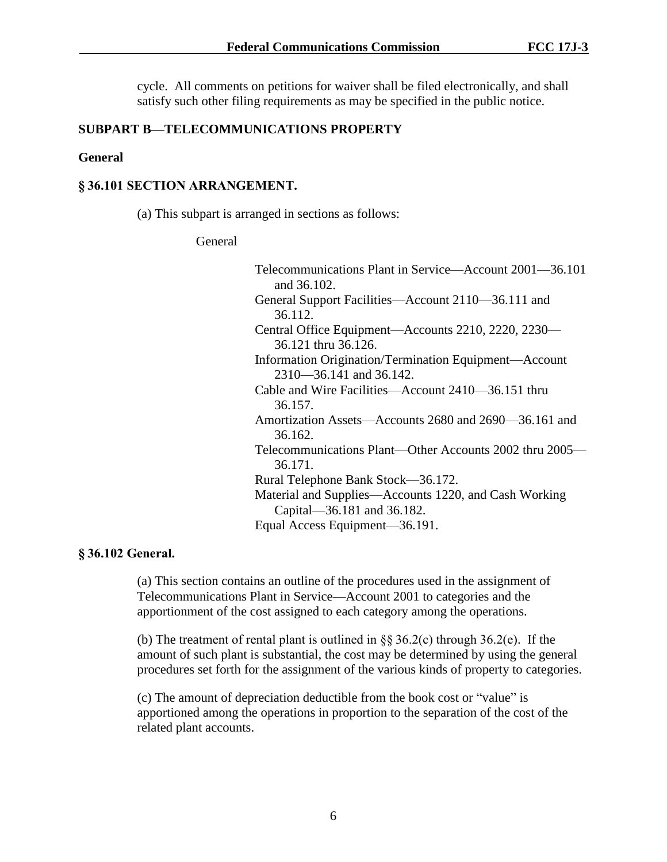cycle. All comments on petitions for waiver shall be filed electronically, and shall satisfy such other filing requirements as may be specified in the public notice.

### **SUBPART B—TELECOMMUNICATIONS PROPERTY**

### **General**

### **§ 36.101 SECTION ARRANGEMENT.**

(a) This subpart is arranged in sections as follows:

### General

| Telecommunications Plant in Service—Account 2001—36.101 |
|---------------------------------------------------------|
| and 36.102.                                             |
| General Support Facilities—Account 2110—36.111 and      |
| 36.112.                                                 |
| Central Office Equipment—Accounts 2210, 2220, 2230—     |
| 36.121 thru 36.126.                                     |
| Information Origination/Termination Equipment—Account   |
| $2310 - 36.141$ and 36.142.                             |
| Cable and Wire Facilities—Account 2410—36.151 thru      |
| 36.157.                                                 |
| Amortization Assets—Accounts 2680 and 2690—36.161 and   |
| 36.162.                                                 |
| Telecommunications Plant—Other Accounts 2002 thru 2005– |
| 36.171.                                                 |
| Rural Telephone Bank Stock—36.172.                      |
| Material and Supplies—Accounts 1220, and Cash Working   |
| Capital-36.181 and 36.182.                              |
| Equal Access Equipment—36.191.                          |

## **§ 36.102 General.**

(a) This section contains an outline of the procedures used in the assignment of Telecommunications Plant in Service—Account 2001 to categories and the apportionment of the cost assigned to each category among the operations.

(b) The treatment of rental plant is outlined in  $\S$ § 36.2(c) through 36.2(e). If the amount of such plant is substantial, the cost may be determined by using the general procedures set forth for the assignment of the various kinds of property to categories.

(c) The amount of depreciation deductible from the book cost or "value" is apportioned among the operations in proportion to the separation of the cost of the related plant accounts.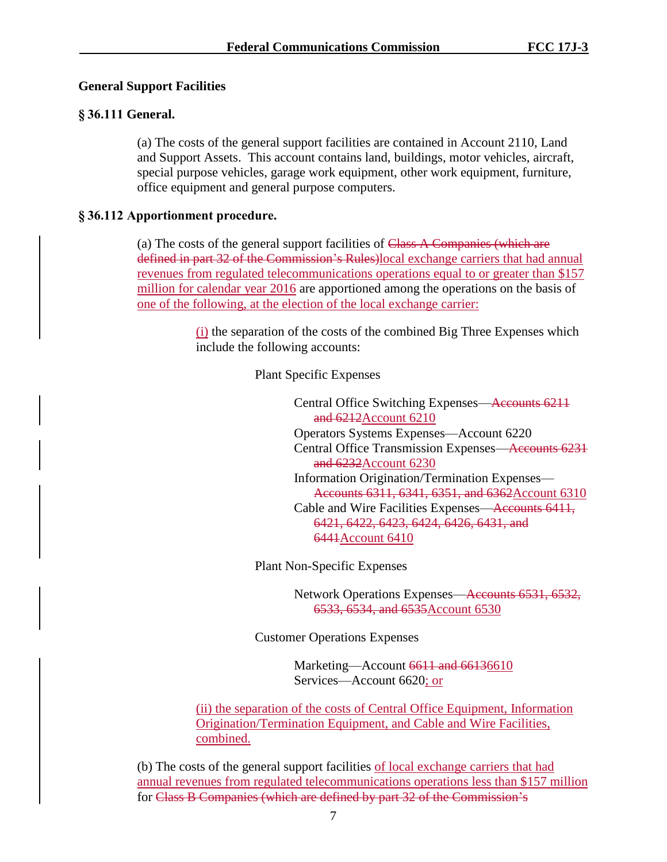## **General Support Facilities**

## **§ 36.111 General.**

(a) The costs of the general support facilities are contained in Account 2110, Land and Support Assets. This account contains land, buildings, motor vehicles, aircraft, special purpose vehicles, garage work equipment, other work equipment, furniture, office equipment and general purpose computers.

## **§ 36.112 Apportionment procedure.**

(a) The costs of the general support facilities of  $C$ lass A Companies (which are defined in part 32 of the Commission's Rules)local exchange carriers that had annual revenues from regulated telecommunications operations equal to or greater than \$157 million for calendar year 2016 are apportioned among the operations on the basis of one of the following, at the election of the local exchange carrier:

> (i) the separation of the costs of the combined Big Three Expenses which include the following accounts:

> > Plant Specific Expenses

Central Office Switching Expenses—Accounts 6211 and 6212Account 6210 Operators Systems Expenses—Account 6220 Central Office Transmission Expenses—Accounts 6231 and 6232Account 6230 Information Origination/Termination Expenses— Accounts 6311, 6341, 6351, and 6362Account 6310 Cable and Wire Facilities Expenses—Accounts 6411, 6421, 6422, 6423, 6424, 6426, 6431, and 6441Account 6410

Plant Non-Specific Expenses

Network Operations Expenses—Accounts 6531, 6532, 6533, 6534, and 6535Account 6530

Customer Operations Expenses

Marketing—Account 6611 and 66136610 Services—Account 6620; or

(ii) the separation of the costs of Central Office Equipment, Information Origination/Termination Equipment, and Cable and Wire Facilities, combined.

(b) The costs of the general support facilities of local exchange carriers that had annual revenues from regulated telecommunications operations less than \$157 million for Class B Companies (which are defined by part 32 of the Commission's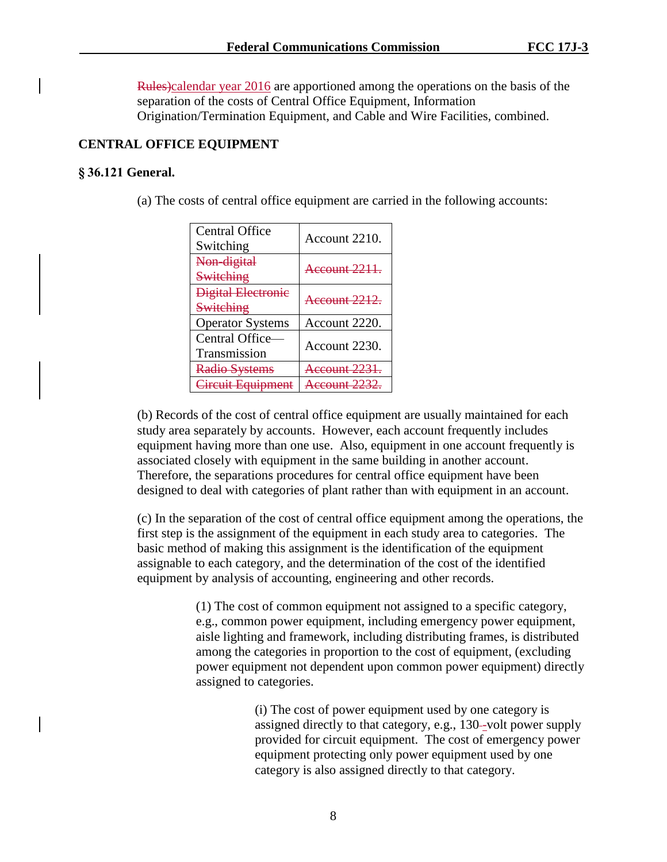Rules)calendar year 2016 are apportioned among the operations on the basis of the separation of the costs of Central Office Equipment, Information Origination/Termination Equipment, and Cable and Wire Facilities, combined.

# **CENTRAL OFFICE EQUIPMENT**

## **§ 36.121 General.**

(a) The costs of central office equipment are carried in the following accounts:

| Central Office<br>Switching     | Account 2210.       |
|---------------------------------|---------------------|
| Non-digital<br>Switching        | Account 2211.       |
| Digital Electronic<br>Switching | Account 2212.       |
| <b>Operator Systems</b>         | Account 2220.       |
| Central Office-<br>Transmission | Account 2230.       |
| Radio Systems                   | $c$ $c$ $n$ $n$ $t$ |
| $E_{\rm{cumpn}}$                |                     |

(b) Records of the cost of central office equipment are usually maintained for each study area separately by accounts. However, each account frequently includes equipment having more than one use. Also, equipment in one account frequently is associated closely with equipment in the same building in another account. Therefore, the separations procedures for central office equipment have been designed to deal with categories of plant rather than with equipment in an account.

(c) In the separation of the cost of central office equipment among the operations, the first step is the assignment of the equipment in each study area to categories. The basic method of making this assignment is the identification of the equipment assignable to each category, and the determination of the cost of the identified equipment by analysis of accounting, engineering and other records.

> (1) The cost of common equipment not assigned to a specific category, e.g., common power equipment, including emergency power equipment, aisle lighting and framework, including distributing frames, is distributed among the categories in proportion to the cost of equipment, (excluding power equipment not dependent upon common power equipment) directly assigned to categories.

> > (i) The cost of power equipment used by one category is assigned directly to that category, e.g., 130-volt power supply provided for circuit equipment. The cost of emergency power equipment protecting only power equipment used by one category is also assigned directly to that category.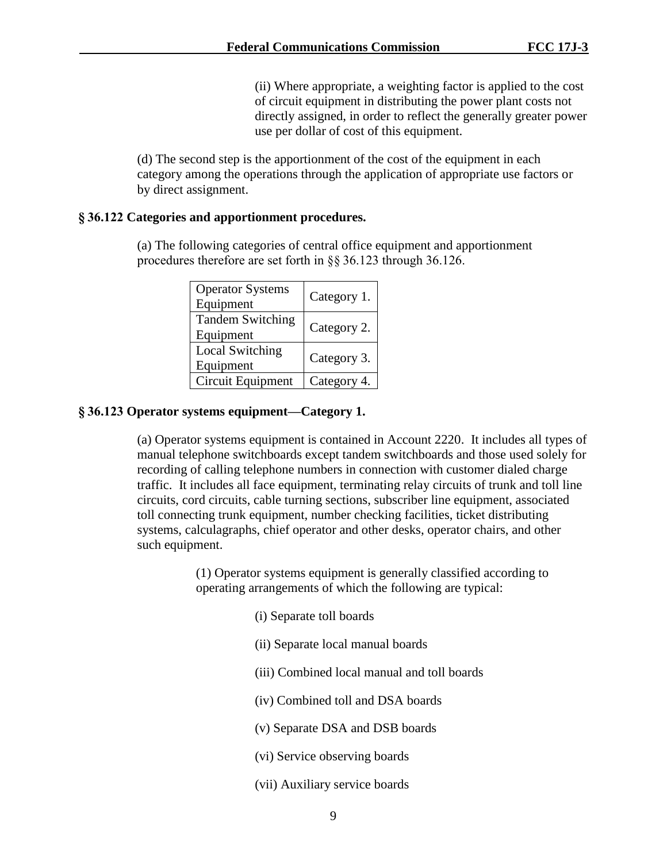(ii) Where appropriate, a weighting factor is applied to the cost of circuit equipment in distributing the power plant costs not directly assigned, in order to reflect the generally greater power use per dollar of cost of this equipment.

(d) The second step is the apportionment of the cost of the equipment in each category among the operations through the application of appropriate use factors or by direct assignment.

### **§ 36.122 Categories and apportionment procedures.**

(a) The following categories of central office equipment and apportionment procedures therefore are set forth in §§ 36.123 through 36.126.

| <b>Operator Systems</b><br>Equipment | Category 1. |
|--------------------------------------|-------------|
| <b>Tandem Switching</b><br>Equipment | Category 2. |
| <b>Local Switching</b><br>Equipment  | Category 3. |
| Circuit Equipment                    | Category 4. |

### **§ 36.123 Operator systems equipment—Category 1.**

(a) Operator systems equipment is contained in Account 2220. It includes all types of manual telephone switchboards except tandem switchboards and those used solely for recording of calling telephone numbers in connection with customer dialed charge traffic. It includes all face equipment, terminating relay circuits of trunk and toll line circuits, cord circuits, cable turning sections, subscriber line equipment, associated toll connecting trunk equipment, number checking facilities, ticket distributing systems, calculagraphs, chief operator and other desks, operator chairs, and other such equipment.

> (1) Operator systems equipment is generally classified according to operating arrangements of which the following are typical:

- (i) Separate toll boards
- (ii) Separate local manual boards
- (iii) Combined local manual and toll boards
- (iv) Combined toll and DSA boards
- (v) Separate DSA and DSB boards
- (vi) Service observing boards
- (vii) Auxiliary service boards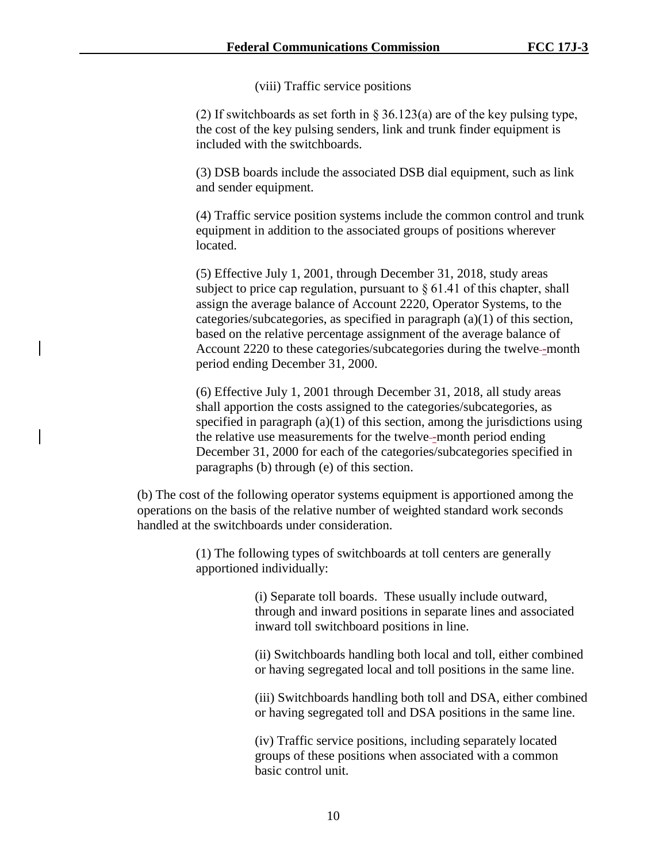(viii) Traffic service positions

(2) If switchboards as set forth in § 36.123(a) are of the key pulsing type, the cost of the key pulsing senders, link and trunk finder equipment is included with the switchboards.

(3) DSB boards include the associated DSB dial equipment, such as link and sender equipment.

(4) Traffic service position systems include the common control and trunk equipment in addition to the associated groups of positions wherever located.

(5) Effective July 1, 2001, through December 31, 2018, study areas subject to price cap regulation, pursuant to  $\S 61.41$  of this chapter, shall assign the average balance of Account 2220, Operator Systems, to the categories/subcategories, as specified in paragraph (a)(1) of this section, based on the relative percentage assignment of the average balance of Account 2220 to these categories/subcategories during the twelve-month period ending December 31, 2000.

(6) Effective July 1, 2001 through December 31, 2018, all study areas shall apportion the costs assigned to the categories/subcategories, as specified in paragraph  $(a)(1)$  of this section, among the jurisdictions using the relative use measurements for the twelve--month period ending December 31, 2000 for each of the categories/subcategories specified in paragraphs (b) through (e) of this section.

(b) The cost of the following operator systems equipment is apportioned among the operations on the basis of the relative number of weighted standard work seconds handled at the switchboards under consideration.

> (1) The following types of switchboards at toll centers are generally apportioned individually:

> > (i) Separate toll boards. These usually include outward, through and inward positions in separate lines and associated inward toll switchboard positions in line.

(ii) Switchboards handling both local and toll, either combined or having segregated local and toll positions in the same line.

(iii) Switchboards handling both toll and DSA, either combined or having segregated toll and DSA positions in the same line.

(iv) Traffic service positions, including separately located groups of these positions when associated with a common basic control unit.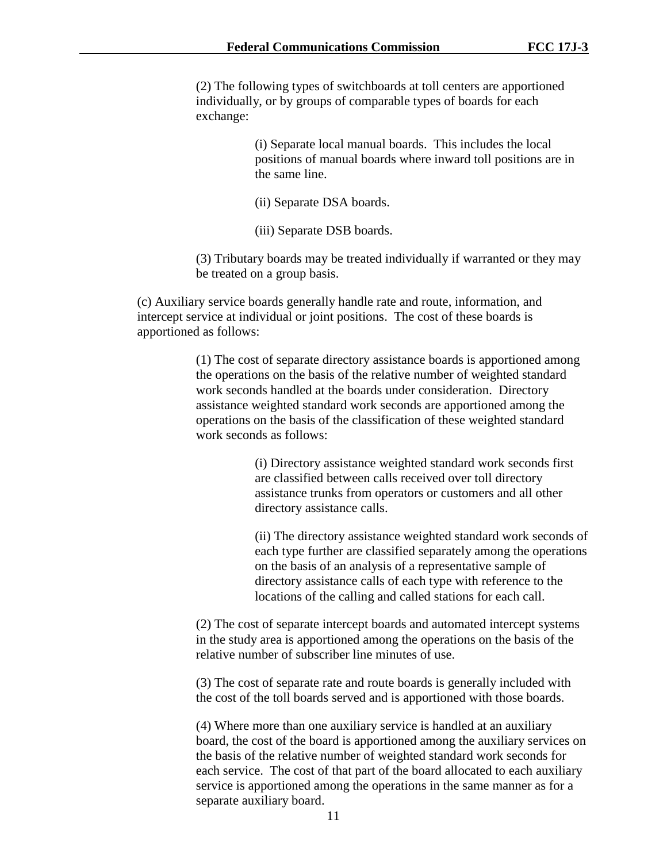(2) The following types of switchboards at toll centers are apportioned individually, or by groups of comparable types of boards for each exchange:

> (i) Separate local manual boards. This includes the local positions of manual boards where inward toll positions are in the same line.

(ii) Separate DSA boards.

(iii) Separate DSB boards.

(3) Tributary boards may be treated individually if warranted or they may be treated on a group basis.

(c) Auxiliary service boards generally handle rate and route, information, and intercept service at individual or joint positions. The cost of these boards is apportioned as follows:

> (1) The cost of separate directory assistance boards is apportioned among the operations on the basis of the relative number of weighted standard work seconds handled at the boards under consideration. Directory assistance weighted standard work seconds are apportioned among the operations on the basis of the classification of these weighted standard work seconds as follows:

> > (i) Directory assistance weighted standard work seconds first are classified between calls received over toll directory assistance trunks from operators or customers and all other directory assistance calls.

(ii) The directory assistance weighted standard work seconds of each type further are classified separately among the operations on the basis of an analysis of a representative sample of directory assistance calls of each type with reference to the locations of the calling and called stations for each call.

(2) The cost of separate intercept boards and automated intercept systems in the study area is apportioned among the operations on the basis of the relative number of subscriber line minutes of use.

(3) The cost of separate rate and route boards is generally included with the cost of the toll boards served and is apportioned with those boards.

(4) Where more than one auxiliary service is handled at an auxiliary board, the cost of the board is apportioned among the auxiliary services on the basis of the relative number of weighted standard work seconds for each service. The cost of that part of the board allocated to each auxiliary service is apportioned among the operations in the same manner as for a separate auxiliary board.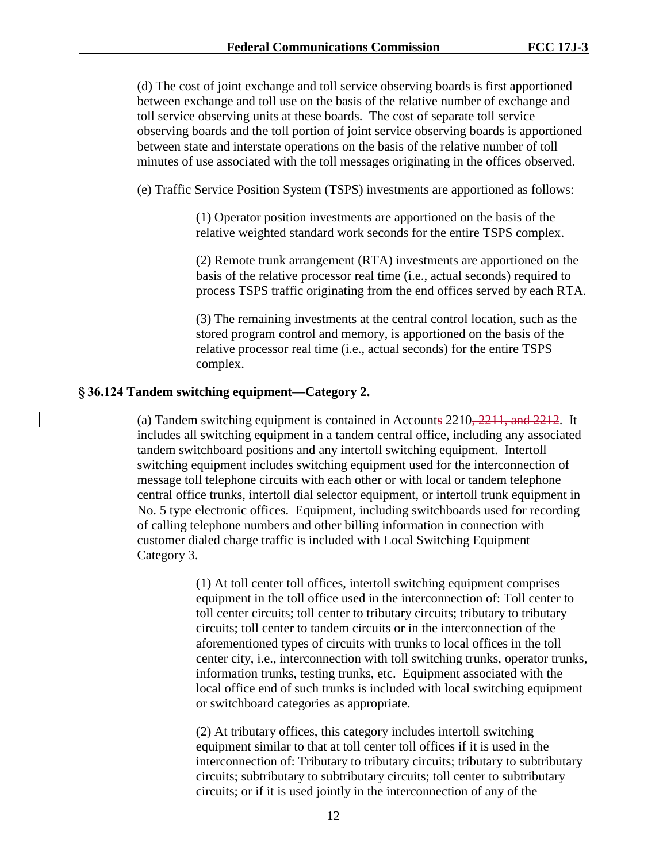(d) The cost of joint exchange and toll service observing boards is first apportioned between exchange and toll use on the basis of the relative number of exchange and toll service observing units at these boards. The cost of separate toll service observing boards and the toll portion of joint service observing boards is apportioned between state and interstate operations on the basis of the relative number of toll minutes of use associated with the toll messages originating in the offices observed.

(e) Traffic Service Position System (TSPS) investments are apportioned as follows:

(1) Operator position investments are apportioned on the basis of the relative weighted standard work seconds for the entire TSPS complex.

(2) Remote trunk arrangement (RTA) investments are apportioned on the basis of the relative processor real time (i.e., actual seconds) required to process TSPS traffic originating from the end offices served by each RTA.

(3) The remaining investments at the central control location, such as the stored program control and memory, is apportioned on the basis of the relative processor real time (i.e., actual seconds) for the entire TSPS complex.

### **§ 36.124 Tandem switching equipment—Category 2.**

(a) Tandem switching equipment is contained in Accounts  $2210, 2211,$  and  $2212$ . It includes all switching equipment in a tandem central office, including any associated tandem switchboard positions and any intertoll switching equipment. Intertoll switching equipment includes switching equipment used for the interconnection of message toll telephone circuits with each other or with local or tandem telephone central office trunks, intertoll dial selector equipment, or intertoll trunk equipment in No. 5 type electronic offices. Equipment, including switchboards used for recording of calling telephone numbers and other billing information in connection with customer dialed charge traffic is included with Local Switching Equipment— Category 3.

> (1) At toll center toll offices, intertoll switching equipment comprises equipment in the toll office used in the interconnection of: Toll center to toll center circuits; toll center to tributary circuits; tributary to tributary circuits; toll center to tandem circuits or in the interconnection of the aforementioned types of circuits with trunks to local offices in the toll center city, i.e., interconnection with toll switching trunks, operator trunks, information trunks, testing trunks, etc. Equipment associated with the local office end of such trunks is included with local switching equipment or switchboard categories as appropriate.

(2) At tributary offices, this category includes intertoll switching equipment similar to that at toll center toll offices if it is used in the interconnection of: Tributary to tributary circuits; tributary to subtributary circuits; subtributary to subtributary circuits; toll center to subtributary circuits; or if it is used jointly in the interconnection of any of the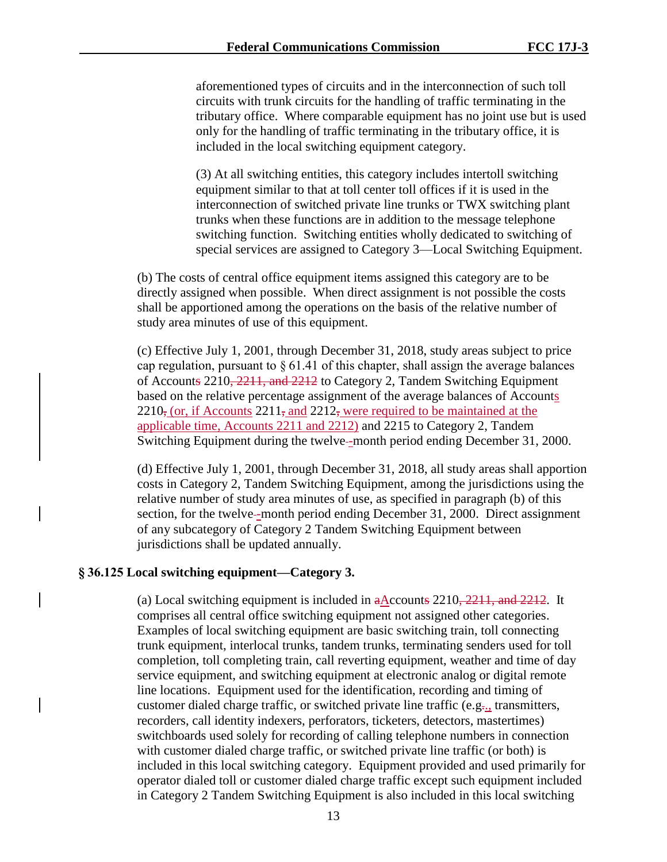aforementioned types of circuits and in the interconnection of such toll circuits with trunk circuits for the handling of traffic terminating in the tributary office. Where comparable equipment has no joint use but is used only for the handling of traffic terminating in the tributary office, it is included in the local switching equipment category.

(3) At all switching entities, this category includes intertoll switching equipment similar to that at toll center toll offices if it is used in the interconnection of switched private line trunks or TWX switching plant trunks when these functions are in addition to the message telephone switching function. Switching entities wholly dedicated to switching of special services are assigned to Category 3—Local Switching Equipment.

(b) The costs of central office equipment items assigned this category are to be directly assigned when possible. When direct assignment is not possible the costs shall be apportioned among the operations on the basis of the relative number of study area minutes of use of this equipment.

(c) Effective July 1, 2001, through December 31, 2018, study areas subject to price cap regulation, pursuant to  $\S 61.41$  of this chapter, shall assign the average balances of Accounts 2210, 2211, and 2212 to Category 2, Tandem Switching Equipment based on the relative percentage assignment of the average balances of Accounts  $2210$ , (or, if Accounts  $2211$ , and  $2212$ , were required to be maintained at the applicable time, Accounts 2211 and 2212) and 2215 to Category 2, Tandem Switching Equipment during the twelve--month period ending December 31, 2000.

(d) Effective July 1, 2001, through December 31, 2018, all study areas shall apportion costs in Category 2, Tandem Switching Equipment, among the jurisdictions using the relative number of study area minutes of use, as specified in paragraph (b) of this section, for the twelve--month period ending December 31, 2000. Direct assignment of any subcategory of Category 2 Tandem Switching Equipment between jurisdictions shall be updated annually.

# **§ 36.125 Local switching equipment—Category 3.**

(a) Local switching equipment is included in  $a$ Accounts 2210, 2211, and 2212. It comprises all central office switching equipment not assigned other categories. Examples of local switching equipment are basic switching train, toll connecting trunk equipment, interlocal trunks, tandem trunks, terminating senders used for toll completion, toll completing train, call reverting equipment, weather and time of day service equipment, and switching equipment at electronic analog or digital remote line locations. Equipment used for the identification, recording and timing of customer dialed charge traffic, or switched private line traffic (e.g., transmitters, recorders, call identity indexers, perforators, ticketers, detectors, mastertimes) switchboards used solely for recording of calling telephone numbers in connection with customer dialed charge traffic, or switched private line traffic (or both) is included in this local switching category. Equipment provided and used primarily for operator dialed toll or customer dialed charge traffic except such equipment included in Category 2 Tandem Switching Equipment is also included in this local switching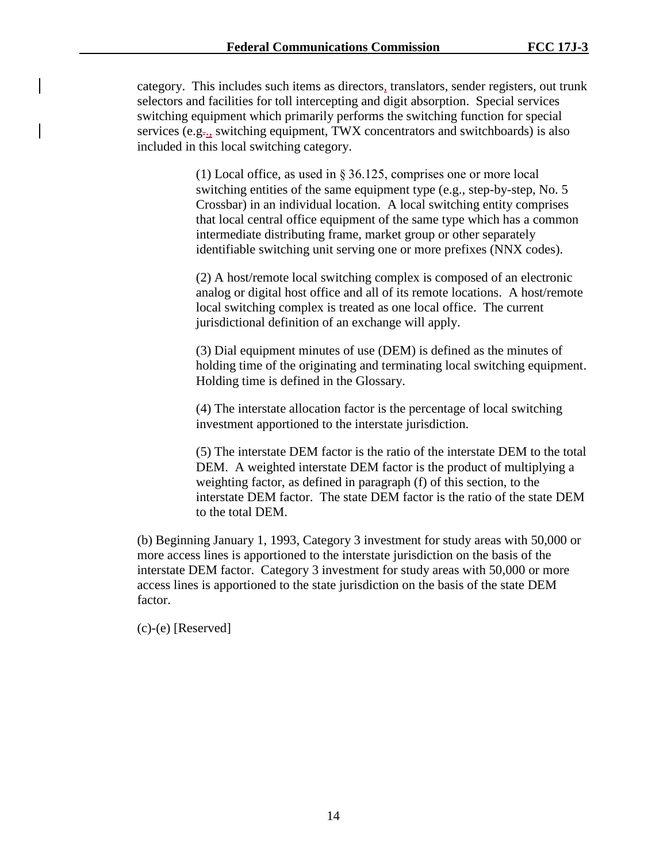category. This includes such items as directors, translators, sender registers, out trunk selectors and facilities for toll intercepting and digit absorption. Special services switching equipment which primarily performs the switching function for special services (e.g., switching equipment, TWX concentrators and switchboards) is also included in this local switching category.

> (1) Local office, as used in § 36.125, comprises one or more local switching entities of the same equipment type (e.g., step-by-step, No. 5 Crossbar) in an individual location. A local switching entity comprises that local central office equipment of the same type which has a common intermediate distributing frame, market group or other separately identifiable switching unit serving one or more prefixes (NNX codes).

(2) A host/remote local switching complex is composed of an electronic analog or digital host office and all of its remote locations. A host/remote local switching complex is treated as one local office. The current jurisdictional definition of an exchange will apply.

(3) Dial equipment minutes of use (DEM) is defined as the minutes of holding time of the originating and terminating local switching equipment. Holding time is defined in the Glossary.

(4) The interstate allocation factor is the percentage of local switching investment apportioned to the interstate jurisdiction.

(5) The interstate DEM factor is the ratio of the interstate DEM to the total DEM. A weighted interstate DEM factor is the product of multiplying a weighting factor, as defined in paragraph (f) of this section, to the interstate DEM factor. The state DEM factor is the ratio of the state DEM to the total DEM.

(b) Beginning January 1, 1993, Category 3 investment for study areas with 50,000 or more access lines is apportioned to the interstate jurisdiction on the basis of the interstate DEM factor. Category 3 investment for study areas with 50,000 or more access lines is apportioned to the state jurisdiction on the basis of the state DEM factor.

(c)-(e) [Reserved]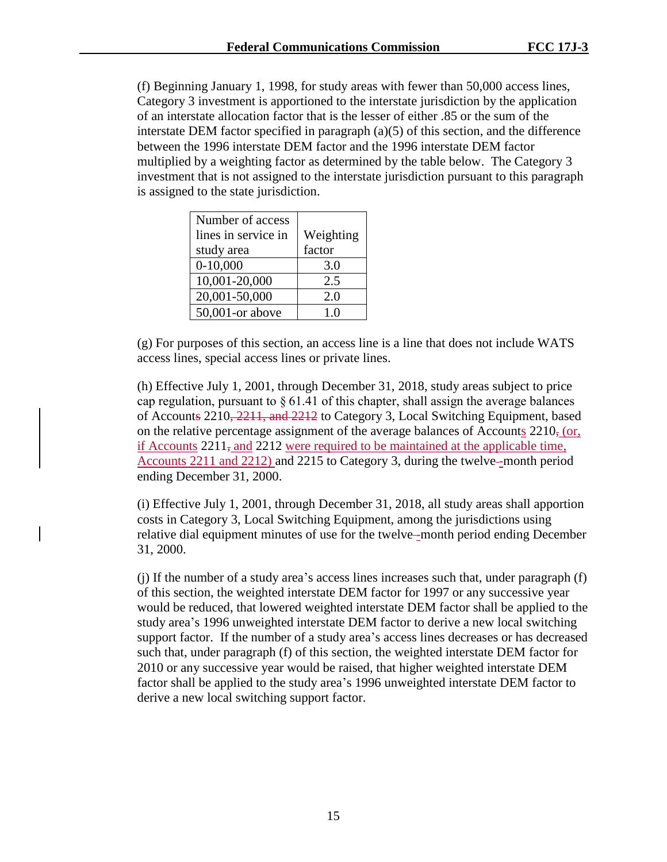(f) Beginning January 1, 1998, for study areas with fewer than 50,000 access lines, Category 3 investment is apportioned to the interstate jurisdiction by the application of an interstate allocation factor that is the lesser of either .85 or the sum of the interstate DEM factor specified in paragraph (a)(5) of this section, and the difference between the 1996 interstate DEM factor and the 1996 interstate DEM factor multiplied by a weighting factor as determined by the table below. The Category 3 investment that is not assigned to the interstate jurisdiction pursuant to this paragraph is assigned to the state jurisdiction.

| Number of access    |                |
|---------------------|----------------|
| lines in service in | Weighting      |
| study area          | factor         |
| $0-10,000$          | 3.0            |
| 10,001-20,000       | 2.5            |
| 20,001-50,000       | 2.0            |
| 50,001-or above     | 1 <sub>0</sub> |

(g) For purposes of this section, an access line is a line that does not include WATS access lines, special access lines or private lines.

(h) Effective July 1, 2001, through December 31, 2018, study areas subject to price cap regulation, pursuant to  $\S 61.41$  of this chapter, shall assign the average balances of Accounts 2210, 2211, and 2212 to Category 3, Local Switching Equipment, based on the relative percentage assignment of the average balances of Accounts 2210, (or, if Accounts  $2211<sub>5</sub>$  and  $2212$  were required to be maintained at the applicable time, Accounts 2211 and 2212) and 2215 to Category 3, during the twelve-month period ending December 31, 2000.

(i) Effective July 1, 2001, through December 31, 2018, all study areas shall apportion costs in Category 3, Local Switching Equipment, among the jurisdictions using relative dial equipment minutes of use for the twelve--month period ending December 31, 2000.

(j) If the number of a study area's access lines increases such that, under paragraph (f) of this section, the weighted interstate DEM factor for 1997 or any successive year would be reduced, that lowered weighted interstate DEM factor shall be applied to the study area's 1996 unweighted interstate DEM factor to derive a new local switching support factor. If the number of a study area's access lines decreases or has decreased such that, under paragraph (f) of this section, the weighted interstate DEM factor for 2010 or any successive year would be raised, that higher weighted interstate DEM factor shall be applied to the study area's 1996 unweighted interstate DEM factor to derive a new local switching support factor.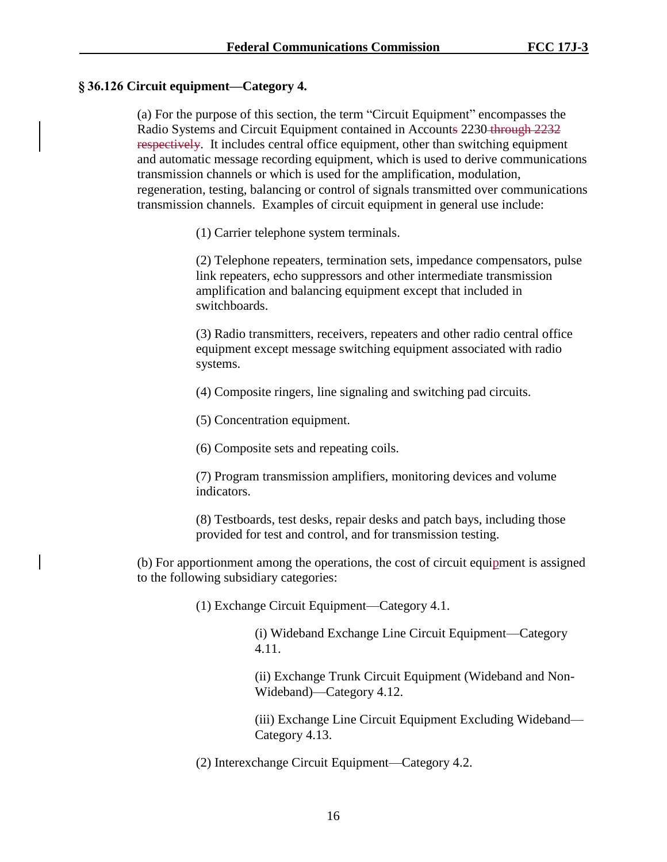## **§ 36.126 Circuit equipment—Category 4.**

(a) For the purpose of this section, the term "Circuit Equipment" encompasses the Radio Systems and Circuit Equipment contained in Accounts 2230 through 2232 respectively. It includes central office equipment, other than switching equipment and automatic message recording equipment, which is used to derive communications transmission channels or which is used for the amplification, modulation, regeneration, testing, balancing or control of signals transmitted over communications transmission channels. Examples of circuit equipment in general use include:

(1) Carrier telephone system terminals.

(2) Telephone repeaters, termination sets, impedance compensators, pulse link repeaters, echo suppressors and other intermediate transmission amplification and balancing equipment except that included in switchboards.

(3) Radio transmitters, receivers, repeaters and other radio central office equipment except message switching equipment associated with radio systems.

(4) Composite ringers, line signaling and switching pad circuits.

(5) Concentration equipment.

(6) Composite sets and repeating coils.

(7) Program transmission amplifiers, monitoring devices and volume indicators.

(8) Testboards, test desks, repair desks and patch bays, including those provided for test and control, and for transmission testing.

(b) For apportionment among the operations, the cost of circuit equipment is assigned to the following subsidiary categories:

(1) Exchange Circuit Equipment—Category 4.1.

(i) Wideband Exchange Line Circuit Equipment—Category 4.11.

(ii) Exchange Trunk Circuit Equipment (Wideband and Non-Wideband)—Category 4.12.

(iii) Exchange Line Circuit Equipment Excluding Wideband— Category 4.13.

(2) Interexchange Circuit Equipment—Category 4.2.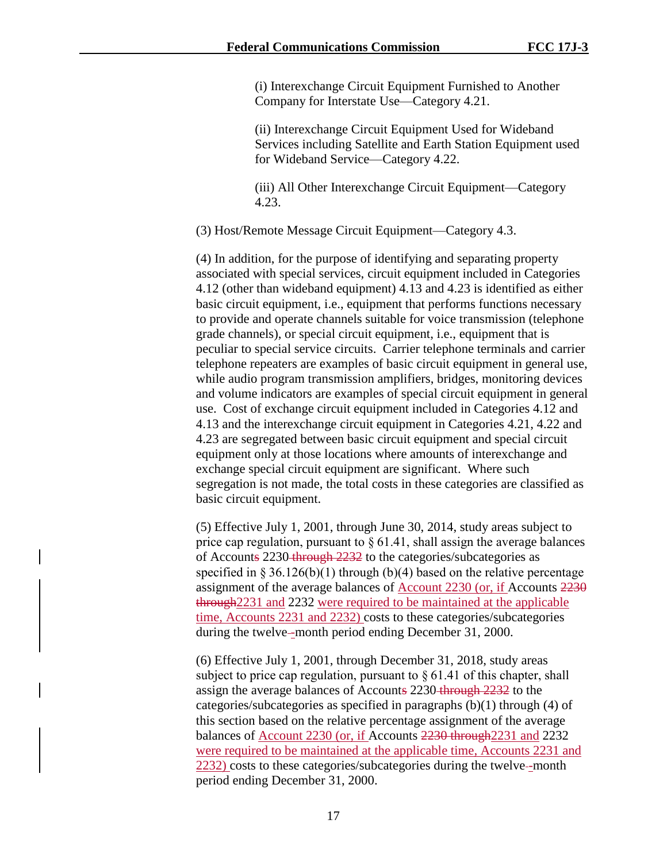(i) Interexchange Circuit Equipment Furnished to Another Company for Interstate Use—Category 4.21.

(ii) Interexchange Circuit Equipment Used for Wideband Services including Satellite and Earth Station Equipment used for Wideband Service—Category 4.22.

(iii) All Other Interexchange Circuit Equipment—Category 4.23.

(3) Host/Remote Message Circuit Equipment—Category 4.3.

(4) In addition, for the purpose of identifying and separating property associated with special services, circuit equipment included in Categories 4.12 (other than wideband equipment) 4.13 and 4.23 is identified as either basic circuit equipment, i.e., equipment that performs functions necessary to provide and operate channels suitable for voice transmission (telephone grade channels), or special circuit equipment, i.e., equipment that is peculiar to special service circuits. Carrier telephone terminals and carrier telephone repeaters are examples of basic circuit equipment in general use, while audio program transmission amplifiers, bridges, monitoring devices and volume indicators are examples of special circuit equipment in general use. Cost of exchange circuit equipment included in Categories 4.12 and 4.13 and the interexchange circuit equipment in Categories 4.21, 4.22 and 4.23 are segregated between basic circuit equipment and special circuit equipment only at those locations where amounts of interexchange and exchange special circuit equipment are significant. Where such segregation is not made, the total costs in these categories are classified as basic circuit equipment.

(5) Effective July 1, 2001, through June 30, 2014, study areas subject to price cap regulation, pursuant to  $\S 61.41$ , shall assign the average balances of Accounts 2230 through 2232 to the categories/subcategories as specified in  $\S 36.126(b)(1)$  through (b)(4) based on the relative percentage assignment of the average balances of Account 2230 (or, if Accounts 2230 through2231 and 2232 were required to be maintained at the applicable time, Accounts 2231 and 2232) costs to these categories/subcategories during the twelve--month period ending December 31, 2000.

(6) Effective July 1, 2001, through December 31, 2018, study areas subject to price cap regulation, pursuant to § 61.41 of this chapter, shall assign the average balances of Accounts 2230 through 2232 to the categories/subcategories as specified in paragraphs (b)(1) through (4) of this section based on the relative percentage assignment of the average balances of Account 2230 (or, if Accounts 2230 through2231 and 2232 were required to be maintained at the applicable time, Accounts 2231 and  $2232$ ) costs to these categories/subcategories during the twelve--month period ending December 31, 2000.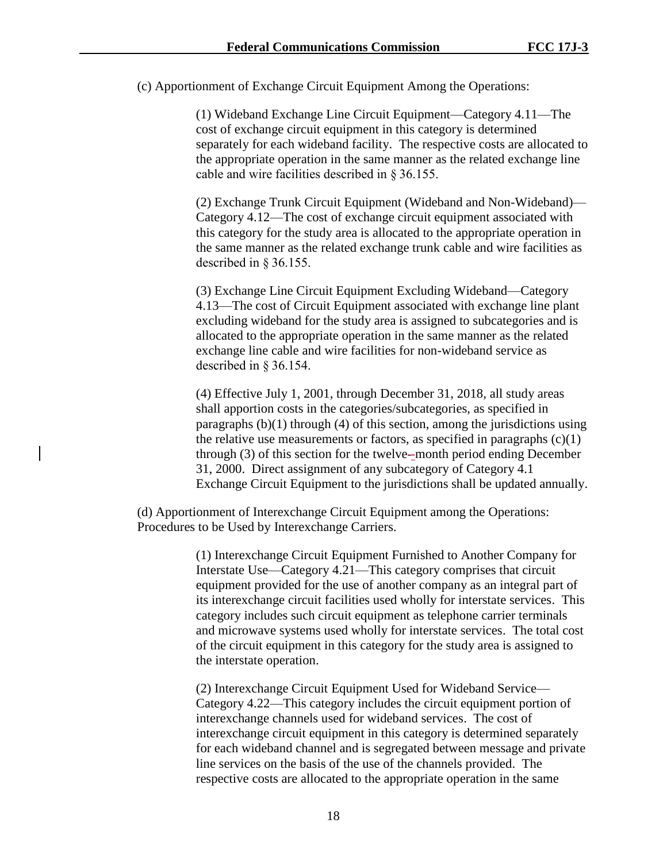(c) Apportionment of Exchange Circuit Equipment Among the Operations:

(1) Wideband Exchange Line Circuit Equipment—Category 4.11—The cost of exchange circuit equipment in this category is determined separately for each wideband facility. The respective costs are allocated to the appropriate operation in the same manner as the related exchange line cable and wire facilities described in § 36.155.

(2) Exchange Trunk Circuit Equipment (Wideband and Non-Wideband)— Category 4.12—The cost of exchange circuit equipment associated with this category for the study area is allocated to the appropriate operation in the same manner as the related exchange trunk cable and wire facilities as described in § 36.155.

(3) Exchange Line Circuit Equipment Excluding Wideband—Category 4.13—The cost of Circuit Equipment associated with exchange line plant excluding wideband for the study area is assigned to subcategories and is allocated to the appropriate operation in the same manner as the related exchange line cable and wire facilities for non-wideband service as described in § 36.154.

(4) Effective July 1, 2001, through December 31, 2018, all study areas shall apportion costs in the categories/subcategories, as specified in paragraphs  $(b)(1)$  through  $(4)$  of this section, among the jurisdictions using the relative use measurements or factors, as specified in paragraphs  $(c)(1)$ through (3) of this section for the twelve -month period ending December 31, 2000. Direct assignment of any subcategory of Category 4.1 Exchange Circuit Equipment to the jurisdictions shall be updated annually.

(d) Apportionment of Interexchange Circuit Equipment among the Operations: Procedures to be Used by Interexchange Carriers.

> (1) Interexchange Circuit Equipment Furnished to Another Company for Interstate Use—Category 4.21—This category comprises that circuit equipment provided for the use of another company as an integral part of its interexchange circuit facilities used wholly for interstate services. This category includes such circuit equipment as telephone carrier terminals and microwave systems used wholly for interstate services. The total cost of the circuit equipment in this category for the study area is assigned to the interstate operation.

> (2) Interexchange Circuit Equipment Used for Wideband Service— Category 4.22—This category includes the circuit equipment portion of interexchange channels used for wideband services. The cost of interexchange circuit equipment in this category is determined separately for each wideband channel and is segregated between message and private line services on the basis of the use of the channels provided. The respective costs are allocated to the appropriate operation in the same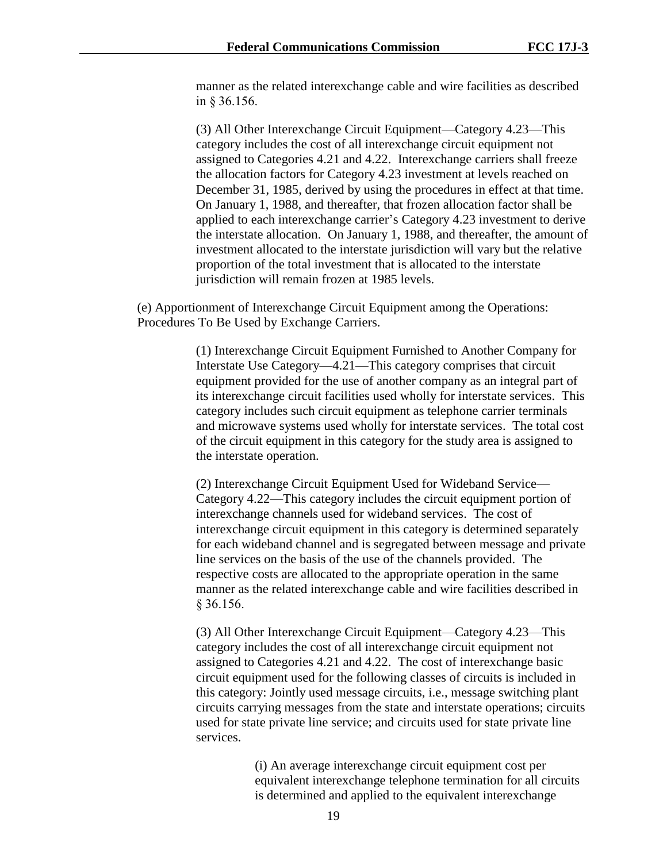manner as the related interexchange cable and wire facilities as described in § 36.156.

(3) All Other Interexchange Circuit Equipment—Category 4.23—This category includes the cost of all interexchange circuit equipment not assigned to Categories 4.21 and 4.22. Interexchange carriers shall freeze the allocation factors for Category 4.23 investment at levels reached on December 31, 1985, derived by using the procedures in effect at that time. On January 1, 1988, and thereafter, that frozen allocation factor shall be applied to each interexchange carrier's Category 4.23 investment to derive the interstate allocation. On January 1, 1988, and thereafter, the amount of investment allocated to the interstate jurisdiction will vary but the relative proportion of the total investment that is allocated to the interstate jurisdiction will remain frozen at 1985 levels.

(e) Apportionment of Interexchange Circuit Equipment among the Operations: Procedures To Be Used by Exchange Carriers.

> (1) Interexchange Circuit Equipment Furnished to Another Company for Interstate Use Category—4.21—This category comprises that circuit equipment provided for the use of another company as an integral part of its interexchange circuit facilities used wholly for interstate services. This category includes such circuit equipment as telephone carrier terminals and microwave systems used wholly for interstate services. The total cost of the circuit equipment in this category for the study area is assigned to the interstate operation.

> (2) Interexchange Circuit Equipment Used for Wideband Service— Category 4.22—This category includes the circuit equipment portion of interexchange channels used for wideband services. The cost of interexchange circuit equipment in this category is determined separately for each wideband channel and is segregated between message and private line services on the basis of the use of the channels provided. The respective costs are allocated to the appropriate operation in the same manner as the related interexchange cable and wire facilities described in § 36.156.

> (3) All Other Interexchange Circuit Equipment—Category 4.23—This category includes the cost of all interexchange circuit equipment not assigned to Categories 4.21 and 4.22. The cost of interexchange basic circuit equipment used for the following classes of circuits is included in this category: Jointly used message circuits, i.e., message switching plant circuits carrying messages from the state and interstate operations; circuits used for state private line service; and circuits used for state private line services.

> > (i) An average interexchange circuit equipment cost per equivalent interexchange telephone termination for all circuits is determined and applied to the equivalent interexchange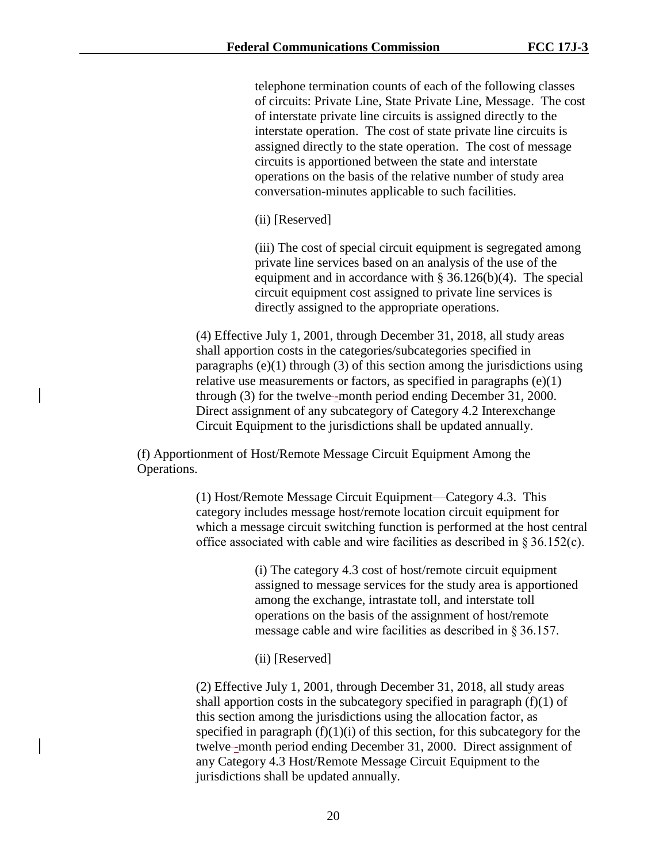telephone termination counts of each of the following classes of circuits: Private Line, State Private Line, Message. The cost of interstate private line circuits is assigned directly to the interstate operation. The cost of state private line circuits is assigned directly to the state operation. The cost of message circuits is apportioned between the state and interstate operations on the basis of the relative number of study area conversation-minutes applicable to such facilities.

(ii) [Reserved]

(iii) The cost of special circuit equipment is segregated among private line services based on an analysis of the use of the equipment and in accordance with § 36.126(b)(4). The special circuit equipment cost assigned to private line services is directly assigned to the appropriate operations.

(4) Effective July 1, 2001, through December 31, 2018, all study areas shall apportion costs in the categories/subcategories specified in paragraphs  $(e)(1)$  through  $(3)$  of this section among the jurisdictions using relative use measurements or factors, as specified in paragraphs  $(e)(1)$ through (3) for the twelve-month period ending December 31, 2000. Direct assignment of any subcategory of Category 4.2 Interexchange Circuit Equipment to the jurisdictions shall be updated annually.

(f) Apportionment of Host/Remote Message Circuit Equipment Among the Operations.

> (1) Host/Remote Message Circuit Equipment—Category 4.3. This category includes message host/remote location circuit equipment for which a message circuit switching function is performed at the host central office associated with cable and wire facilities as described in § 36.152(c).

> > (i) The category 4.3 cost of host/remote circuit equipment assigned to message services for the study area is apportioned among the exchange, intrastate toll, and interstate toll operations on the basis of the assignment of host/remote message cable and wire facilities as described in § 36.157.

(ii) [Reserved]

(2) Effective July 1, 2001, through December 31, 2018, all study areas shall apportion costs in the subcategory specified in paragraph  $(f)(1)$  of this section among the jurisdictions using the allocation factor, as specified in paragraph  $(f)(1)(i)$  of this section, for this subcategory for the twelve--month period ending December 31, 2000. Direct assignment of any Category 4.3 Host/Remote Message Circuit Equipment to the jurisdictions shall be updated annually.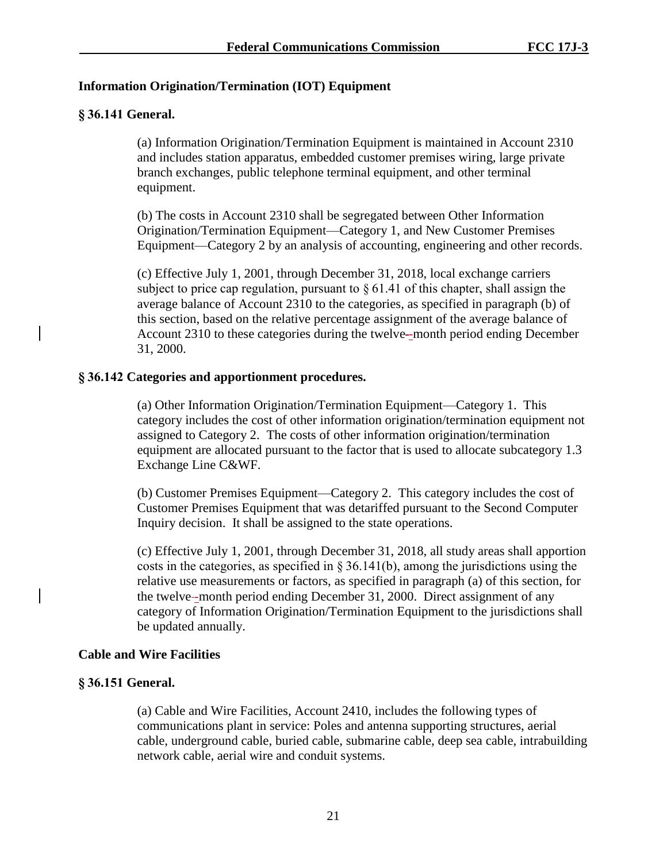## **Information Origination/Termination (IOT) Equipment**

## **§ 36.141 General.**

(a) Information Origination/Termination Equipment is maintained in Account 2310 and includes station apparatus, embedded customer premises wiring, large private branch exchanges, public telephone terminal equipment, and other terminal equipment.

(b) The costs in Account 2310 shall be segregated between Other Information Origination/Termination Equipment—Category 1, and New Customer Premises Equipment—Category 2 by an analysis of accounting, engineering and other records.

(c) Effective July 1, 2001, through December 31, 2018, local exchange carriers subject to price cap regulation, pursuant to  $\S 61.41$  of this chapter, shall assign the average balance of Account 2310 to the categories, as specified in paragraph (b) of this section, based on the relative percentage assignment of the average balance of Account 2310 to these categories during the twelve--month period ending December 31, 2000.

## **§ 36.142 Categories and apportionment procedures.**

(a) Other Information Origination/Termination Equipment—Category 1. This category includes the cost of other information origination/termination equipment not assigned to Category 2. The costs of other information origination/termination equipment are allocated pursuant to the factor that is used to allocate subcategory 1.3 Exchange Line C&WF.

(b) Customer Premises Equipment—Category 2. This category includes the cost of Customer Premises Equipment that was detariffed pursuant to the Second Computer Inquiry decision. It shall be assigned to the state operations.

(c) Effective July 1, 2001, through December 31, 2018, all study areas shall apportion costs in the categories, as specified in  $\S 36.141(b)$ , among the jurisdictions using the relative use measurements or factors, as specified in paragraph (a) of this section, for the twelve--month period ending December 31, 2000. Direct assignment of any category of Information Origination/Termination Equipment to the jurisdictions shall be updated annually.

## **Cable and Wire Facilities**

## **§ 36.151 General.**

(a) Cable and Wire Facilities, Account 2410, includes the following types of communications plant in service: Poles and antenna supporting structures, aerial cable, underground cable, buried cable, submarine cable, deep sea cable, intrabuilding network cable, aerial wire and conduit systems.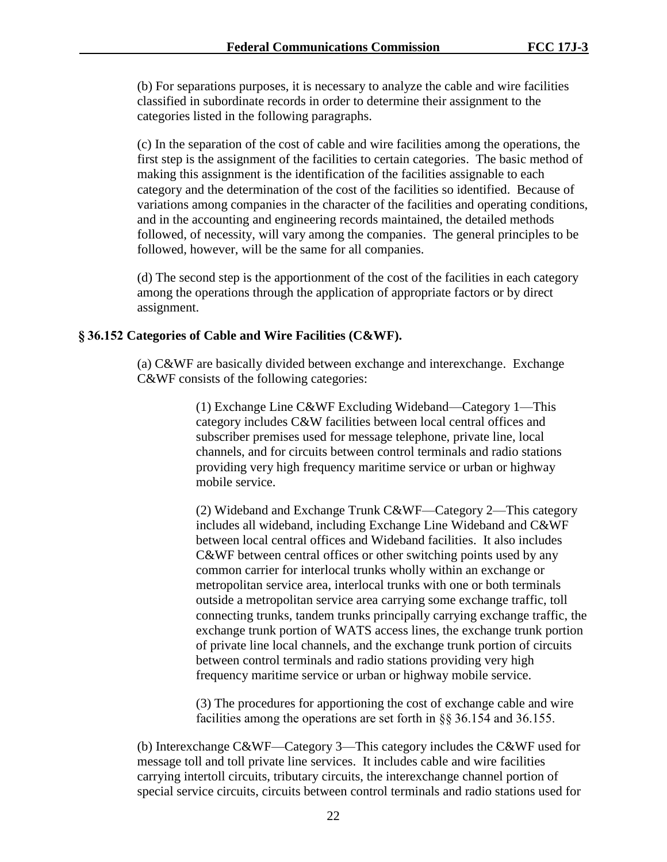(b) For separations purposes, it is necessary to analyze the cable and wire facilities classified in subordinate records in order to determine their assignment to the categories listed in the following paragraphs.

(c) In the separation of the cost of cable and wire facilities among the operations, the first step is the assignment of the facilities to certain categories. The basic method of making this assignment is the identification of the facilities assignable to each category and the determination of the cost of the facilities so identified. Because of variations among companies in the character of the facilities and operating conditions, and in the accounting and engineering records maintained, the detailed methods followed, of necessity, will vary among the companies. The general principles to be followed, however, will be the same for all companies.

(d) The second step is the apportionment of the cost of the facilities in each category among the operations through the application of appropriate factors or by direct assignment.

#### **§ 36.152 Categories of Cable and Wire Facilities (C&WF).**

(a) C&WF are basically divided between exchange and interexchange. Exchange C&WF consists of the following categories:

> (1) Exchange Line C&WF Excluding Wideband—Category 1—This category includes C&W facilities between local central offices and subscriber premises used for message telephone, private line, local channels, and for circuits between control terminals and radio stations providing very high frequency maritime service or urban or highway mobile service.

(2) Wideband and Exchange Trunk C&WF—Category 2—This category includes all wideband, including Exchange Line Wideband and C&WF between local central offices and Wideband facilities. It also includes C&WF between central offices or other switching points used by any common carrier for interlocal trunks wholly within an exchange or metropolitan service area, interlocal trunks with one or both terminals outside a metropolitan service area carrying some exchange traffic, toll connecting trunks, tandem trunks principally carrying exchange traffic, the exchange trunk portion of WATS access lines, the exchange trunk portion of private line local channels, and the exchange trunk portion of circuits between control terminals and radio stations providing very high frequency maritime service or urban or highway mobile service.

(3) The procedures for apportioning the cost of exchange cable and wire facilities among the operations are set forth in §§ 36.154 and 36.155.

(b) Interexchange C&WF—Category 3—This category includes the C&WF used for message toll and toll private line services. It includes cable and wire facilities carrying intertoll circuits, tributary circuits, the interexchange channel portion of special service circuits, circuits between control terminals and radio stations used for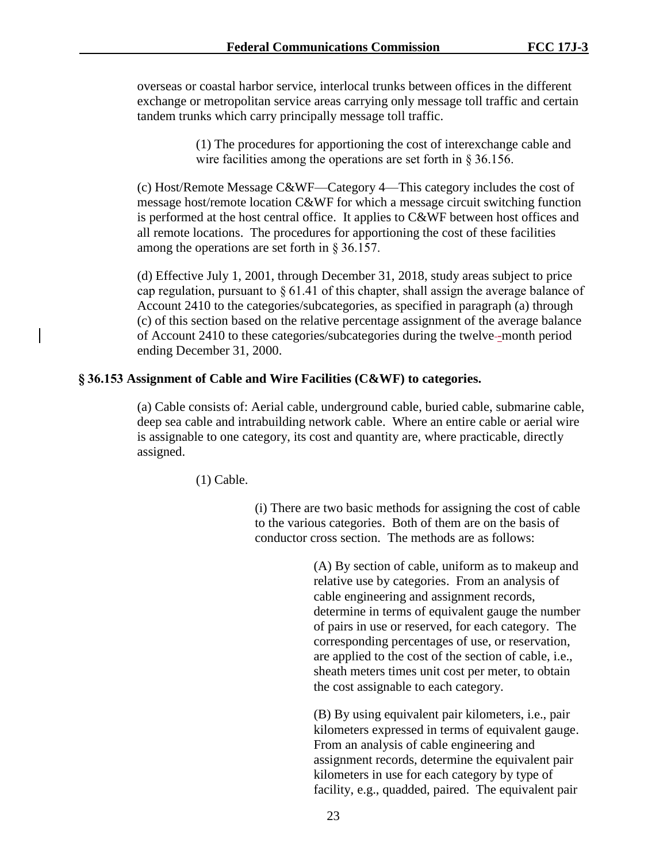overseas or coastal harbor service, interlocal trunks between offices in the different exchange or metropolitan service areas carrying only message toll traffic and certain tandem trunks which carry principally message toll traffic.

> (1) The procedures for apportioning the cost of interexchange cable and wire facilities among the operations are set forth in § 36.156.

(c) Host/Remote Message C&WF—Category 4—This category includes the cost of message host/remote location C&WF for which a message circuit switching function is performed at the host central office. It applies to C&WF between host offices and all remote locations. The procedures for apportioning the cost of these facilities among the operations are set forth in § 36.157.

(d) Effective July 1, 2001, through December 31, 2018, study areas subject to price cap regulation, pursuant to  $\S 61.41$  of this chapter, shall assign the average balance of Account 2410 to the categories/subcategories, as specified in paragraph (a) through (c) of this section based on the relative percentage assignment of the average balance of Account 2410 to these categories/subcategories during the twelve -month period ending December 31, 2000.

### **§ 36.153 Assignment of Cable and Wire Facilities (C&WF) to categories.**

(a) Cable consists of: Aerial cable, underground cable, buried cable, submarine cable, deep sea cable and intrabuilding network cable. Where an entire cable or aerial wire is assignable to one category, its cost and quantity are, where practicable, directly assigned.

(1) Cable.

(i) There are two basic methods for assigning the cost of cable to the various categories. Both of them are on the basis of conductor cross section. The methods are as follows:

> (A) By section of cable, uniform as to makeup and relative use by categories. From an analysis of cable engineering and assignment records, determine in terms of equivalent gauge the number of pairs in use or reserved, for each category. The corresponding percentages of use, or reservation, are applied to the cost of the section of cable, i.e., sheath meters times unit cost per meter, to obtain the cost assignable to each category.

> (B) By using equivalent pair kilometers, i.e., pair kilometers expressed in terms of equivalent gauge. From an analysis of cable engineering and assignment records, determine the equivalent pair kilometers in use for each category by type of facility, e.g., quadded, paired. The equivalent pair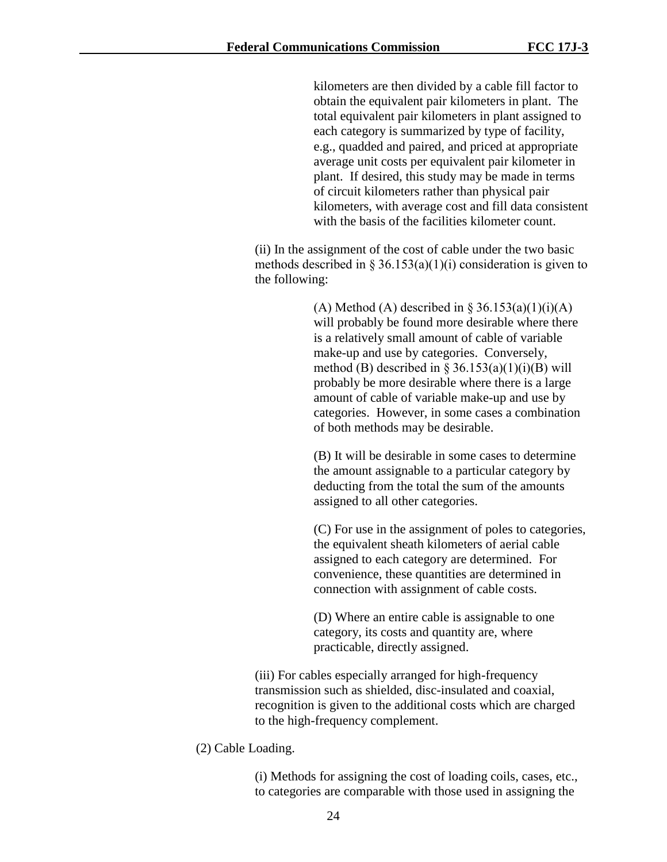kilometers are then divided by a cable fill factor to obtain the equivalent pair kilometers in plant. The total equivalent pair kilometers in plant assigned to each category is summarized by type of facility, e.g., quadded and paired, and priced at appropriate average unit costs per equivalent pair kilometer in plant. If desired, this study may be made in terms of circuit kilometers rather than physical pair kilometers, with average cost and fill data consistent with the basis of the facilities kilometer count.

(ii) In the assignment of the cost of cable under the two basic methods described in § 36.153(a)(1)(i) consideration is given to the following:

> (A) Method (A) described in § 36.153(a)(1)(i)(A) will probably be found more desirable where there is a relatively small amount of cable of variable make-up and use by categories. Conversely, method (B) described in  $\S 36.153(a)(1)(i)(B)$  will probably be more desirable where there is a large amount of cable of variable make-up and use by categories. However, in some cases a combination of both methods may be desirable.

(B) It will be desirable in some cases to determine the amount assignable to a particular category by deducting from the total the sum of the amounts assigned to all other categories.

(C) For use in the assignment of poles to categories, the equivalent sheath kilometers of aerial cable assigned to each category are determined. For convenience, these quantities are determined in connection with assignment of cable costs.

(D) Where an entire cable is assignable to one category, its costs and quantity are, where practicable, directly assigned.

(iii) For cables especially arranged for high-frequency transmission such as shielded, disc-insulated and coaxial, recognition is given to the additional costs which are charged to the high-frequency complement.

(2) Cable Loading.

(i) Methods for assigning the cost of loading coils, cases, etc., to categories are comparable with those used in assigning the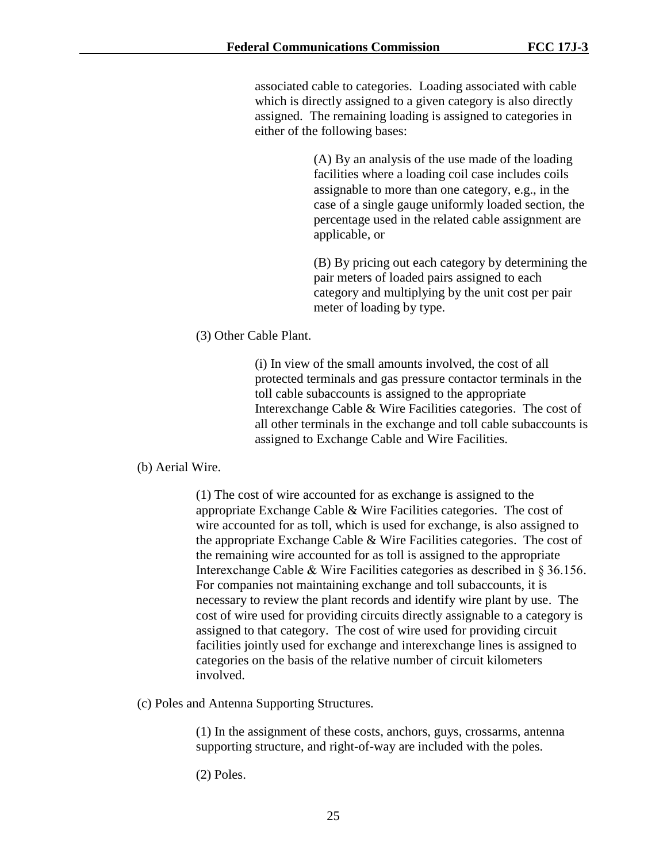associated cable to categories. Loading associated with cable which is directly assigned to a given category is also directly assigned. The remaining loading is assigned to categories in either of the following bases:

> (A) By an analysis of the use made of the loading facilities where a loading coil case includes coils assignable to more than one category, e.g., in the case of a single gauge uniformly loaded section, the percentage used in the related cable assignment are applicable, or

> (B) By pricing out each category by determining the pair meters of loaded pairs assigned to each category and multiplying by the unit cost per pair meter of loading by type.

(3) Other Cable Plant.

(i) In view of the small amounts involved, the cost of all protected terminals and gas pressure contactor terminals in the toll cable subaccounts is assigned to the appropriate Interexchange Cable & Wire Facilities categories. The cost of all other terminals in the exchange and toll cable subaccounts is assigned to Exchange Cable and Wire Facilities.

(b) Aerial Wire.

(1) The cost of wire accounted for as exchange is assigned to the appropriate Exchange Cable & Wire Facilities categories. The cost of wire accounted for as toll, which is used for exchange, is also assigned to the appropriate Exchange Cable & Wire Facilities categories. The cost of the remaining wire accounted for as toll is assigned to the appropriate Interexchange Cable & Wire Facilities categories as described in § 36.156. For companies not maintaining exchange and toll subaccounts, it is necessary to review the plant records and identify wire plant by use. The cost of wire used for providing circuits directly assignable to a category is assigned to that category. The cost of wire used for providing circuit facilities jointly used for exchange and interexchange lines is assigned to categories on the basis of the relative number of circuit kilometers involved.

(c) Poles and Antenna Supporting Structures.

(1) In the assignment of these costs, anchors, guys, crossarms, antenna supporting structure, and right-of-way are included with the poles.

(2) Poles.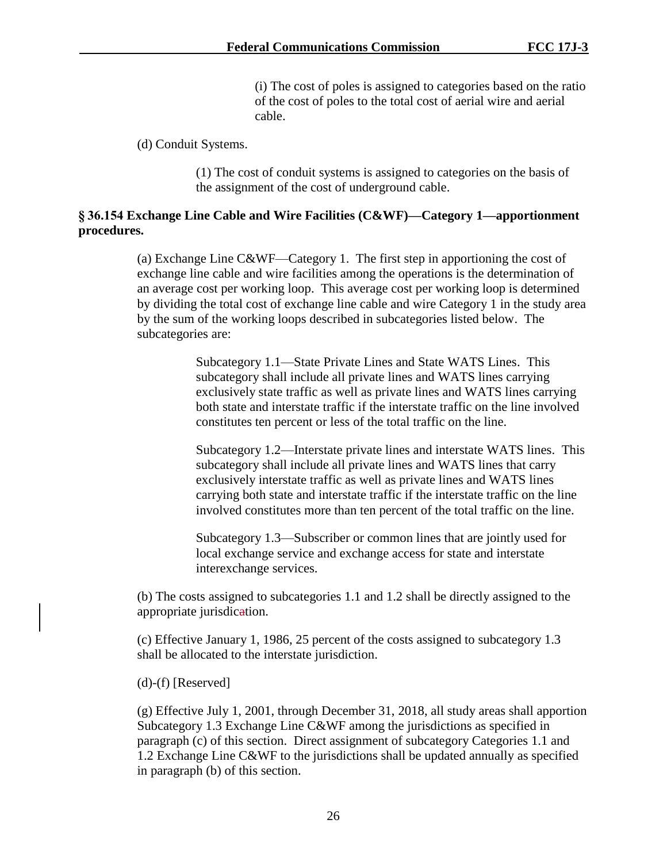(i) The cost of poles is assigned to categories based on the ratio of the cost of poles to the total cost of aerial wire and aerial cable.

(d) Conduit Systems.

(1) The cost of conduit systems is assigned to categories on the basis of the assignment of the cost of underground cable.

## **§ 36.154 Exchange Line Cable and Wire Facilities (C&WF)—Category 1—apportionment procedures.**

(a) Exchange Line C&WF—Category 1. The first step in apportioning the cost of exchange line cable and wire facilities among the operations is the determination of an average cost per working loop. This average cost per working loop is determined by dividing the total cost of exchange line cable and wire Category 1 in the study area by the sum of the working loops described in subcategories listed below. The subcategories are:

> Subcategory 1.1—State Private Lines and State WATS Lines. This subcategory shall include all private lines and WATS lines carrying exclusively state traffic as well as private lines and WATS lines carrying both state and interstate traffic if the interstate traffic on the line involved constitutes ten percent or less of the total traffic on the line.

Subcategory 1.2—Interstate private lines and interstate WATS lines. This subcategory shall include all private lines and WATS lines that carry exclusively interstate traffic as well as private lines and WATS lines carrying both state and interstate traffic if the interstate traffic on the line involved constitutes more than ten percent of the total traffic on the line.

Subcategory 1.3—Subscriber or common lines that are jointly used for local exchange service and exchange access for state and interstate interexchange services.

(b) The costs assigned to subcategories 1.1 and 1.2 shall be directly assigned to the appropriate jurisdication.

(c) Effective January 1, 1986, 25 percent of the costs assigned to subcategory 1.3 shall be allocated to the interstate jurisdiction.

(d)-(f) [Reserved]

(g) Effective July 1, 2001, through December 31, 2018, all study areas shall apportion Subcategory 1.3 Exchange Line C&WF among the jurisdictions as specified in paragraph (c) of this section. Direct assignment of subcategory Categories 1.1 and 1.2 Exchange Line C&WF to the jurisdictions shall be updated annually as specified in paragraph (b) of this section.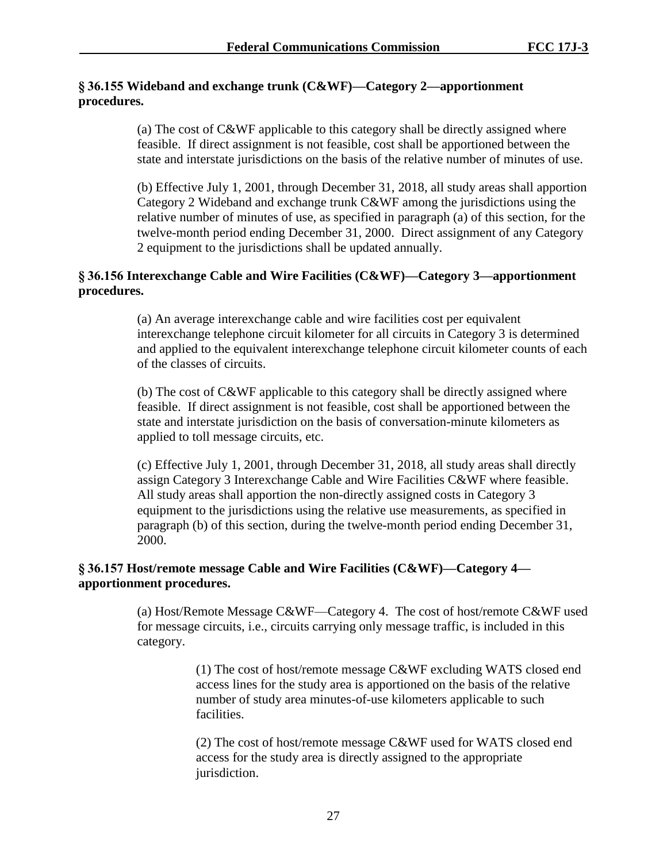# **§ 36.155 Wideband and exchange trunk (C&WF)—Category 2—apportionment procedures.**

(a) The cost of C&WF applicable to this category shall be directly assigned where feasible. If direct assignment is not feasible, cost shall be apportioned between the state and interstate jurisdictions on the basis of the relative number of minutes of use.

(b) Effective July 1, 2001, through December 31, 2018, all study areas shall apportion Category 2 Wideband and exchange trunk C&WF among the jurisdictions using the relative number of minutes of use, as specified in paragraph (a) of this section, for the twelve-month period ending December 31, 2000. Direct assignment of any Category 2 equipment to the jurisdictions shall be updated annually.

# **§ 36.156 Interexchange Cable and Wire Facilities (C&WF)—Category 3—apportionment procedures.**

(a) An average interexchange cable and wire facilities cost per equivalent interexchange telephone circuit kilometer for all circuits in Category 3 is determined and applied to the equivalent interexchange telephone circuit kilometer counts of each of the classes of circuits.

(b) The cost of C&WF applicable to this category shall be directly assigned where feasible. If direct assignment is not feasible, cost shall be apportioned between the state and interstate jurisdiction on the basis of conversation-minute kilometers as applied to toll message circuits, etc.

(c) Effective July 1, 2001, through December 31, 2018, all study areas shall directly assign Category 3 Interexchange Cable and Wire Facilities C&WF where feasible. All study areas shall apportion the non-directly assigned costs in Category 3 equipment to the jurisdictions using the relative use measurements, as specified in paragraph (b) of this section, during the twelve-month period ending December 31, 2000.

# **§ 36.157 Host/remote message Cable and Wire Facilities (C&WF)—Category 4 apportionment procedures.**

(a) Host/Remote Message C&WF—Category 4. The cost of host/remote C&WF used for message circuits, i.e., circuits carrying only message traffic, is included in this category.

> (1) The cost of host/remote message C&WF excluding WATS closed end access lines for the study area is apportioned on the basis of the relative number of study area minutes-of-use kilometers applicable to such facilities.

(2) The cost of host/remote message C&WF used for WATS closed end access for the study area is directly assigned to the appropriate jurisdiction.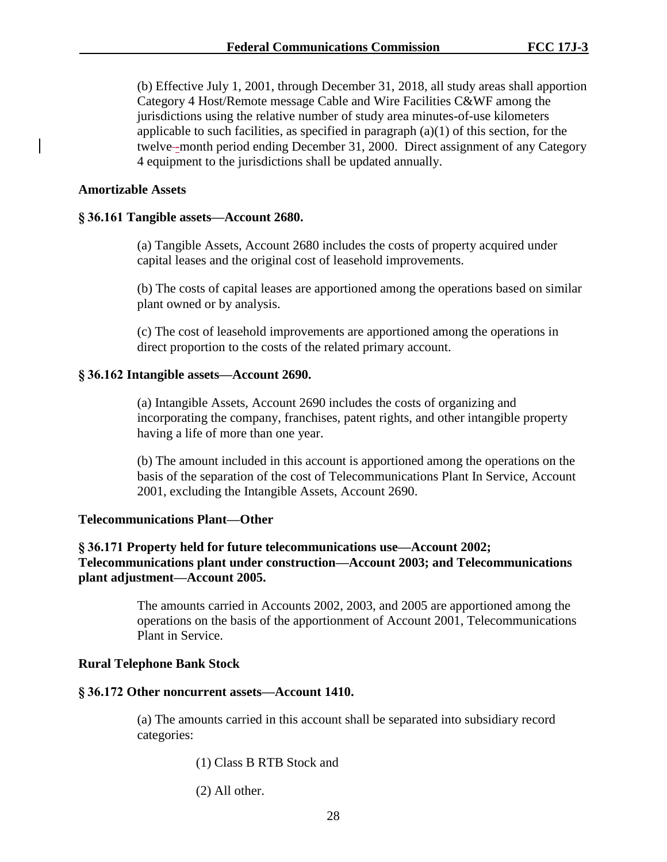(b) Effective July 1, 2001, through December 31, 2018, all study areas shall apportion Category 4 Host/Remote message Cable and Wire Facilities C&WF among the jurisdictions using the relative number of study area minutes-of-use kilometers applicable to such facilities, as specified in paragraph  $(a)(1)$  of this section, for the twelve--month period ending December 31, 2000. Direct assignment of any Category 4 equipment to the jurisdictions shall be updated annually.

#### **Amortizable Assets**

#### **§ 36.161 Tangible assets—Account 2680.**

(a) Tangible Assets, Account 2680 includes the costs of property acquired under capital leases and the original cost of leasehold improvements.

(b) The costs of capital leases are apportioned among the operations based on similar plant owned or by analysis.

(c) The cost of leasehold improvements are apportioned among the operations in direct proportion to the costs of the related primary account.

#### **§ 36.162 Intangible assets—Account 2690.**

(a) Intangible Assets, Account 2690 includes the costs of organizing and incorporating the company, franchises, patent rights, and other intangible property having a life of more than one year.

(b) The amount included in this account is apportioned among the operations on the basis of the separation of the cost of Telecommunications Plant In Service, Account 2001, excluding the Intangible Assets, Account 2690.

#### **Telecommunications Plant—Other**

## **§ 36.171 Property held for future telecommunications use—Account 2002; Telecommunications plant under construction—Account 2003; and Telecommunications plant adjustment—Account 2005.**

The amounts carried in Accounts 2002, 2003, and 2005 are apportioned among the operations on the basis of the apportionment of Account 2001, Telecommunications Plant in Service.

### **Rural Telephone Bank Stock**

#### **§ 36.172 Other noncurrent assets—Account 1410.**

(a) The amounts carried in this account shall be separated into subsidiary record categories:

(1) Class B RTB Stock and

(2) All other.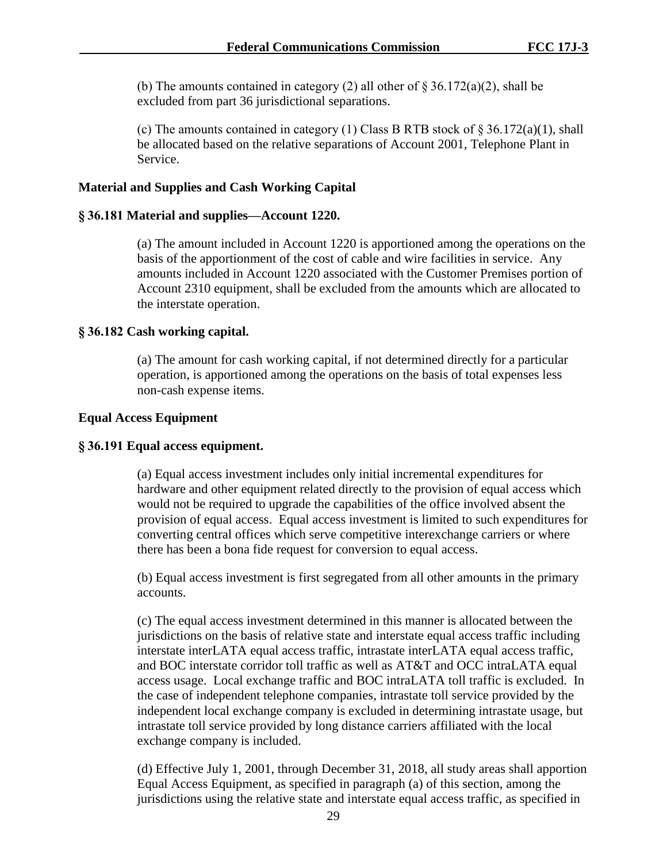(b) The amounts contained in category (2) all other of  $\S 36.172(a)(2)$ , shall be excluded from part 36 jurisdictional separations.

(c) The amounts contained in category (1) Class B RTB stock of  $\S 36.172(a)(1)$ , shall be allocated based on the relative separations of Account 2001, Telephone Plant in Service.

## **Material and Supplies and Cash Working Capital**

## **§ 36.181 Material and supplies—Account 1220.**

(a) The amount included in Account 1220 is apportioned among the operations on the basis of the apportionment of the cost of cable and wire facilities in service. Any amounts included in Account 1220 associated with the Customer Premises portion of Account 2310 equipment, shall be excluded from the amounts which are allocated to the interstate operation.

## **§ 36.182 Cash working capital.**

(a) The amount for cash working capital, if not determined directly for a particular operation, is apportioned among the operations on the basis of total expenses less non-cash expense items.

## **Equal Access Equipment**

## **§ 36.191 Equal access equipment.**

(a) Equal access investment includes only initial incremental expenditures for hardware and other equipment related directly to the provision of equal access which would not be required to upgrade the capabilities of the office involved absent the provision of equal access. Equal access investment is limited to such expenditures for converting central offices which serve competitive interexchange carriers or where there has been a bona fide request for conversion to equal access.

(b) Equal access investment is first segregated from all other amounts in the primary accounts.

(c) The equal access investment determined in this manner is allocated between the jurisdictions on the basis of relative state and interstate equal access traffic including interstate interLATA equal access traffic, intrastate interLATA equal access traffic, and BOC interstate corridor toll traffic as well as AT&T and OCC intraLATA equal access usage. Local exchange traffic and BOC intraLATA toll traffic is excluded. In the case of independent telephone companies, intrastate toll service provided by the independent local exchange company is excluded in determining intrastate usage, but intrastate toll service provided by long distance carriers affiliated with the local exchange company is included.

(d) Effective July 1, 2001, through December 31, 2018, all study areas shall apportion Equal Access Equipment, as specified in paragraph (a) of this section, among the jurisdictions using the relative state and interstate equal access traffic, as specified in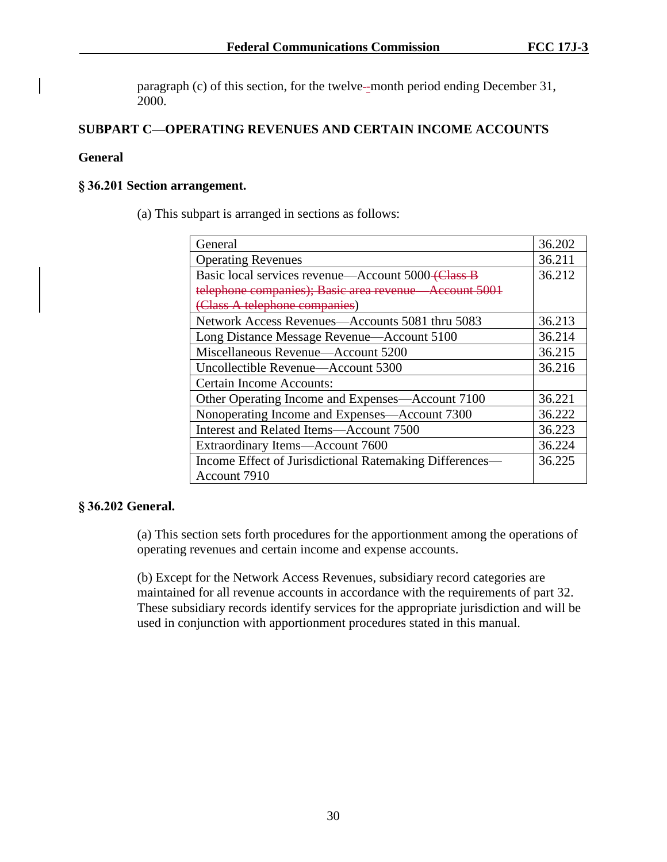paragraph (c) of this section, for the twelve--month period ending December 31, 2000.

# **SUBPART C—OPERATING REVENUES AND CERTAIN INCOME ACCOUNTS**

## **General**

### **§ 36.201 Section arrangement.**

(a) This subpart is arranged in sections as follows:

| General                                                       | 36.202 |
|---------------------------------------------------------------|--------|
|                                                               |        |
| <b>Operating Revenues</b>                                     | 36.211 |
| Basic local services revenue—Account 5000 <del>(Class B</del> | 36.212 |
| telephone companies); Basic area revenue Account 5001         |        |
| (Class A telephone companies)                                 |        |
| Network Access Revenues-Accounts 5081 thru 5083               | 36.213 |
| Long Distance Message Revenue—Account 5100                    | 36.214 |
| Miscellaneous Revenue-Account 5200                            | 36.215 |
| Uncollectible Revenue-Account 5300                            | 36.216 |
| Certain Income Accounts:                                      |        |
| Other Operating Income and Expenses—Account 7100              | 36.221 |
| Nonoperating Income and Expenses—Account 7300                 | 36.222 |
| Interest and Related Items—Account 7500                       | 36.223 |
| Extraordinary Items-Account 7600                              | 36.224 |
| Income Effect of Jurisdictional Ratemaking Differences—       | 36.225 |
| Account 7910                                                  |        |

# **§ 36.202 General.**

(a) This section sets forth procedures for the apportionment among the operations of operating revenues and certain income and expense accounts.

(b) Except for the Network Access Revenues, subsidiary record categories are maintained for all revenue accounts in accordance with the requirements of part 32. These subsidiary records identify services for the appropriate jurisdiction and will be used in conjunction with apportionment procedures stated in this manual.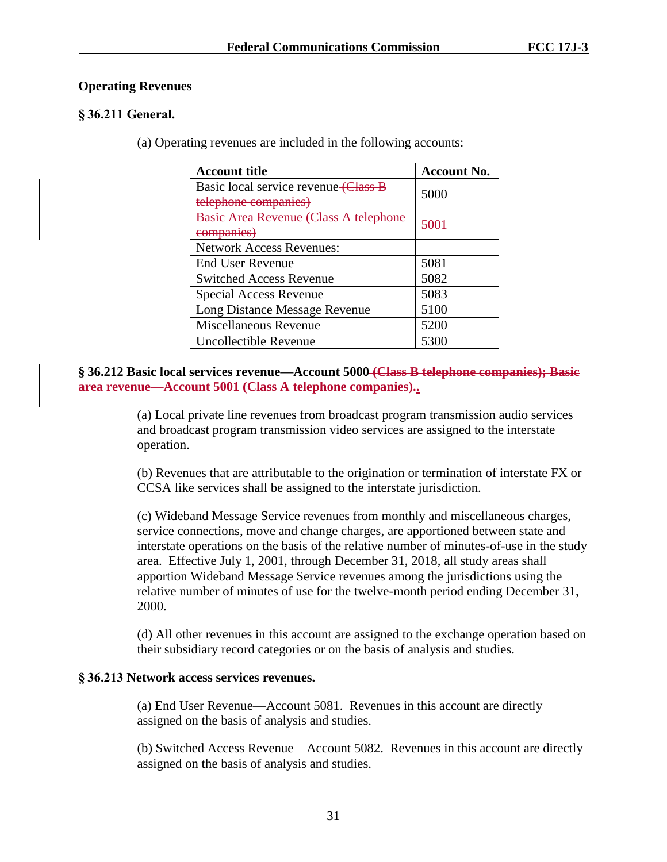# **Operating Revenues**

# **§ 36.211 General.**

(a) Operating revenues are included in the following accounts:

| <b>Account title</b>                                         | <b>Account No.</b> |
|--------------------------------------------------------------|--------------------|
| Basic local service revenue (Class B<br>telephone companies) | 5000               |
| <b>Basic Area Revenue (Class A telephone</b><br>companies    |                    |
| <b>Network Access Revenues:</b>                              |                    |
| <b>End User Revenue</b>                                      | 5081               |
| <b>Switched Access Revenue</b>                               | 5082               |
| Special Access Revenue                                       | 5083               |
| Long Distance Message Revenue                                | 5100               |
| Miscellaneous Revenue                                        | 5200               |
| Uncollectible Revenue                                        | 5300               |

**§ 36.212 Basic local services revenue—Account 5000 (Class B telephone companies); Basic area revenue—Account 5001 (Class A telephone companies)..**

> (a) Local private line revenues from broadcast program transmission audio services and broadcast program transmission video services are assigned to the interstate operation.

(b) Revenues that are attributable to the origination or termination of interstate FX or CCSA like services shall be assigned to the interstate jurisdiction.

(c) Wideband Message Service revenues from monthly and miscellaneous charges, service connections, move and change charges, are apportioned between state and interstate operations on the basis of the relative number of minutes-of-use in the study area. Effective July 1, 2001, through December 31, 2018, all study areas shall apportion Wideband Message Service revenues among the jurisdictions using the relative number of minutes of use for the twelve-month period ending December 31, 2000.

(d) All other revenues in this account are assigned to the exchange operation based on their subsidiary record categories or on the basis of analysis and studies.

# **§ 36.213 Network access services revenues.**

(a) End User Revenue—Account 5081. Revenues in this account are directly assigned on the basis of analysis and studies.

(b) Switched Access Revenue—Account 5082. Revenues in this account are directly assigned on the basis of analysis and studies.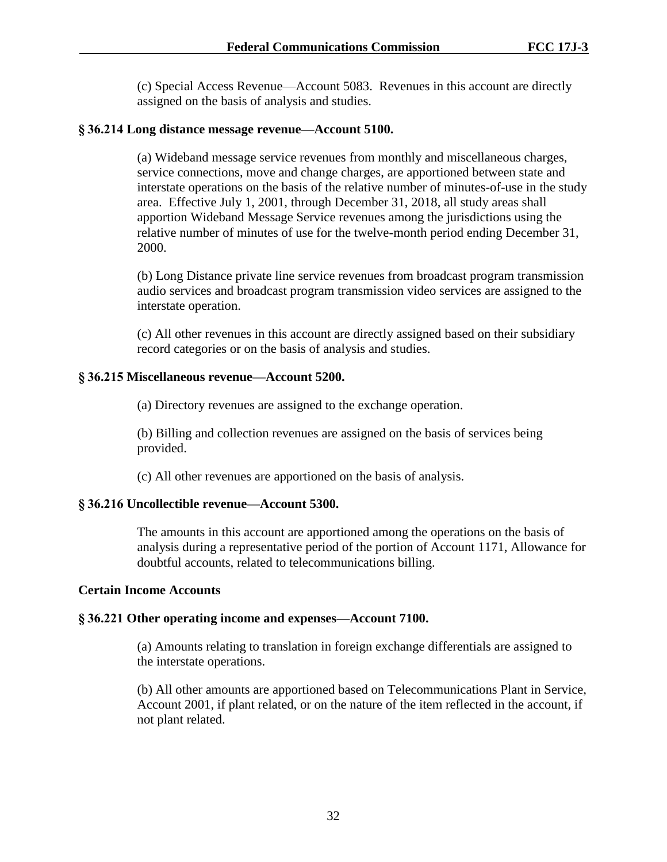(c) Special Access Revenue—Account 5083. Revenues in this account are directly assigned on the basis of analysis and studies.

## **§ 36.214 Long distance message revenue—Account 5100.**

(a) Wideband message service revenues from monthly and miscellaneous charges, service connections, move and change charges, are apportioned between state and interstate operations on the basis of the relative number of minutes-of-use in the study area. Effective July 1, 2001, through December 31, 2018, all study areas shall apportion Wideband Message Service revenues among the jurisdictions using the relative number of minutes of use for the twelve-month period ending December 31, 2000.

(b) Long Distance private line service revenues from broadcast program transmission audio services and broadcast program transmission video services are assigned to the interstate operation.

(c) All other revenues in this account are directly assigned based on their subsidiary record categories or on the basis of analysis and studies.

## **§ 36.215 Miscellaneous revenue—Account 5200.**

(a) Directory revenues are assigned to the exchange operation.

(b) Billing and collection revenues are assigned on the basis of services being provided.

(c) All other revenues are apportioned on the basis of analysis.

## **§ 36.216 Uncollectible revenue—Account 5300.**

The amounts in this account are apportioned among the operations on the basis of analysis during a representative period of the portion of Account 1171, Allowance for doubtful accounts, related to telecommunications billing.

## **Certain Income Accounts**

## **§ 36.221 Other operating income and expenses—Account 7100.**

(a) Amounts relating to translation in foreign exchange differentials are assigned to the interstate operations.

(b) All other amounts are apportioned based on Telecommunications Plant in Service, Account 2001, if plant related, or on the nature of the item reflected in the account, if not plant related.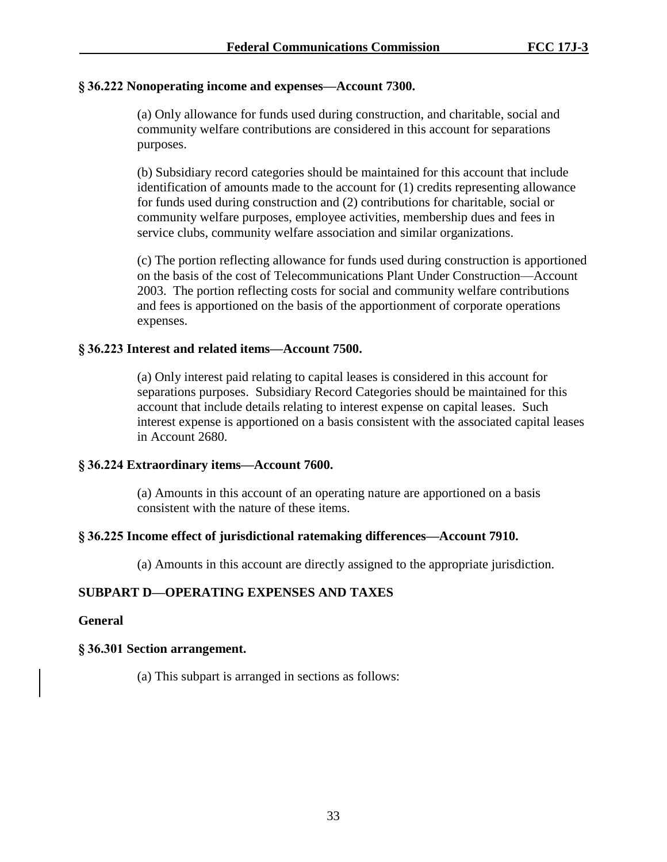## **§ 36.222 Nonoperating income and expenses—Account 7300.**

(a) Only allowance for funds used during construction, and charitable, social and community welfare contributions are considered in this account for separations purposes.

(b) Subsidiary record categories should be maintained for this account that include identification of amounts made to the account for (1) credits representing allowance for funds used during construction and (2) contributions for charitable, social or community welfare purposes, employee activities, membership dues and fees in service clubs, community welfare association and similar organizations.

(c) The portion reflecting allowance for funds used during construction is apportioned on the basis of the cost of Telecommunications Plant Under Construction—Account 2003. The portion reflecting costs for social and community welfare contributions and fees is apportioned on the basis of the apportionment of corporate operations expenses.

## **§ 36.223 Interest and related items—Account 7500.**

(a) Only interest paid relating to capital leases is considered in this account for separations purposes. Subsidiary Record Categories should be maintained for this account that include details relating to interest expense on capital leases. Such interest expense is apportioned on a basis consistent with the associated capital leases in Account 2680.

## **§ 36.224 Extraordinary items—Account 7600.**

(a) Amounts in this account of an operating nature are apportioned on a basis consistent with the nature of these items.

## **§ 36.225 Income effect of jurisdictional ratemaking differences—Account 7910.**

(a) Amounts in this account are directly assigned to the appropriate jurisdiction.

# **SUBPART D—OPERATING EXPENSES AND TAXES**

## **General**

# **§ 36.301 Section arrangement.**

(a) This subpart is arranged in sections as follows: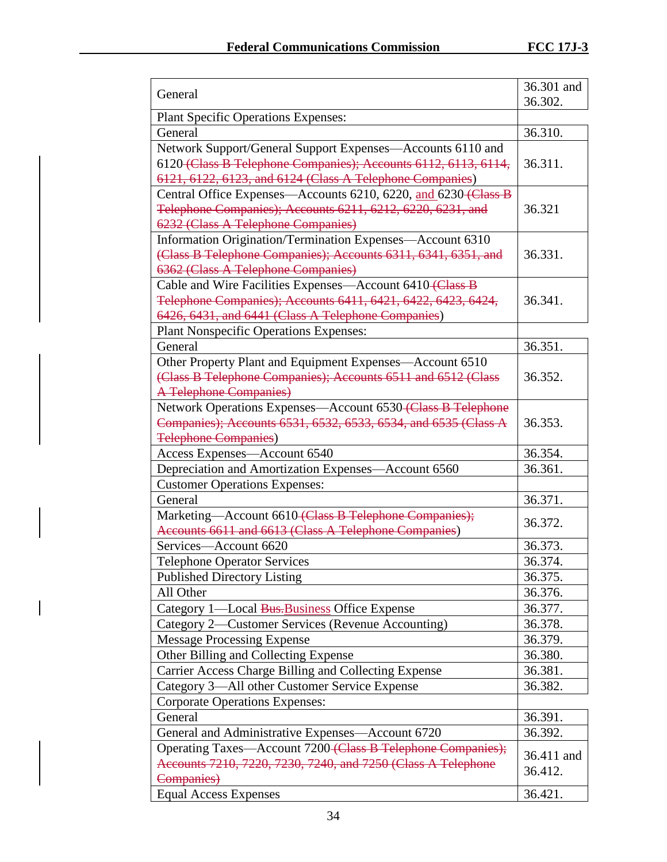| <b>Plant Specific Operations Expenses:</b><br>36.310.<br>General<br>Network Support/General Support Expenses—Accounts 6110 and<br>6120 (Class B Telephone Companies); Accounts 6112, 6113, 6114,<br>36.311.<br>6121, 6122, 6123, and 6124 (Class A Telephone Companies)<br>Central Office Expenses—Accounts 6210, 6220, and 6230 (Class B<br>Telephone Companies); Accounts 6211, 6212, 6220, 6231, and<br>36.321<br>6232 (Class A Telephone Companies)<br>Information Origination/Termination Expenses—Account 6310<br>(Class B Telephone Companies); Accounts 6311, 6341, 6351, and<br>36.331.<br>6362 (Class A Telephone Companies)<br>Cable and Wire Facilities Expenses—Account 6410 (Class B<br>Telephone Companies); Accounts 6411, 6421, 6422, 6423, 6424,<br>36.341.<br>6426, 6431, and 6441 (Class A Telephone Companies)<br><b>Plant Nonspecific Operations Expenses:</b><br>General<br>36.351.<br>Other Property Plant and Equipment Expenses—Account 6510<br>(Class B Telephone Companies); Accounts 6511 and 6512 (Class<br>36.352.<br>A Telephone Companies)<br>Network Operations Expenses-Account 6530 (Class B Telephone<br>Companies); Accounts 6531, 6532, 6533, 6534, and 6535 (Class A<br>36.353.<br><b>Telephone Companies)</b><br>Access Expenses-Account 6540<br>36.354.<br>Depreciation and Amortization Expenses-Account 6560<br>36.361.<br><b>Customer Operations Expenses:</b><br>General<br>36.371.<br>Marketing-Account 6610 (Class B Telephone Companies);<br>36.372.<br>Accounts 6611 and 6613 (Class A Telephone Companies)<br>Services-Account 6620<br>36.373.<br><b>Telephone Operator Services</b><br>36.374.<br><b>Published Directory Listing</b><br>36.375.<br>All Other<br>36.376.<br>Category 1—Local Bus-Business Office Expense<br>36.377.<br>Category 2—Customer Services (Revenue Accounting)<br>36.378.<br><b>Message Processing Expense</b><br>36.379.<br>Other Billing and Collecting Expense<br>36.380.<br>Carrier Access Charge Billing and Collecting Expense<br>36.381.<br>Category 3—All other Customer Service Expense<br>36.382.<br><b>Corporate Operations Expenses:</b><br>General<br>36.391.<br>36.392.<br>General and Administrative Expenses—Account 6720<br>Operating Taxes-Account 7200-Class B Telephone Companies);<br>36.411 and<br>Accounts 7210, 7220, 7230, 7240, and 7250 (Class A Telephone<br>36.412.<br>Companies)<br><b>Equal Access Expenses</b><br>36.421. | General | 36.301 and |
|----------------------------------------------------------------------------------------------------------------------------------------------------------------------------------------------------------------------------------------------------------------------------------------------------------------------------------------------------------------------------------------------------------------------------------------------------------------------------------------------------------------------------------------------------------------------------------------------------------------------------------------------------------------------------------------------------------------------------------------------------------------------------------------------------------------------------------------------------------------------------------------------------------------------------------------------------------------------------------------------------------------------------------------------------------------------------------------------------------------------------------------------------------------------------------------------------------------------------------------------------------------------------------------------------------------------------------------------------------------------------------------------------------------------------------------------------------------------------------------------------------------------------------------------------------------------------------------------------------------------------------------------------------------------------------------------------------------------------------------------------------------------------------------------------------------------------------------------------------------------------------------------------------------------------------------------------------------------------------------------------------------------------------------------------------------------------------------------------------------------------------------------------------------------------------------------------------------------------------------------------------------------------------------------------------------------------------------------------------------------------------------------------------------------------------------|---------|------------|
|                                                                                                                                                                                                                                                                                                                                                                                                                                                                                                                                                                                                                                                                                                                                                                                                                                                                                                                                                                                                                                                                                                                                                                                                                                                                                                                                                                                                                                                                                                                                                                                                                                                                                                                                                                                                                                                                                                                                                                                                                                                                                                                                                                                                                                                                                                                                                                                                                                        |         | 36.302.    |
|                                                                                                                                                                                                                                                                                                                                                                                                                                                                                                                                                                                                                                                                                                                                                                                                                                                                                                                                                                                                                                                                                                                                                                                                                                                                                                                                                                                                                                                                                                                                                                                                                                                                                                                                                                                                                                                                                                                                                                                                                                                                                                                                                                                                                                                                                                                                                                                                                                        |         |            |
|                                                                                                                                                                                                                                                                                                                                                                                                                                                                                                                                                                                                                                                                                                                                                                                                                                                                                                                                                                                                                                                                                                                                                                                                                                                                                                                                                                                                                                                                                                                                                                                                                                                                                                                                                                                                                                                                                                                                                                                                                                                                                                                                                                                                                                                                                                                                                                                                                                        |         |            |
|                                                                                                                                                                                                                                                                                                                                                                                                                                                                                                                                                                                                                                                                                                                                                                                                                                                                                                                                                                                                                                                                                                                                                                                                                                                                                                                                                                                                                                                                                                                                                                                                                                                                                                                                                                                                                                                                                                                                                                                                                                                                                                                                                                                                                                                                                                                                                                                                                                        |         |            |
|                                                                                                                                                                                                                                                                                                                                                                                                                                                                                                                                                                                                                                                                                                                                                                                                                                                                                                                                                                                                                                                                                                                                                                                                                                                                                                                                                                                                                                                                                                                                                                                                                                                                                                                                                                                                                                                                                                                                                                                                                                                                                                                                                                                                                                                                                                                                                                                                                                        |         |            |
|                                                                                                                                                                                                                                                                                                                                                                                                                                                                                                                                                                                                                                                                                                                                                                                                                                                                                                                                                                                                                                                                                                                                                                                                                                                                                                                                                                                                                                                                                                                                                                                                                                                                                                                                                                                                                                                                                                                                                                                                                                                                                                                                                                                                                                                                                                                                                                                                                                        |         |            |
|                                                                                                                                                                                                                                                                                                                                                                                                                                                                                                                                                                                                                                                                                                                                                                                                                                                                                                                                                                                                                                                                                                                                                                                                                                                                                                                                                                                                                                                                                                                                                                                                                                                                                                                                                                                                                                                                                                                                                                                                                                                                                                                                                                                                                                                                                                                                                                                                                                        |         |            |
|                                                                                                                                                                                                                                                                                                                                                                                                                                                                                                                                                                                                                                                                                                                                                                                                                                                                                                                                                                                                                                                                                                                                                                                                                                                                                                                                                                                                                                                                                                                                                                                                                                                                                                                                                                                                                                                                                                                                                                                                                                                                                                                                                                                                                                                                                                                                                                                                                                        |         |            |
|                                                                                                                                                                                                                                                                                                                                                                                                                                                                                                                                                                                                                                                                                                                                                                                                                                                                                                                                                                                                                                                                                                                                                                                                                                                                                                                                                                                                                                                                                                                                                                                                                                                                                                                                                                                                                                                                                                                                                                                                                                                                                                                                                                                                                                                                                                                                                                                                                                        |         |            |
|                                                                                                                                                                                                                                                                                                                                                                                                                                                                                                                                                                                                                                                                                                                                                                                                                                                                                                                                                                                                                                                                                                                                                                                                                                                                                                                                                                                                                                                                                                                                                                                                                                                                                                                                                                                                                                                                                                                                                                                                                                                                                                                                                                                                                                                                                                                                                                                                                                        |         |            |
|                                                                                                                                                                                                                                                                                                                                                                                                                                                                                                                                                                                                                                                                                                                                                                                                                                                                                                                                                                                                                                                                                                                                                                                                                                                                                                                                                                                                                                                                                                                                                                                                                                                                                                                                                                                                                                                                                                                                                                                                                                                                                                                                                                                                                                                                                                                                                                                                                                        |         |            |
|                                                                                                                                                                                                                                                                                                                                                                                                                                                                                                                                                                                                                                                                                                                                                                                                                                                                                                                                                                                                                                                                                                                                                                                                                                                                                                                                                                                                                                                                                                                                                                                                                                                                                                                                                                                                                                                                                                                                                                                                                                                                                                                                                                                                                                                                                                                                                                                                                                        |         |            |
|                                                                                                                                                                                                                                                                                                                                                                                                                                                                                                                                                                                                                                                                                                                                                                                                                                                                                                                                                                                                                                                                                                                                                                                                                                                                                                                                                                                                                                                                                                                                                                                                                                                                                                                                                                                                                                                                                                                                                                                                                                                                                                                                                                                                                                                                                                                                                                                                                                        |         |            |
|                                                                                                                                                                                                                                                                                                                                                                                                                                                                                                                                                                                                                                                                                                                                                                                                                                                                                                                                                                                                                                                                                                                                                                                                                                                                                                                                                                                                                                                                                                                                                                                                                                                                                                                                                                                                                                                                                                                                                                                                                                                                                                                                                                                                                                                                                                                                                                                                                                        |         |            |
|                                                                                                                                                                                                                                                                                                                                                                                                                                                                                                                                                                                                                                                                                                                                                                                                                                                                                                                                                                                                                                                                                                                                                                                                                                                                                                                                                                                                                                                                                                                                                                                                                                                                                                                                                                                                                                                                                                                                                                                                                                                                                                                                                                                                                                                                                                                                                                                                                                        |         |            |
|                                                                                                                                                                                                                                                                                                                                                                                                                                                                                                                                                                                                                                                                                                                                                                                                                                                                                                                                                                                                                                                                                                                                                                                                                                                                                                                                                                                                                                                                                                                                                                                                                                                                                                                                                                                                                                                                                                                                                                                                                                                                                                                                                                                                                                                                                                                                                                                                                                        |         |            |
|                                                                                                                                                                                                                                                                                                                                                                                                                                                                                                                                                                                                                                                                                                                                                                                                                                                                                                                                                                                                                                                                                                                                                                                                                                                                                                                                                                                                                                                                                                                                                                                                                                                                                                                                                                                                                                                                                                                                                                                                                                                                                                                                                                                                                                                                                                                                                                                                                                        |         |            |
|                                                                                                                                                                                                                                                                                                                                                                                                                                                                                                                                                                                                                                                                                                                                                                                                                                                                                                                                                                                                                                                                                                                                                                                                                                                                                                                                                                                                                                                                                                                                                                                                                                                                                                                                                                                                                                                                                                                                                                                                                                                                                                                                                                                                                                                                                                                                                                                                                                        |         |            |
|                                                                                                                                                                                                                                                                                                                                                                                                                                                                                                                                                                                                                                                                                                                                                                                                                                                                                                                                                                                                                                                                                                                                                                                                                                                                                                                                                                                                                                                                                                                                                                                                                                                                                                                                                                                                                                                                                                                                                                                                                                                                                                                                                                                                                                                                                                                                                                                                                                        |         |            |
|                                                                                                                                                                                                                                                                                                                                                                                                                                                                                                                                                                                                                                                                                                                                                                                                                                                                                                                                                                                                                                                                                                                                                                                                                                                                                                                                                                                                                                                                                                                                                                                                                                                                                                                                                                                                                                                                                                                                                                                                                                                                                                                                                                                                                                                                                                                                                                                                                                        |         |            |
|                                                                                                                                                                                                                                                                                                                                                                                                                                                                                                                                                                                                                                                                                                                                                                                                                                                                                                                                                                                                                                                                                                                                                                                                                                                                                                                                                                                                                                                                                                                                                                                                                                                                                                                                                                                                                                                                                                                                                                                                                                                                                                                                                                                                                                                                                                                                                                                                                                        |         |            |
|                                                                                                                                                                                                                                                                                                                                                                                                                                                                                                                                                                                                                                                                                                                                                                                                                                                                                                                                                                                                                                                                                                                                                                                                                                                                                                                                                                                                                                                                                                                                                                                                                                                                                                                                                                                                                                                                                                                                                                                                                                                                                                                                                                                                                                                                                                                                                                                                                                        |         |            |
|                                                                                                                                                                                                                                                                                                                                                                                                                                                                                                                                                                                                                                                                                                                                                                                                                                                                                                                                                                                                                                                                                                                                                                                                                                                                                                                                                                                                                                                                                                                                                                                                                                                                                                                                                                                                                                                                                                                                                                                                                                                                                                                                                                                                                                                                                                                                                                                                                                        |         |            |
|                                                                                                                                                                                                                                                                                                                                                                                                                                                                                                                                                                                                                                                                                                                                                                                                                                                                                                                                                                                                                                                                                                                                                                                                                                                                                                                                                                                                                                                                                                                                                                                                                                                                                                                                                                                                                                                                                                                                                                                                                                                                                                                                                                                                                                                                                                                                                                                                                                        |         |            |
|                                                                                                                                                                                                                                                                                                                                                                                                                                                                                                                                                                                                                                                                                                                                                                                                                                                                                                                                                                                                                                                                                                                                                                                                                                                                                                                                                                                                                                                                                                                                                                                                                                                                                                                                                                                                                                                                                                                                                                                                                                                                                                                                                                                                                                                                                                                                                                                                                                        |         |            |
|                                                                                                                                                                                                                                                                                                                                                                                                                                                                                                                                                                                                                                                                                                                                                                                                                                                                                                                                                                                                                                                                                                                                                                                                                                                                                                                                                                                                                                                                                                                                                                                                                                                                                                                                                                                                                                                                                                                                                                                                                                                                                                                                                                                                                                                                                                                                                                                                                                        |         |            |
|                                                                                                                                                                                                                                                                                                                                                                                                                                                                                                                                                                                                                                                                                                                                                                                                                                                                                                                                                                                                                                                                                                                                                                                                                                                                                                                                                                                                                                                                                                                                                                                                                                                                                                                                                                                                                                                                                                                                                                                                                                                                                                                                                                                                                                                                                                                                                                                                                                        |         |            |
|                                                                                                                                                                                                                                                                                                                                                                                                                                                                                                                                                                                                                                                                                                                                                                                                                                                                                                                                                                                                                                                                                                                                                                                                                                                                                                                                                                                                                                                                                                                                                                                                                                                                                                                                                                                                                                                                                                                                                                                                                                                                                                                                                                                                                                                                                                                                                                                                                                        |         |            |
|                                                                                                                                                                                                                                                                                                                                                                                                                                                                                                                                                                                                                                                                                                                                                                                                                                                                                                                                                                                                                                                                                                                                                                                                                                                                                                                                                                                                                                                                                                                                                                                                                                                                                                                                                                                                                                                                                                                                                                                                                                                                                                                                                                                                                                                                                                                                                                                                                                        |         |            |
|                                                                                                                                                                                                                                                                                                                                                                                                                                                                                                                                                                                                                                                                                                                                                                                                                                                                                                                                                                                                                                                                                                                                                                                                                                                                                                                                                                                                                                                                                                                                                                                                                                                                                                                                                                                                                                                                                                                                                                                                                                                                                                                                                                                                                                                                                                                                                                                                                                        |         |            |
|                                                                                                                                                                                                                                                                                                                                                                                                                                                                                                                                                                                                                                                                                                                                                                                                                                                                                                                                                                                                                                                                                                                                                                                                                                                                                                                                                                                                                                                                                                                                                                                                                                                                                                                                                                                                                                                                                                                                                                                                                                                                                                                                                                                                                                                                                                                                                                                                                                        |         |            |
|                                                                                                                                                                                                                                                                                                                                                                                                                                                                                                                                                                                                                                                                                                                                                                                                                                                                                                                                                                                                                                                                                                                                                                                                                                                                                                                                                                                                                                                                                                                                                                                                                                                                                                                                                                                                                                                                                                                                                                                                                                                                                                                                                                                                                                                                                                                                                                                                                                        |         |            |
|                                                                                                                                                                                                                                                                                                                                                                                                                                                                                                                                                                                                                                                                                                                                                                                                                                                                                                                                                                                                                                                                                                                                                                                                                                                                                                                                                                                                                                                                                                                                                                                                                                                                                                                                                                                                                                                                                                                                                                                                                                                                                                                                                                                                                                                                                                                                                                                                                                        |         |            |
|                                                                                                                                                                                                                                                                                                                                                                                                                                                                                                                                                                                                                                                                                                                                                                                                                                                                                                                                                                                                                                                                                                                                                                                                                                                                                                                                                                                                                                                                                                                                                                                                                                                                                                                                                                                                                                                                                                                                                                                                                                                                                                                                                                                                                                                                                                                                                                                                                                        |         |            |
|                                                                                                                                                                                                                                                                                                                                                                                                                                                                                                                                                                                                                                                                                                                                                                                                                                                                                                                                                                                                                                                                                                                                                                                                                                                                                                                                                                                                                                                                                                                                                                                                                                                                                                                                                                                                                                                                                                                                                                                                                                                                                                                                                                                                                                                                                                                                                                                                                                        |         |            |
|                                                                                                                                                                                                                                                                                                                                                                                                                                                                                                                                                                                                                                                                                                                                                                                                                                                                                                                                                                                                                                                                                                                                                                                                                                                                                                                                                                                                                                                                                                                                                                                                                                                                                                                                                                                                                                                                                                                                                                                                                                                                                                                                                                                                                                                                                                                                                                                                                                        |         |            |
|                                                                                                                                                                                                                                                                                                                                                                                                                                                                                                                                                                                                                                                                                                                                                                                                                                                                                                                                                                                                                                                                                                                                                                                                                                                                                                                                                                                                                                                                                                                                                                                                                                                                                                                                                                                                                                                                                                                                                                                                                                                                                                                                                                                                                                                                                                                                                                                                                                        |         |            |
|                                                                                                                                                                                                                                                                                                                                                                                                                                                                                                                                                                                                                                                                                                                                                                                                                                                                                                                                                                                                                                                                                                                                                                                                                                                                                                                                                                                                                                                                                                                                                                                                                                                                                                                                                                                                                                                                                                                                                                                                                                                                                                                                                                                                                                                                                                                                                                                                                                        |         |            |
|                                                                                                                                                                                                                                                                                                                                                                                                                                                                                                                                                                                                                                                                                                                                                                                                                                                                                                                                                                                                                                                                                                                                                                                                                                                                                                                                                                                                                                                                                                                                                                                                                                                                                                                                                                                                                                                                                                                                                                                                                                                                                                                                                                                                                                                                                                                                                                                                                                        |         |            |
|                                                                                                                                                                                                                                                                                                                                                                                                                                                                                                                                                                                                                                                                                                                                                                                                                                                                                                                                                                                                                                                                                                                                                                                                                                                                                                                                                                                                                                                                                                                                                                                                                                                                                                                                                                                                                                                                                                                                                                                                                                                                                                                                                                                                                                                                                                                                                                                                                                        |         |            |
|                                                                                                                                                                                                                                                                                                                                                                                                                                                                                                                                                                                                                                                                                                                                                                                                                                                                                                                                                                                                                                                                                                                                                                                                                                                                                                                                                                                                                                                                                                                                                                                                                                                                                                                                                                                                                                                                                                                                                                                                                                                                                                                                                                                                                                                                                                                                                                                                                                        |         |            |
|                                                                                                                                                                                                                                                                                                                                                                                                                                                                                                                                                                                                                                                                                                                                                                                                                                                                                                                                                                                                                                                                                                                                                                                                                                                                                                                                                                                                                                                                                                                                                                                                                                                                                                                                                                                                                                                                                                                                                                                                                                                                                                                                                                                                                                                                                                                                                                                                                                        |         |            |
|                                                                                                                                                                                                                                                                                                                                                                                                                                                                                                                                                                                                                                                                                                                                                                                                                                                                                                                                                                                                                                                                                                                                                                                                                                                                                                                                                                                                                                                                                                                                                                                                                                                                                                                                                                                                                                                                                                                                                                                                                                                                                                                                                                                                                                                                                                                                                                                                                                        |         |            |
|                                                                                                                                                                                                                                                                                                                                                                                                                                                                                                                                                                                                                                                                                                                                                                                                                                                                                                                                                                                                                                                                                                                                                                                                                                                                                                                                                                                                                                                                                                                                                                                                                                                                                                                                                                                                                                                                                                                                                                                                                                                                                                                                                                                                                                                                                                                                                                                                                                        |         |            |
|                                                                                                                                                                                                                                                                                                                                                                                                                                                                                                                                                                                                                                                                                                                                                                                                                                                                                                                                                                                                                                                                                                                                                                                                                                                                                                                                                                                                                                                                                                                                                                                                                                                                                                                                                                                                                                                                                                                                                                                                                                                                                                                                                                                                                                                                                                                                                                                                                                        |         |            |
|                                                                                                                                                                                                                                                                                                                                                                                                                                                                                                                                                                                                                                                                                                                                                                                                                                                                                                                                                                                                                                                                                                                                                                                                                                                                                                                                                                                                                                                                                                                                                                                                                                                                                                                                                                                                                                                                                                                                                                                                                                                                                                                                                                                                                                                                                                                                                                                                                                        |         |            |

 $\overline{\phantom{a}}$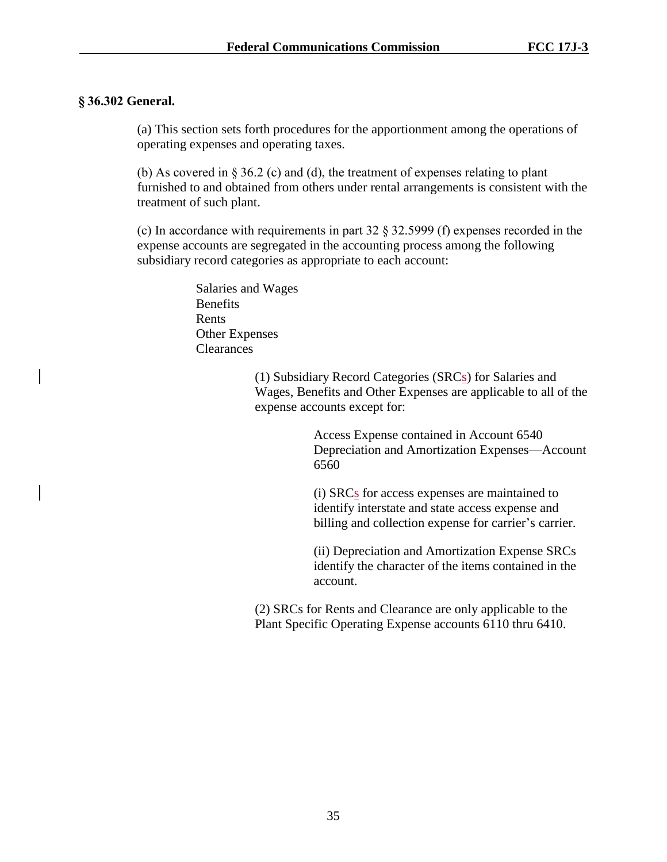## **§ 36.302 General.**

(a) This section sets forth procedures for the apportionment among the operations of operating expenses and operating taxes.

(b) As covered in § 36.2 (c) and (d), the treatment of expenses relating to plant furnished to and obtained from others under rental arrangements is consistent with the treatment of such plant.

(c) In accordance with requirements in part 32 § 32.5999 (f) expenses recorded in the expense accounts are segregated in the accounting process among the following subsidiary record categories as appropriate to each account:

> Salaries and Wages Benefits Rents Other Expenses **Clearances**

> > (1) Subsidiary Record Categories (SRCs) for Salaries and Wages, Benefits and Other Expenses are applicable to all of the expense accounts except for:

> > > Access Expense contained in Account 6540 Depreciation and Amortization Expenses—Account 6560

(i) SRCs for access expenses are maintained to identify interstate and state access expense and billing and collection expense for carrier's carrier.

(ii) Depreciation and Amortization Expense SRCs identify the character of the items contained in the account.

(2) SRCs for Rents and Clearance are only applicable to the Plant Specific Operating Expense accounts 6110 thru 6410.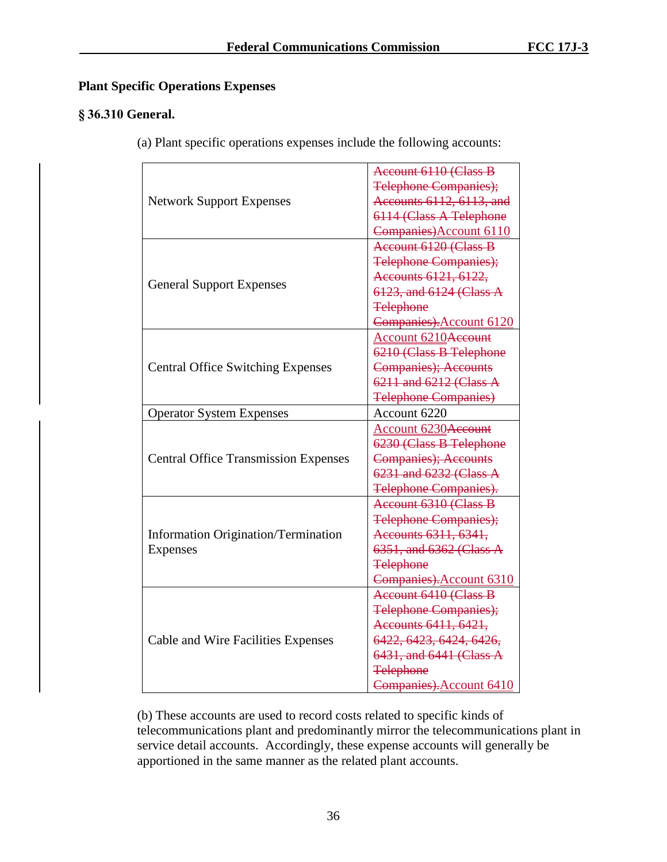# **Plant Specific Operations Expenses**

## **§ 36.310 General.**

(a) Plant specific operations expenses include the following accounts:

|                                             | <b>Account 6110 (Class B</b> |
|---------------------------------------------|------------------------------|
| <b>Network Support Expenses</b>             | <b>Telephone Companies);</b> |
|                                             | Accounts 6112, 6113, and     |
|                                             | 6114 (Class A Telephone      |
|                                             | Companies) Account 6110      |
|                                             | Account 6120 (Class B        |
|                                             | <b>Telephone Companies);</b> |
|                                             | Accounts 6121, 6122,         |
| <b>General Support Expenses</b>             | 6123, and 6124 (Class A      |
|                                             | <b>Telephone</b>             |
|                                             | Companies). Account 6120     |
|                                             | Account 6210Account          |
|                                             | 6210 (Class B Telephone      |
| <b>Central Office Switching Expenses</b>    | <b>Companies</b> ); Accounts |
|                                             | 6211 and 6212 (Class A       |
|                                             | <b>Telephone Companies)</b>  |
| <b>Operator System Expenses</b>             | Account 6220                 |
|                                             | Account 6230Account          |
|                                             | 6230 (Class B Telephone      |
| <b>Central Office Transmission Expenses</b> | <b>Companies</b> ); Accounts |
|                                             | 6231 and 6232 (Class A       |
|                                             | <b>Telephone Companies).</b> |
|                                             | Account 6310 (Class B        |
|                                             | <b>Telephone Companies);</b> |
| <b>Information Origination/Termination</b>  | Accounts 6311, 6341,         |
| <b>Expenses</b>                             | 6351, and 6362 (Class A      |
|                                             | <b>Telephone</b>             |
|                                             | Companies). Account 6310     |
|                                             | <b>Account 6410 (Class B</b> |
| Cable and Wire Facilities Expenses          | <b>Telephone Companies);</b> |
|                                             | Accounts 6411, 6421,         |
|                                             | 6422, 6423, 6424, 6426,      |
|                                             | 6431, and 6441 (Class A      |
|                                             | <b>Telephone</b>             |
|                                             | Companies). Account 6410     |

(b) These accounts are used to record costs related to specific kinds of telecommunications plant and predominantly mirror the telecommunications plant in service detail accounts. Accordingly, these expense accounts will generally be apportioned in the same manner as the related plant accounts.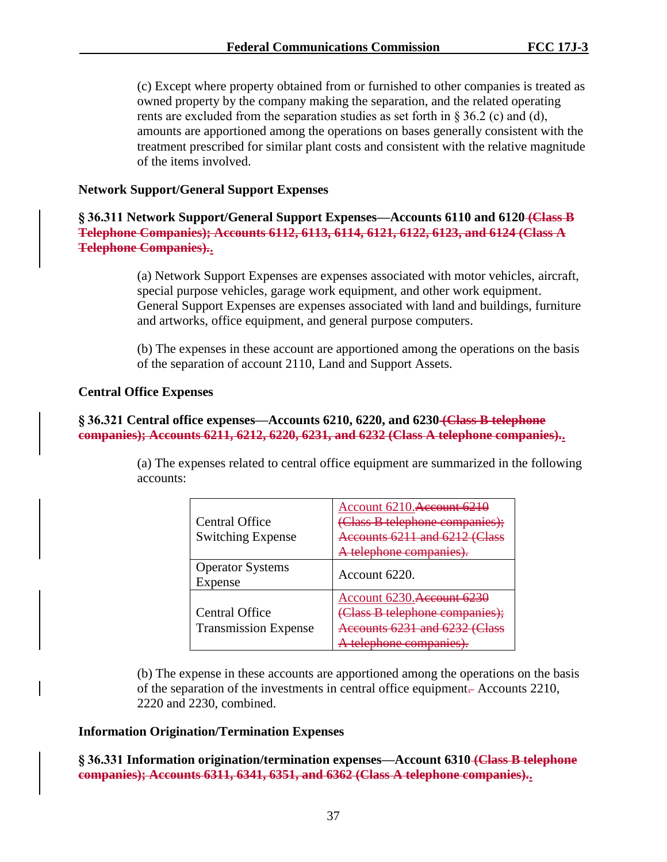(c) Except where property obtained from or furnished to other companies is treated as owned property by the company making the separation, and the related operating rents are excluded from the separation studies as set forth in  $\S 36.2$  (c) and (d), amounts are apportioned among the operations on bases generally consistent with the treatment prescribed for similar plant costs and consistent with the relative magnitude of the items involved.

## **Network Support/General Support Expenses**

**§ 36.311 Network Support/General Support Expenses—Accounts 6110 and 6120 (Class B Telephone Companies); Accounts 6112, 6113, 6114, 6121, 6122, 6123, and 6124 (Class A Telephone Companies)..**

> (a) Network Support Expenses are expenses associated with motor vehicles, aircraft, special purpose vehicles, garage work equipment, and other work equipment. General Support Expenses are expenses associated with land and buildings, furniture and artworks, office equipment, and general purpose computers.

> (b) The expenses in these account are apportioned among the operations on the basis of the separation of account 2110, Land and Support Assets.

## **Central Office Expenses**

## **§ 36.321 Central office expenses—Accounts 6210, 6220, and 6230 (Class B telephone companies); Accounts 6211, 6212, 6220, 6231, and 6232 (Class A telephone companies)..**

(a) The expenses related to central office equipment are summarized in the following accounts:

| <b>Central Office</b><br><b>Switching Expense</b> | Account 6210. <del>Account 62</del><br>(Class B telephone companies);<br>Accounts 6211 and 6212 (Class<br><del>, telephone companies</del> |
|---------------------------------------------------|--------------------------------------------------------------------------------------------------------------------------------------------|
| <b>Operator Systems</b>                           |                                                                                                                                            |
| Expense                                           | Account 6220.                                                                                                                              |
|                                                   | Account 6230. Account 6230                                                                                                                 |
| <b>Central Office</b>                             | Class B telephone companies);                                                                                                              |
| <b>Transmission Expense</b>                       | recounts $6231$ and $6232$ (C                                                                                                              |
|                                                   | hone compani                                                                                                                               |

(b) The expense in these accounts are apportioned among the operations on the basis of the separation of the investments in central office equipment. Accounts 2210, 2220 and 2230, combined.

## **Information Origination/Termination Expenses**

**§ 36.331 Information origination/termination expenses—Account 6310 (Class B telephone companies); Accounts 6311, 6341, 6351, and 6362 (Class A telephone companies)..**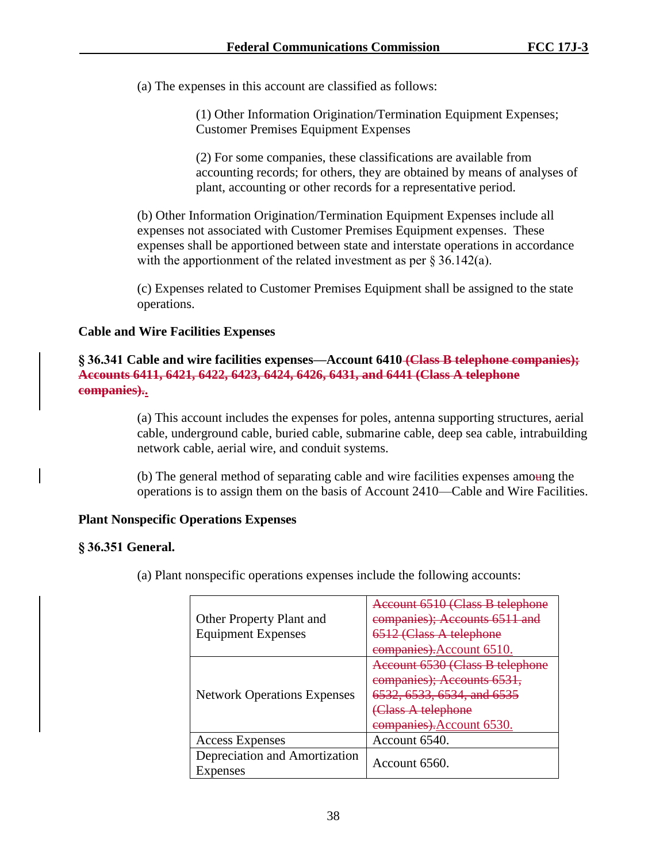(a) The expenses in this account are classified as follows:

(1) Other Information Origination/Termination Equipment Expenses; Customer Premises Equipment Expenses

(2) For some companies, these classifications are available from accounting records; for others, they are obtained by means of analyses of plant, accounting or other records for a representative period.

(b) Other Information Origination/Termination Equipment Expenses include all expenses not associated with Customer Premises Equipment expenses. These expenses shall be apportioned between state and interstate operations in accordance with the apportionment of the related investment as per § 36.142(a).

(c) Expenses related to Customer Premises Equipment shall be assigned to the state operations.

## **Cable and Wire Facilities Expenses**

**§ 36.341 Cable and wire facilities expenses—Account 6410 (Class B telephone companies); Accounts 6411, 6421, 6422, 6423, 6424, 6426, 6431, and 6441 (Class A telephone companies)..**

> (a) This account includes the expenses for poles, antenna supporting structures, aerial cable, underground cable, buried cable, submarine cable, deep sea cable, intrabuilding network cable, aerial wire, and conduit systems.

> (b) The general method of separating cable and wire facilities expenses amoung the operations is to assign them on the basis of Account 2410—Cable and Wire Facilities.

## **Plant Nonspecific Operations Expenses**

## **§ 36.351 General.**

(a) Plant nonspecific operations expenses include the following accounts:

|                                    | Account 6510 (Class B telephone      |
|------------------------------------|--------------------------------------|
| Other Property Plant and           | companies); Accounts 6511 and        |
| <b>Equipment Expenses</b>          | 6512 (Class A telephone              |
|                                    | <del>companies).</del> Account 6510. |
|                                    | Account 6530 (Class B telephone      |
| <b>Network Operations Expenses</b> | companies); Accounts 6531,           |
|                                    | 6532, 6533, 6534, and 6535           |
|                                    | (Class A telephone                   |
|                                    | <del>companies).</del> Account 6530. |
| <b>Access Expenses</b>             | Account 6540.                        |
| Depreciation and Amortization      |                                      |
| Expenses                           | Account 6560.                        |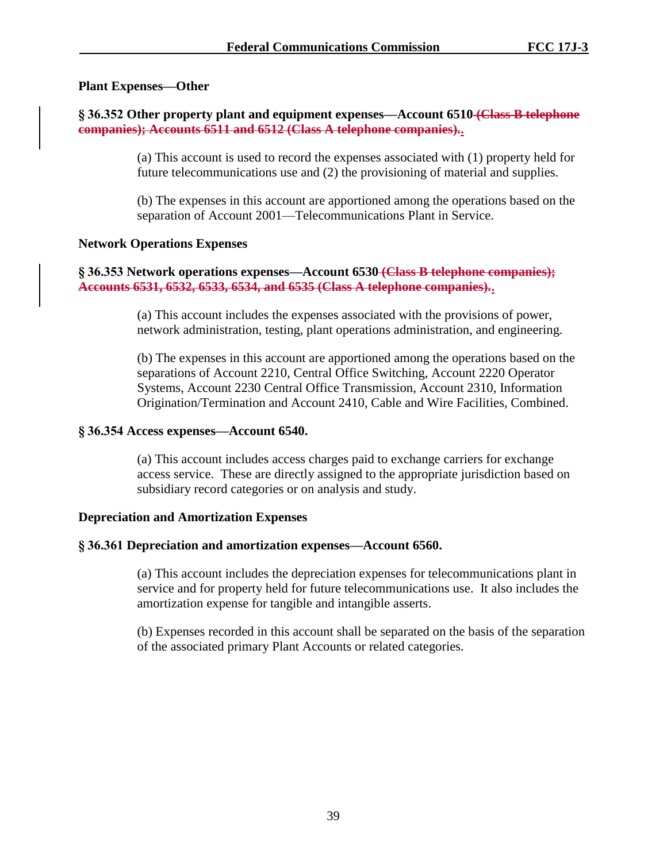## **Plant Expenses—Other**

# **§ 36.352 Other property plant and equipment expenses—Account 6510 (Class B telephone companies); Accounts 6511 and 6512 (Class A telephone companies)..**

(a) This account is used to record the expenses associated with (1) property held for future telecommunications use and (2) the provisioning of material and supplies.

(b) The expenses in this account are apportioned among the operations based on the separation of Account 2001—Telecommunications Plant in Service.

## **Network Operations Expenses**

## **§ 36.353 Network operations expenses—Account 6530 (Class B telephone companies); Accounts 6531, 6532, 6533, 6534, and 6535 (Class A telephone companies)..**

(a) This account includes the expenses associated with the provisions of power, network administration, testing, plant operations administration, and engineering.

(b) The expenses in this account are apportioned among the operations based on the separations of Account 2210, Central Office Switching, Account 2220 Operator Systems, Account 2230 Central Office Transmission, Account 2310, Information Origination/Termination and Account 2410, Cable and Wire Facilities, Combined.

## **§ 36.354 Access expenses—Account 6540.**

(a) This account includes access charges paid to exchange carriers for exchange access service. These are directly assigned to the appropriate jurisdiction based on subsidiary record categories or on analysis and study.

## **Depreciation and Amortization Expenses**

## **§ 36.361 Depreciation and amortization expenses—Account 6560.**

(a) This account includes the depreciation expenses for telecommunications plant in service and for property held for future telecommunications use. It also includes the amortization expense for tangible and intangible asserts.

(b) Expenses recorded in this account shall be separated on the basis of the separation of the associated primary Plant Accounts or related categories.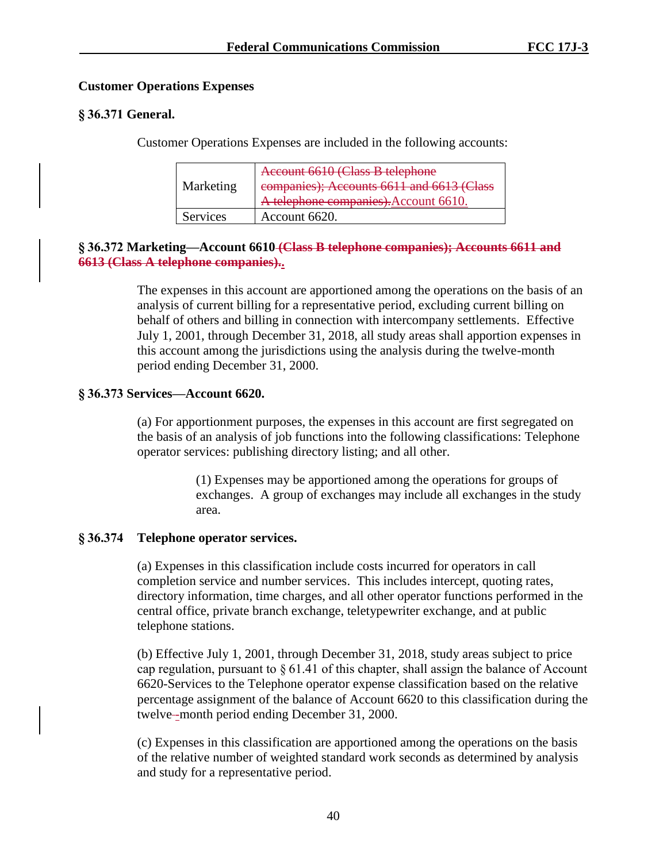## **Customer Operations Expenses**

# **§ 36.371 General.**

Customer Operations Expenses are included in the following accounts:

| Marketing       | Account 6610 (Class B telephone<br>companies); Accounts 6611 and 6613 (Class<br>A telephone companies). Account 6610. |
|-----------------|-----------------------------------------------------------------------------------------------------------------------|
| <b>Services</b> | Account 6620.                                                                                                         |

## **§ 36.372 Marketing—Account 6610 (Class B telephone companies); Accounts 6611 and 6613 (Class A telephone companies)..**

The expenses in this account are apportioned among the operations on the basis of an analysis of current billing for a representative period, excluding current billing on behalf of others and billing in connection with intercompany settlements. Effective July 1, 2001, through December 31, 2018, all study areas shall apportion expenses in this account among the jurisdictions using the analysis during the twelve-month period ending December 31, 2000.

# **§ 36.373 Services—Account 6620.**

(a) For apportionment purposes, the expenses in this account are first segregated on the basis of an analysis of job functions into the following classifications: Telephone operator services: publishing directory listing; and all other.

> (1) Expenses may be apportioned among the operations for groups of exchanges. A group of exchanges may include all exchanges in the study area.

# **§ 36.374 Telephone operator services.**

(a) Expenses in this classification include costs incurred for operators in call completion service and number services. This includes intercept, quoting rates, directory information, time charges, and all other operator functions performed in the central office, private branch exchange, teletypewriter exchange, and at public telephone stations.

(b) Effective July 1, 2001, through December 31, 2018, study areas subject to price cap regulation, pursuant to  $\S 61.41$  of this chapter, shall assign the balance of Account 6620-Services to the Telephone operator expense classification based on the relative percentage assignment of the balance of Account 6620 to this classification during the twelve-month period ending December 31, 2000.

(c) Expenses in this classification are apportioned among the operations on the basis of the relative number of weighted standard work seconds as determined by analysis and study for a representative period.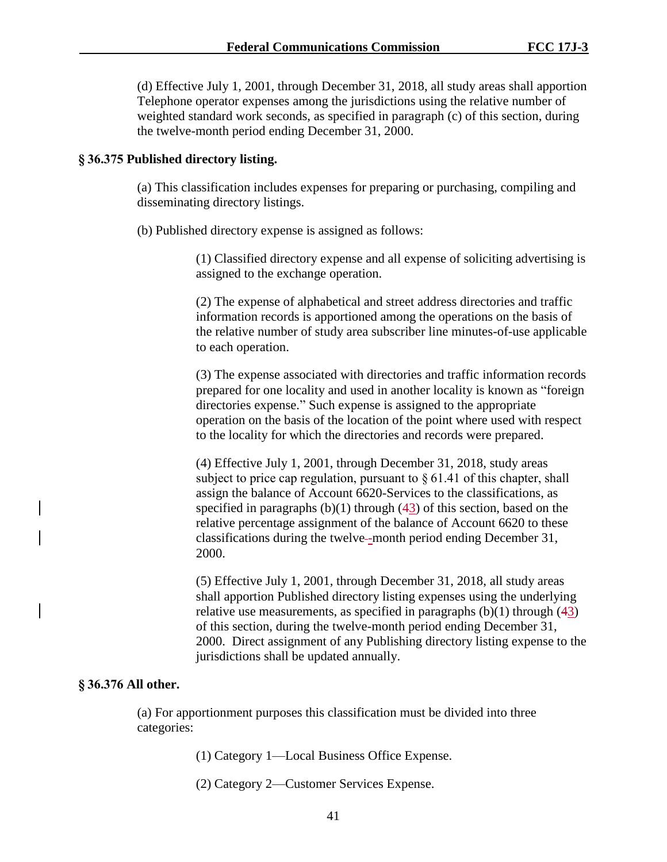(d) Effective July 1, 2001, through December 31, 2018, all study areas shall apportion Telephone operator expenses among the jurisdictions using the relative number of weighted standard work seconds, as specified in paragraph (c) of this section, during the twelve-month period ending December 31, 2000.

### **§ 36.375 Published directory listing.**

(a) This classification includes expenses for preparing or purchasing, compiling and disseminating directory listings.

(b) Published directory expense is assigned as follows:

(1) Classified directory expense and all expense of soliciting advertising is assigned to the exchange operation.

(2) The expense of alphabetical and street address directories and traffic information records is apportioned among the operations on the basis of the relative number of study area subscriber line minutes-of-use applicable to each operation.

(3) The expense associated with directories and traffic information records prepared for one locality and used in another locality is known as "foreign directories expense." Such expense is assigned to the appropriate operation on the basis of the location of the point where used with respect to the locality for which the directories and records were prepared.

(4) Effective July 1, 2001, through December 31, 2018, study areas subject to price cap regulation, pursuant to § 61.41 of this chapter, shall assign the balance of Account 6620-Services to the classifications, as specified in paragraphs  $(b)(1)$  through  $(43)$  of this section, based on the relative percentage assignment of the balance of Account 6620 to these classifications during the twelve--month period ending December 31, 2000.

(5) Effective July 1, 2001, through December 31, 2018, all study areas shall apportion Published directory listing expenses using the underlying relative use measurements, as specified in paragraphs (b)(1) through (43) of this section, during the twelve-month period ending December 31, 2000. Direct assignment of any Publishing directory listing expense to the jurisdictions shall be updated annually.

### **§ 36.376 All other.**

(a) For apportionment purposes this classification must be divided into three categories:

- (1) Category 1—Local Business Office Expense.
- (2) Category 2—Customer Services Expense.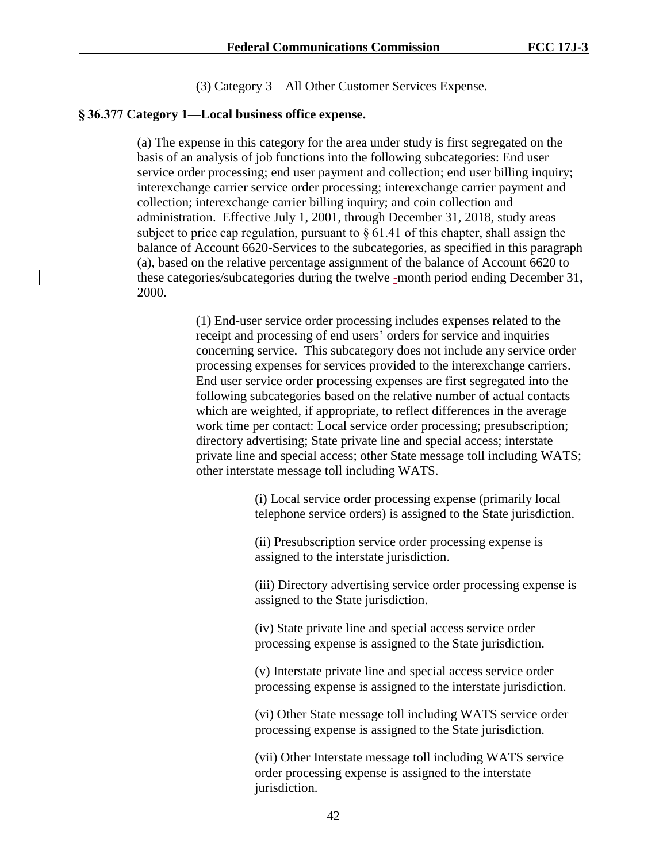(3) Category 3—All Other Customer Services Expense.

### **§ 36.377 Category 1—Local business office expense.**

(a) The expense in this category for the area under study is first segregated on the basis of an analysis of job functions into the following subcategories: End user service order processing; end user payment and collection; end user billing inquiry; interexchange carrier service order processing; interexchange carrier payment and collection; interexchange carrier billing inquiry; and coin collection and administration. Effective July 1, 2001, through December 31, 2018, study areas subject to price cap regulation, pursuant to  $\S 61.41$  of this chapter, shall assign the balance of Account 6620-Services to the subcategories, as specified in this paragraph (a), based on the relative percentage assignment of the balance of Account 6620 to these categories/subcategories during the twelve--month period ending December 31, 2000.

> (1) End-user service order processing includes expenses related to the receipt and processing of end users' orders for service and inquiries concerning service. This subcategory does not include any service order processing expenses for services provided to the interexchange carriers. End user service order processing expenses are first segregated into the following subcategories based on the relative number of actual contacts which are weighted, if appropriate, to reflect differences in the average work time per contact: Local service order processing; presubscription; directory advertising; State private line and special access; interstate private line and special access; other State message toll including WATS; other interstate message toll including WATS.

> > (i) Local service order processing expense (primarily local telephone service orders) is assigned to the State jurisdiction.

(ii) Presubscription service order processing expense is assigned to the interstate jurisdiction.

(iii) Directory advertising service order processing expense is assigned to the State jurisdiction.

(iv) State private line and special access service order processing expense is assigned to the State jurisdiction.

(v) Interstate private line and special access service order processing expense is assigned to the interstate jurisdiction.

(vi) Other State message toll including WATS service order processing expense is assigned to the State jurisdiction.

(vii) Other Interstate message toll including WATS service order processing expense is assigned to the interstate jurisdiction.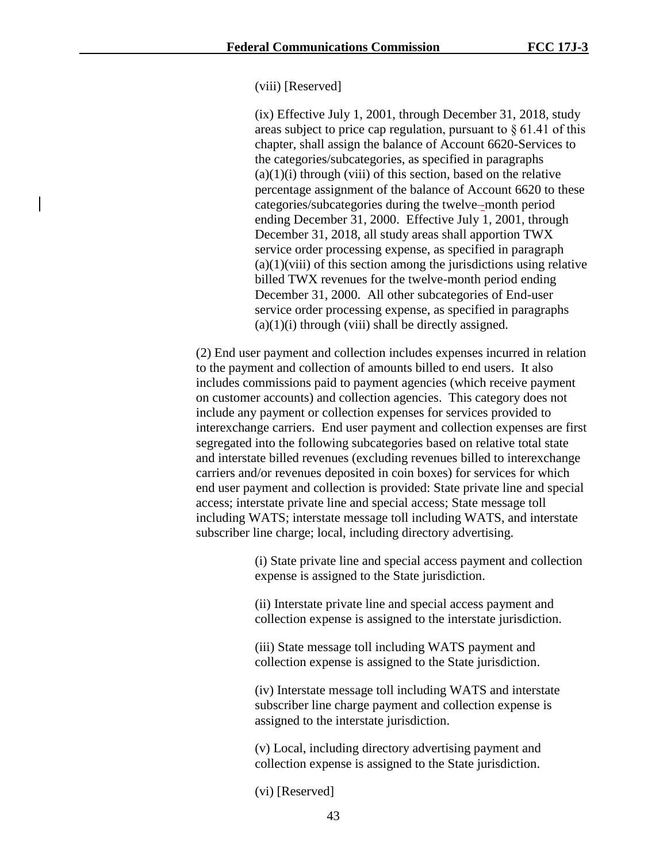### (viii) [Reserved]

(ix) Effective July 1, 2001, through December 31, 2018, study areas subject to price cap regulation, pursuant to § 61.41 of this chapter, shall assign the balance of Account 6620-Services to the categories/subcategories, as specified in paragraphs  $(a)(1)(i)$  through (viii) of this section, based on the relative percentage assignment of the balance of Account 6620 to these categories/subcategories during the twelve -month period ending December 31, 2000. Effective July 1, 2001, through December 31, 2018, all study areas shall apportion TWX service order processing expense, as specified in paragraph  $(a)(1)(viii)$  of this section among the jurisdictions using relative billed TWX revenues for the twelve-month period ending December 31, 2000. All other subcategories of End-user service order processing expense, as specified in paragraphs  $(a)(1)(i)$  through (viii) shall be directly assigned.

(2) End user payment and collection includes expenses incurred in relation to the payment and collection of amounts billed to end users. It also includes commissions paid to payment agencies (which receive payment on customer accounts) and collection agencies. This category does not include any payment or collection expenses for services provided to interexchange carriers. End user payment and collection expenses are first segregated into the following subcategories based on relative total state and interstate billed revenues (excluding revenues billed to interexchange carriers and/or revenues deposited in coin boxes) for services for which end user payment and collection is provided: State private line and special access; interstate private line and special access; State message toll including WATS; interstate message toll including WATS, and interstate subscriber line charge; local, including directory advertising.

> (i) State private line and special access payment and collection expense is assigned to the State jurisdiction.

(ii) Interstate private line and special access payment and collection expense is assigned to the interstate jurisdiction.

(iii) State message toll including WATS payment and collection expense is assigned to the State jurisdiction.

(iv) Interstate message toll including WATS and interstate subscriber line charge payment and collection expense is assigned to the interstate jurisdiction.

(v) Local, including directory advertising payment and collection expense is assigned to the State jurisdiction.

(vi) [Reserved]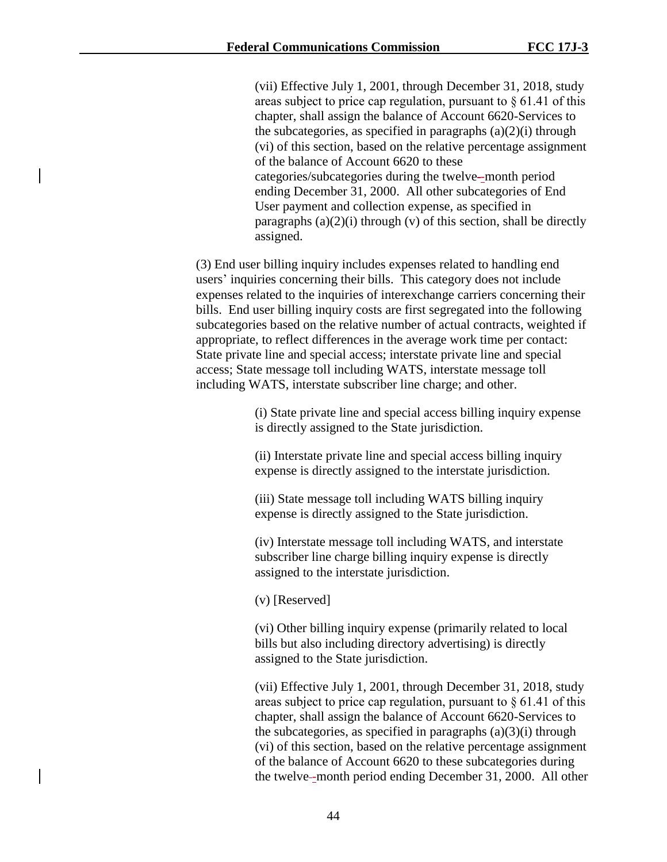(vii) Effective July 1, 2001, through December 31, 2018, study areas subject to price cap regulation, pursuant to § 61.41 of this chapter, shall assign the balance of Account 6620-Services to the subcategories, as specified in paragraphs  $(a)(2)(i)$  through (vi) of this section, based on the relative percentage assignment of the balance of Account 6620 to these categories/subcategories during the twelve -month period ending December 31, 2000. All other subcategories of End User payment and collection expense, as specified in paragraphs  $(a)(2)(i)$  through  $(v)$  of this section, shall be directly assigned.

(3) End user billing inquiry includes expenses related to handling end users' inquiries concerning their bills. This category does not include expenses related to the inquiries of interexchange carriers concerning their bills. End user billing inquiry costs are first segregated into the following subcategories based on the relative number of actual contracts, weighted if appropriate, to reflect differences in the average work time per contact: State private line and special access; interstate private line and special access; State message toll including WATS, interstate message toll including WATS, interstate subscriber line charge; and other.

> (i) State private line and special access billing inquiry expense is directly assigned to the State jurisdiction.

(ii) Interstate private line and special access billing inquiry expense is directly assigned to the interstate jurisdiction.

(iii) State message toll including WATS billing inquiry expense is directly assigned to the State jurisdiction.

(iv) Interstate message toll including WATS, and interstate subscriber line charge billing inquiry expense is directly assigned to the interstate jurisdiction.

(v) [Reserved]

(vi) Other billing inquiry expense (primarily related to local bills but also including directory advertising) is directly assigned to the State jurisdiction.

(vii) Effective July 1, 2001, through December 31, 2018, study areas subject to price cap regulation, pursuant to § 61.41 of this chapter, shall assign the balance of Account 6620-Services to the subcategories, as specified in paragraphs  $(a)(3)(i)$  through (vi) of this section, based on the relative percentage assignment of the balance of Account 6620 to these subcategories during the twelve--month period ending December 31, 2000. All other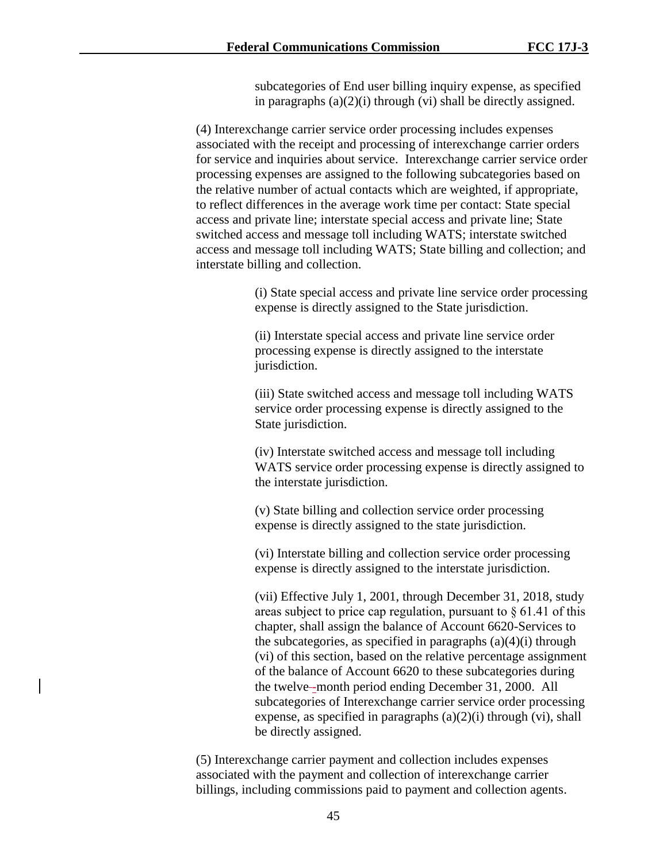subcategories of End user billing inquiry expense, as specified in paragraphs (a)(2)(i) through (vi) shall be directly assigned.

(4) Interexchange carrier service order processing includes expenses associated with the receipt and processing of interexchange carrier orders for service and inquiries about service. Interexchange carrier service order processing expenses are assigned to the following subcategories based on the relative number of actual contacts which are weighted, if appropriate, to reflect differences in the average work time per contact: State special access and private line; interstate special access and private line; State switched access and message toll including WATS; interstate switched access and message toll including WATS; State billing and collection; and interstate billing and collection.

> (i) State special access and private line service order processing expense is directly assigned to the State jurisdiction.

(ii) Interstate special access and private line service order processing expense is directly assigned to the interstate jurisdiction.

(iii) State switched access and message toll including WATS service order processing expense is directly assigned to the State jurisdiction.

(iv) Interstate switched access and message toll including WATS service order processing expense is directly assigned to the interstate jurisdiction.

(v) State billing and collection service order processing expense is directly assigned to the state jurisdiction.

(vi) Interstate billing and collection service order processing expense is directly assigned to the interstate jurisdiction.

(vii) Effective July 1, 2001, through December 31, 2018, study areas subject to price cap regulation, pursuant to  $\S 61.41$  of this chapter, shall assign the balance of Account 6620-Services to the subcategories, as specified in paragraphs  $(a)(4)(i)$  through (vi) of this section, based on the relative percentage assignment of the balance of Account 6620 to these subcategories during the twelve--month period ending December 31, 2000. All subcategories of Interexchange carrier service order processing expense, as specified in paragraphs  $(a)(2)(i)$  through  $(vi)$ , shall be directly assigned.

(5) Interexchange carrier payment and collection includes expenses associated with the payment and collection of interexchange carrier billings, including commissions paid to payment and collection agents.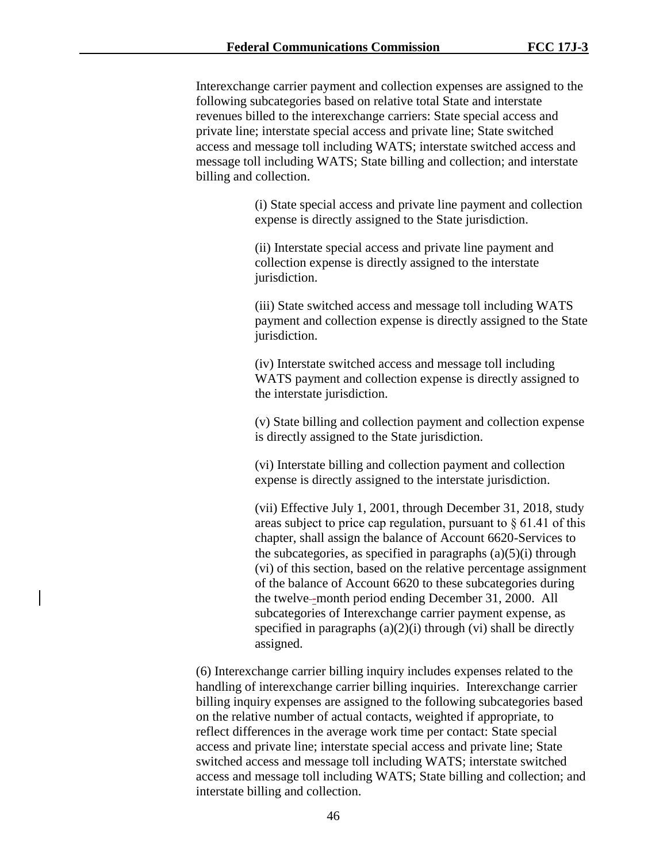Interexchange carrier payment and collection expenses are assigned to the following subcategories based on relative total State and interstate revenues billed to the interexchange carriers: State special access and private line; interstate special access and private line; State switched access and message toll including WATS; interstate switched access and message toll including WATS; State billing and collection; and interstate billing and collection.

> (i) State special access and private line payment and collection expense is directly assigned to the State jurisdiction.

(ii) Interstate special access and private line payment and collection expense is directly assigned to the interstate jurisdiction.

(iii) State switched access and message toll including WATS payment and collection expense is directly assigned to the State jurisdiction.

(iv) Interstate switched access and message toll including WATS payment and collection expense is directly assigned to the interstate jurisdiction.

(v) State billing and collection payment and collection expense is directly assigned to the State jurisdiction.

(vi) Interstate billing and collection payment and collection expense is directly assigned to the interstate jurisdiction.

(vii) Effective July 1, 2001, through December 31, 2018, study areas subject to price cap regulation, pursuant to  $\S 61.41$  of this chapter, shall assign the balance of Account 6620-Services to the subcategories, as specified in paragraphs  $(a)(5)(i)$  through (vi) of this section, based on the relative percentage assignment of the balance of Account 6620 to these subcategories during the twelve--month period ending December 31, 2000. All subcategories of Interexchange carrier payment expense, as specified in paragraphs  $(a)(2)(i)$  through  $(vi)$  shall be directly assigned.

(6) Interexchange carrier billing inquiry includes expenses related to the handling of interexchange carrier billing inquiries. Interexchange carrier billing inquiry expenses are assigned to the following subcategories based on the relative number of actual contacts, weighted if appropriate, to reflect differences in the average work time per contact: State special access and private line; interstate special access and private line; State switched access and message toll including WATS; interstate switched access and message toll including WATS; State billing and collection; and interstate billing and collection.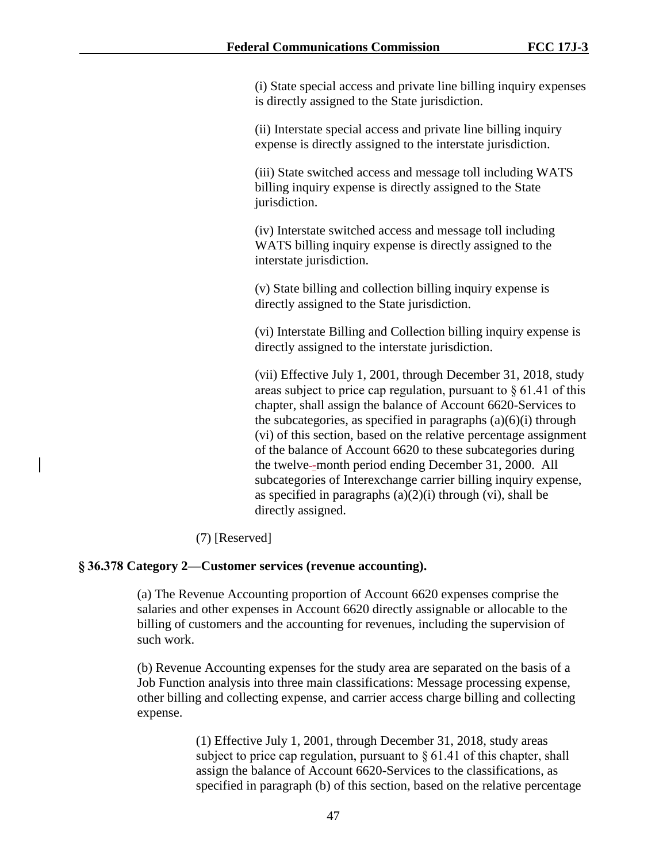(i) State special access and private line billing inquiry expenses is directly assigned to the State jurisdiction.

(ii) Interstate special access and private line billing inquiry expense is directly assigned to the interstate jurisdiction.

(iii) State switched access and message toll including WATS billing inquiry expense is directly assigned to the State jurisdiction.

(iv) Interstate switched access and message toll including WATS billing inquiry expense is directly assigned to the interstate jurisdiction.

(v) State billing and collection billing inquiry expense is directly assigned to the State jurisdiction.

(vi) Interstate Billing and Collection billing inquiry expense is directly assigned to the interstate jurisdiction.

(vii) Effective July 1, 2001, through December 31, 2018, study areas subject to price cap regulation, pursuant to  $\S 61.41$  of this chapter, shall assign the balance of Account 6620-Services to the subcategories, as specified in paragraphs  $(a)(6)(i)$  through (vi) of this section, based on the relative percentage assignment of the balance of Account 6620 to these subcategories during the twelve--month period ending December 31, 2000. All subcategories of Interexchange carrier billing inquiry expense, as specified in paragraphs  $(a)(2)(i)$  through  $(vi)$ , shall be directly assigned.

# (7) [Reserved]

## **§ 36.378 Category 2—Customer services (revenue accounting).**

(a) The Revenue Accounting proportion of Account 6620 expenses comprise the salaries and other expenses in Account 6620 directly assignable or allocable to the billing of customers and the accounting for revenues, including the supervision of such work.

(b) Revenue Accounting expenses for the study area are separated on the basis of a Job Function analysis into three main classifications: Message processing expense, other billing and collecting expense, and carrier access charge billing and collecting expense.

> (1) Effective July 1, 2001, through December 31, 2018, study areas subject to price cap regulation, pursuant to  $\S 61.41$  of this chapter, shall assign the balance of Account 6620-Services to the classifications, as specified in paragraph (b) of this section, based on the relative percentage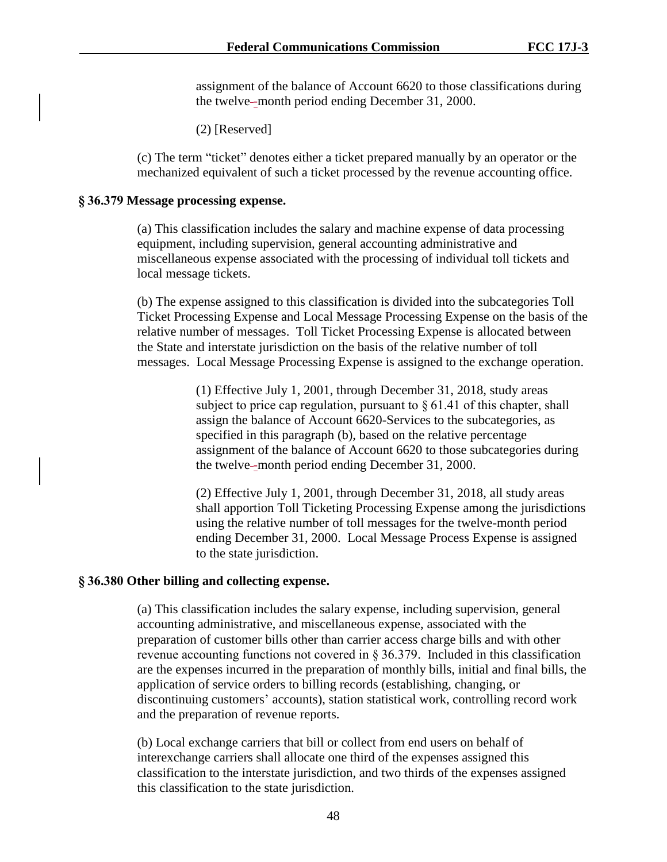assignment of the balance of Account 6620 to those classifications during the twelve--month period ending December 31, 2000.

(2) [Reserved]

(c) The term "ticket" denotes either a ticket prepared manually by an operator or the mechanized equivalent of such a ticket processed by the revenue accounting office.

### **§ 36.379 Message processing expense.**

(a) This classification includes the salary and machine expense of data processing equipment, including supervision, general accounting administrative and miscellaneous expense associated with the processing of individual toll tickets and local message tickets.

(b) The expense assigned to this classification is divided into the subcategories Toll Ticket Processing Expense and Local Message Processing Expense on the basis of the relative number of messages. Toll Ticket Processing Expense is allocated between the State and interstate jurisdiction on the basis of the relative number of toll messages. Local Message Processing Expense is assigned to the exchange operation.

> (1) Effective July 1, 2001, through December 31, 2018, study areas subject to price cap regulation, pursuant to  $\S 61.41$  of this chapter, shall assign the balance of Account 6620-Services to the subcategories, as specified in this paragraph (b), based on the relative percentage assignment of the balance of Account 6620 to those subcategories during the twelve--month period ending December 31, 2000.

(2) Effective July 1, 2001, through December 31, 2018, all study areas shall apportion Toll Ticketing Processing Expense among the jurisdictions using the relative number of toll messages for the twelve-month period ending December 31, 2000. Local Message Process Expense is assigned to the state jurisdiction.

## **§ 36.380 Other billing and collecting expense.**

(a) This classification includes the salary expense, including supervision, general accounting administrative, and miscellaneous expense, associated with the preparation of customer bills other than carrier access charge bills and with other revenue accounting functions not covered in § 36.379. Included in this classification are the expenses incurred in the preparation of monthly bills, initial and final bills, the application of service orders to billing records (establishing, changing, or discontinuing customers' accounts), station statistical work, controlling record work and the preparation of revenue reports.

(b) Local exchange carriers that bill or collect from end users on behalf of interexchange carriers shall allocate one third of the expenses assigned this classification to the interstate jurisdiction, and two thirds of the expenses assigned this classification to the state jurisdiction.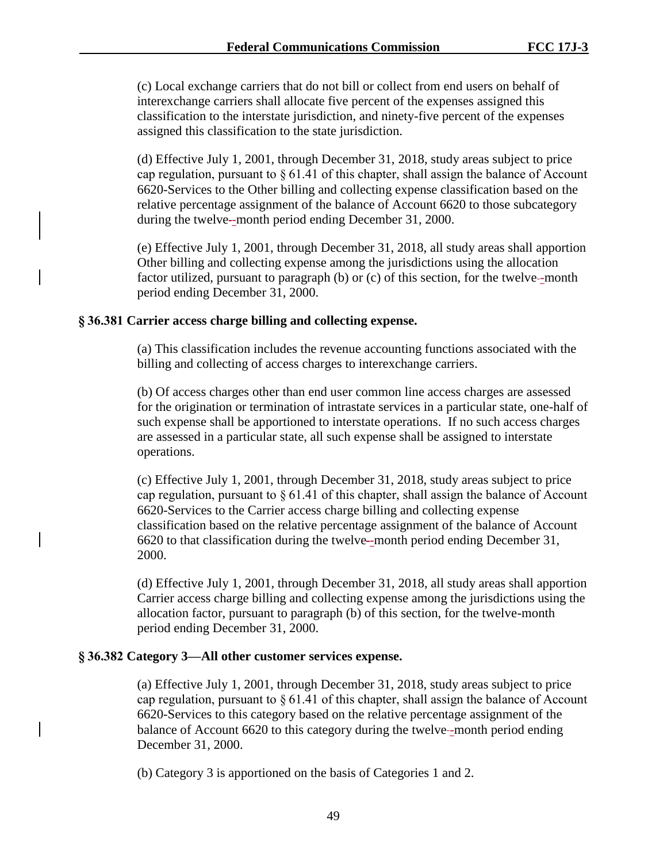(c) Local exchange carriers that do not bill or collect from end users on behalf of interexchange carriers shall allocate five percent of the expenses assigned this classification to the interstate jurisdiction, and ninety-five percent of the expenses assigned this classification to the state jurisdiction.

(d) Effective July 1, 2001, through December 31, 2018, study areas subject to price cap regulation, pursuant to  $\S 61.41$  of this chapter, shall assign the balance of Account 6620-Services to the Other billing and collecting expense classification based on the relative percentage assignment of the balance of Account 6620 to those subcategory during the twelve-month period ending December 31, 2000.

(e) Effective July 1, 2001, through December 31, 2018, all study areas shall apportion Other billing and collecting expense among the jurisdictions using the allocation factor utilized, pursuant to paragraph  $(b)$  or  $(c)$  of this section, for the twelve-month period ending December 31, 2000.

## **§ 36.381 Carrier access charge billing and collecting expense.**

(a) This classification includes the revenue accounting functions associated with the billing and collecting of access charges to interexchange carriers.

(b) Of access charges other than end user common line access charges are assessed for the origination or termination of intrastate services in a particular state, one-half of such expense shall be apportioned to interstate operations. If no such access charges are assessed in a particular state, all such expense shall be assigned to interstate operations.

(c) Effective July 1, 2001, through December 31, 2018, study areas subject to price cap regulation, pursuant to  $\S 61.41$  of this chapter, shall assign the balance of Account 6620-Services to the Carrier access charge billing and collecting expense classification based on the relative percentage assignment of the balance of Account 6620 to that classification during the twelve -month period ending December 31, 2000.

(d) Effective July 1, 2001, through December 31, 2018, all study areas shall apportion Carrier access charge billing and collecting expense among the jurisdictions using the allocation factor, pursuant to paragraph (b) of this section, for the twelve-month period ending December 31, 2000.

## **§ 36.382 Category 3—All other customer services expense.**

(a) Effective July 1, 2001, through December 31, 2018, study areas subject to price cap regulation, pursuant to  $\S 61.41$  of this chapter, shall assign the balance of Account 6620-Services to this category based on the relative percentage assignment of the balance of Account 6620 to this category during the twelve-month period ending December 31, 2000.

(b) Category 3 is apportioned on the basis of Categories 1 and 2.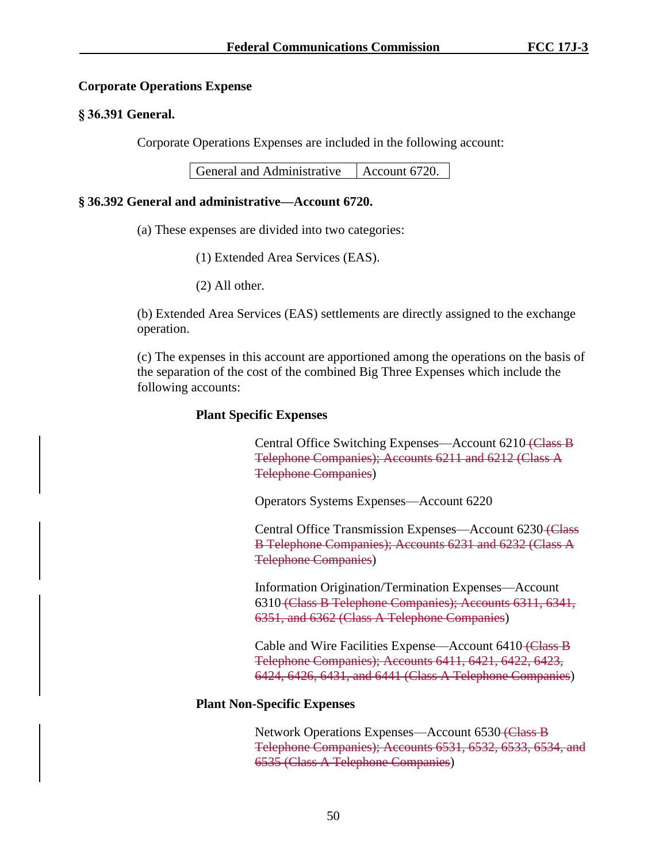### **Corporate Operations Expense**

### **§ 36.391 General.**

Corporate Operations Expenses are included in the following account:

### **§ 36.392 General and administrative—Account 6720.**

- (a) These expenses are divided into two categories:
	- (1) Extended Area Services (EAS).
	- (2) All other.

(b) Extended Area Services (EAS) settlements are directly assigned to the exchange operation.

(c) The expenses in this account are apportioned among the operations on the basis of the separation of the cost of the combined Big Three Expenses which include the following accounts:

### **Plant Specific Expenses**

Central Office Switching Expenses—Account 6210 (Class B Telephone Companies); Accounts 6211 and 6212 (Class A Telephone Companies)

Operators Systems Expenses—Account 6220

Central Office Transmission Expenses—Account 6230 (Class B Telephone Companies); Accounts 6231 and 6232 (Class A Telephone Companies)

Information Origination/Termination Expenses—Account 6310 (Class B Telephone Companies); Accounts 6311, 6341, 6351, and 6362 (Class A Telephone Companies)

Cable and Wire Facilities Expense—Account 6410 (Class B Telephone Companies); Accounts 6411, 6421, 6422, 6423, 6424, 6426, 6431, and 6441 (Class A Telephone Companies)

## **Plant Non-Specific Expenses**

Network Operations Expenses—Account 6530 (Class B) Telephone Companies); Accounts 6531, 6532, 6533, 6534, and 6535 (Class A Telephone Companies)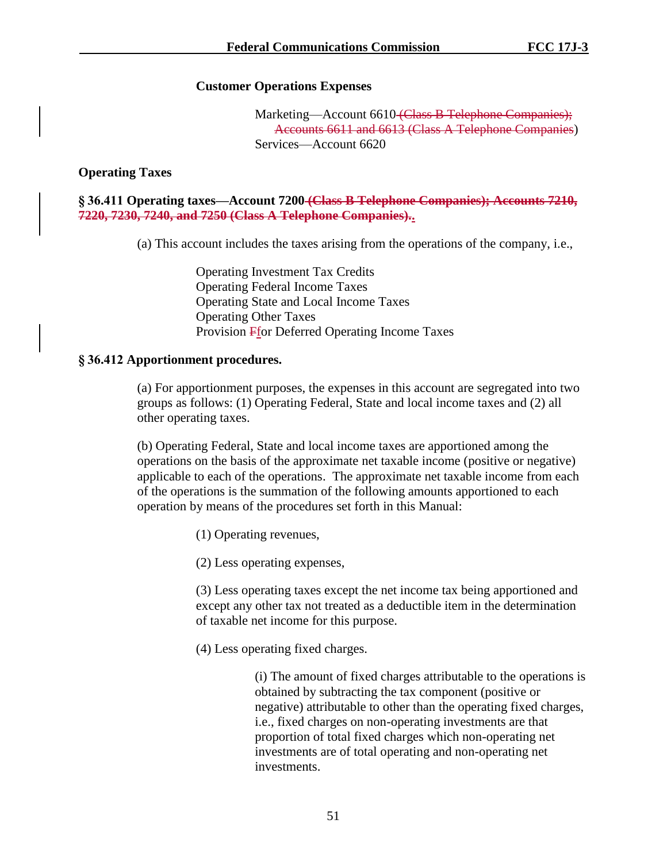# **Customer Operations Expenses**

Marketing—Account 6610 (Class B Telephone Companies); Accounts 6611 and 6613 (Class A Telephone Companies) Services—Account 6620

# **Operating Taxes**

**§ 36.411 Operating taxes—Account 7200 (Class B Telephone Companies); Accounts 7210, 7220, 7230, 7240, and 7250 (Class A Telephone Companies)..**

(a) This account includes the taxes arising from the operations of the company, i.e.,

Operating Investment Tax Credits Operating Federal Income Taxes Operating State and Local Income Taxes Operating Other Taxes Provision Ffor Deferred Operating Income Taxes

# **§ 36.412 Apportionment procedures.**

(a) For apportionment purposes, the expenses in this account are segregated into two groups as follows: (1) Operating Federal, State and local income taxes and (2) all other operating taxes.

(b) Operating Federal, State and local income taxes are apportioned among the operations on the basis of the approximate net taxable income (positive or negative) applicable to each of the operations. The approximate net taxable income from each of the operations is the summation of the following amounts apportioned to each operation by means of the procedures set forth in this Manual:

- (1) Operating revenues,
- (2) Less operating expenses,

(3) Less operating taxes except the net income tax being apportioned and except any other tax not treated as a deductible item in the determination of taxable net income for this purpose.

(4) Less operating fixed charges.

(i) The amount of fixed charges attributable to the operations is obtained by subtracting the tax component (positive or negative) attributable to other than the operating fixed charges, i.e., fixed charges on non-operating investments are that proportion of total fixed charges which non-operating net investments are of total operating and non-operating net investments.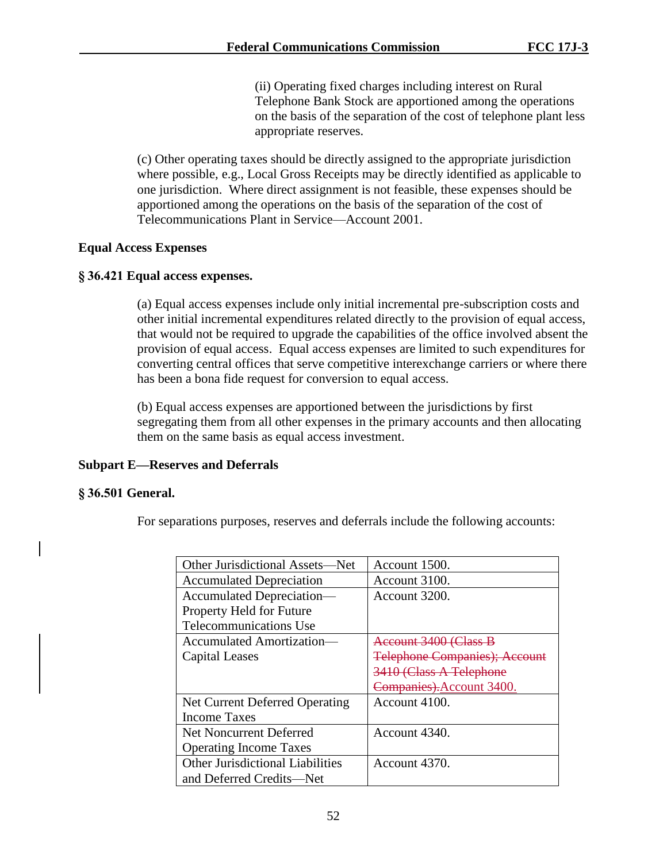(ii) Operating fixed charges including interest on Rural Telephone Bank Stock are apportioned among the operations on the basis of the separation of the cost of telephone plant less appropriate reserves.

(c) Other operating taxes should be directly assigned to the appropriate jurisdiction where possible, e.g., Local Gross Receipts may be directly identified as applicable to one jurisdiction. Where direct assignment is not feasible, these expenses should be apportioned among the operations on the basis of the separation of the cost of Telecommunications Plant in Service—Account 2001.

## **Equal Access Expenses**

## **§ 36.421 Equal access expenses.**

(a) Equal access expenses include only initial incremental pre-subscription costs and other initial incremental expenditures related directly to the provision of equal access, that would not be required to upgrade the capabilities of the office involved absent the provision of equal access. Equal access expenses are limited to such expenditures for converting central offices that serve competitive interexchange carriers or where there has been a bona fide request for conversion to equal access.

(b) Equal access expenses are apportioned between the jurisdictions by first segregating them from all other expenses in the primary accounts and then allocating them on the same basis as equal access investment.

# **Subpart E—Reserves and Deferrals**

## **§ 36.501 General.**

For separations purposes, reserves and deferrals include the following accounts:

| Other Jurisdictional Assets-Net         | Account 1500.                         |
|-----------------------------------------|---------------------------------------|
| <b>Accumulated Depreciation</b>         | Account 3100.                         |
| Accumulated Depreciation-               | Account 3200.                         |
| Property Held for Future                |                                       |
| Telecommunications Use                  |                                       |
| Accumulated Amortization—               | Account 3400 (Class B                 |
| Capital Leases                          | <b>Telephone Companies</b> ); Account |
|                                         | 3410 (Class A Telephone               |
|                                         | Companies). Account 3400.             |
| Net Current Deferred Operating          | Account 4100.                         |
| <b>Income Taxes</b>                     |                                       |
| Net Noncurrent Deferred                 | Account 4340.                         |
| <b>Operating Income Taxes</b>           |                                       |
| <b>Other Jurisdictional Liabilities</b> | Account 4370.                         |
| and Deferred Credits—Net                |                                       |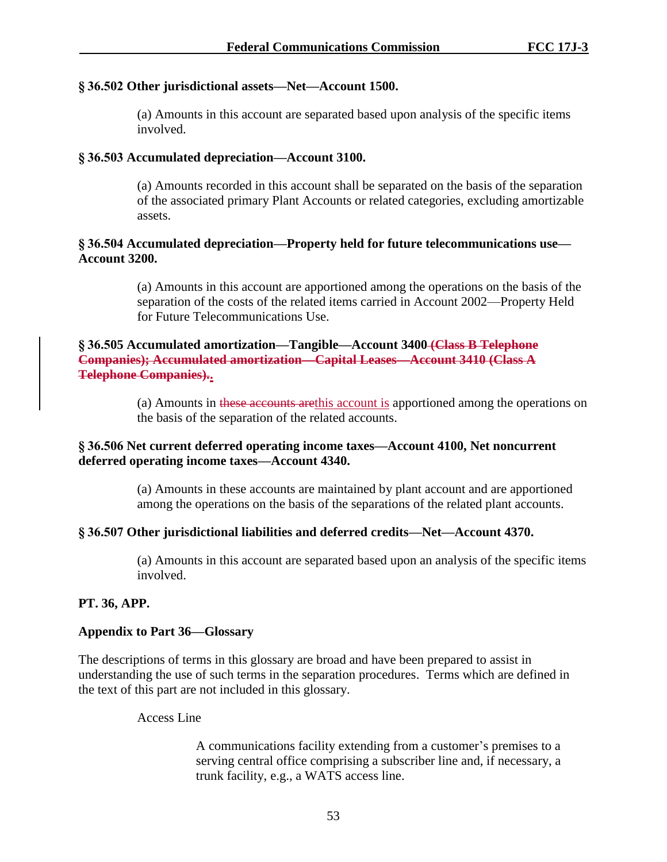## **§ 36.502 Other jurisdictional assets—Net—Account 1500.**

(a) Amounts in this account are separated based upon analysis of the specific items involved.

## **§ 36.503 Accumulated depreciation—Account 3100.**

(a) Amounts recorded in this account shall be separated on the basis of the separation of the associated primary Plant Accounts or related categories, excluding amortizable assets.

## **§ 36.504 Accumulated depreciation—Property held for future telecommunications use— Account 3200.**

(a) Amounts in this account are apportioned among the operations on the basis of the separation of the costs of the related items carried in Account 2002—Property Held for Future Telecommunications Use.

**§ 36.505 Accumulated amortization—Tangible—Account 3400 (Class B Telephone Companies); Accumulated amortization—Capital Leases—Account 3410 (Class A Telephone Companies)..**

> (a) Amounts in these accounts are this account is apportioned among the operations on the basis of the separation of the related accounts.

## **§ 36.506 Net current deferred operating income taxes—Account 4100, Net noncurrent deferred operating income taxes—Account 4340.**

(a) Amounts in these accounts are maintained by plant account and are apportioned among the operations on the basis of the separations of the related plant accounts.

## **§ 36.507 Other jurisdictional liabilities and deferred credits—Net—Account 4370.**

(a) Amounts in this account are separated based upon an analysis of the specific items involved.

# **PT. 36, APP.**

## **Appendix to Part 36—Glossary**

The descriptions of terms in this glossary are broad and have been prepared to assist in understanding the use of such terms in the separation procedures. Terms which are defined in the text of this part are not included in this glossary.

Access Line

A communications facility extending from a customer's premises to a serving central office comprising a subscriber line and, if necessary, a trunk facility, e.g., a WATS access line.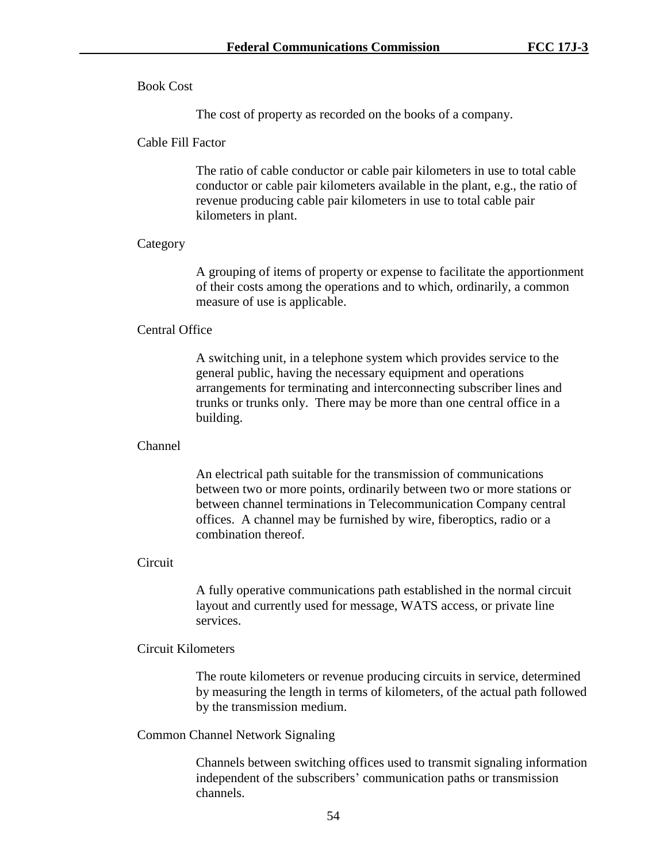## Book Cost

The cost of property as recorded on the books of a company.

### Cable Fill Factor

The ratio of cable conductor or cable pair kilometers in use to total cable conductor or cable pair kilometers available in the plant, e.g., the ratio of revenue producing cable pair kilometers in use to total cable pair kilometers in plant.

### Category

A grouping of items of property or expense to facilitate the apportionment of their costs among the operations and to which, ordinarily, a common measure of use is applicable.

## Central Office

A switching unit, in a telephone system which provides service to the general public, having the necessary equipment and operations arrangements for terminating and interconnecting subscriber lines and trunks or trunks only. There may be more than one central office in a building.

### Channel

An electrical path suitable for the transmission of communications between two or more points, ordinarily between two or more stations or between channel terminations in Telecommunication Company central offices. A channel may be furnished by wire, fiberoptics, radio or a combination thereof.

### **Circuit**

A fully operative communications path established in the normal circuit layout and currently used for message, WATS access, or private line services.

### Circuit Kilometers

The route kilometers or revenue producing circuits in service, determined by measuring the length in terms of kilometers, of the actual path followed by the transmission medium.

## Common Channel Network Signaling

Channels between switching offices used to transmit signaling information independent of the subscribers' communication paths or transmission channels.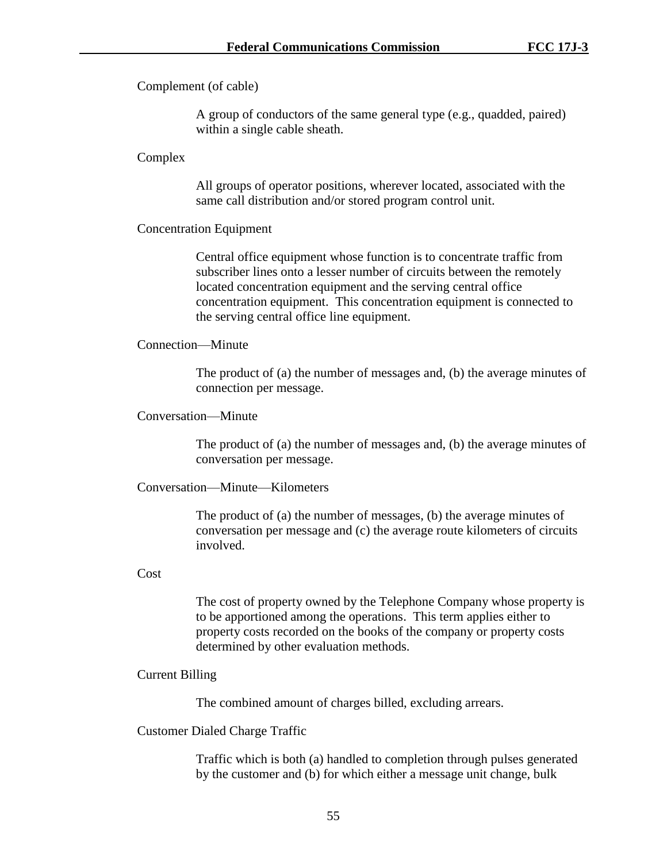Complement (of cable)

A group of conductors of the same general type (e.g., quadded, paired) within a single cable sheath.

### Complex

All groups of operator positions, wherever located, associated with the same call distribution and/or stored program control unit.

### Concentration Equipment

Central office equipment whose function is to concentrate traffic from subscriber lines onto a lesser number of circuits between the remotely located concentration equipment and the serving central office concentration equipment. This concentration equipment is connected to the serving central office line equipment.

### Connection—Minute

The product of (a) the number of messages and, (b) the average minutes of connection per message.

### Conversation—Minute

The product of (a) the number of messages and, (b) the average minutes of conversation per message.

### Conversation—Minute—Kilometers

The product of (a) the number of messages, (b) the average minutes of conversation per message and (c) the average route kilometers of circuits involved.

### Cost

The cost of property owned by the Telephone Company whose property is to be apportioned among the operations. This term applies either to property costs recorded on the books of the company or property costs determined by other evaluation methods.

### Current Billing

The combined amount of charges billed, excluding arrears.

## Customer Dialed Charge Traffic

Traffic which is both (a) handled to completion through pulses generated by the customer and (b) for which either a message unit change, bulk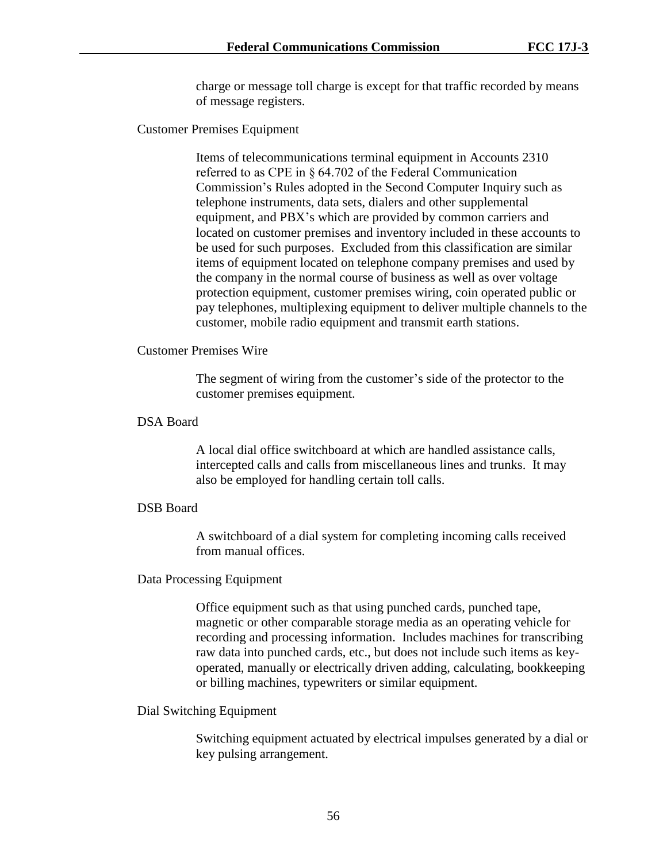charge or message toll charge is except for that traffic recorded by means of message registers.

Customer Premises Equipment

Items of telecommunications terminal equipment in Accounts 2310 referred to as CPE in § 64.702 of the Federal Communication Commission's Rules adopted in the Second Computer Inquiry such as telephone instruments, data sets, dialers and other supplemental equipment, and PBX's which are provided by common carriers and located on customer premises and inventory included in these accounts to be used for such purposes. Excluded from this classification are similar items of equipment located on telephone company premises and used by the company in the normal course of business as well as over voltage protection equipment, customer premises wiring, coin operated public or pay telephones, multiplexing equipment to deliver multiple channels to the customer, mobile radio equipment and transmit earth stations.

## Customer Premises Wire

The segment of wiring from the customer's side of the protector to the customer premises equipment.

## DSA Board

A local dial office switchboard at which are handled assistance calls, intercepted calls and calls from miscellaneous lines and trunks. It may also be employed for handling certain toll calls.

## DSB Board

A switchboard of a dial system for completing incoming calls received from manual offices.

## Data Processing Equipment

Office equipment such as that using punched cards, punched tape, magnetic or other comparable storage media as an operating vehicle for recording and processing information. Includes machines for transcribing raw data into punched cards, etc., but does not include such items as keyoperated, manually or electrically driven adding, calculating, bookkeeping or billing machines, typewriters or similar equipment.

## Dial Switching Equipment

Switching equipment actuated by electrical impulses generated by a dial or key pulsing arrangement.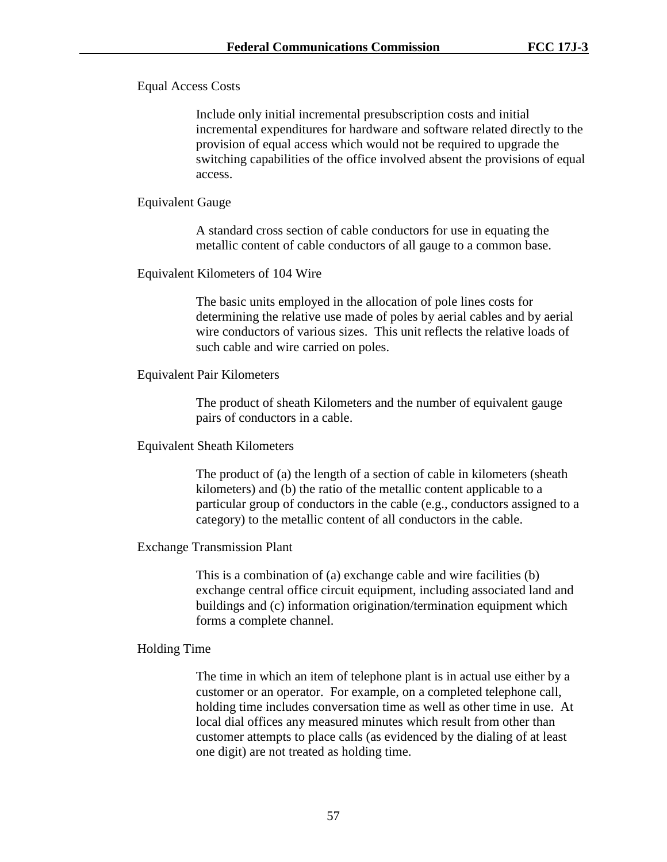Equal Access Costs

Include only initial incremental presubscription costs and initial incremental expenditures for hardware and software related directly to the provision of equal access which would not be required to upgrade the switching capabilities of the office involved absent the provisions of equal access.

### Equivalent Gauge

A standard cross section of cable conductors for use in equating the metallic content of cable conductors of all gauge to a common base.

### Equivalent Kilometers of 104 Wire

The basic units employed in the allocation of pole lines costs for determining the relative use made of poles by aerial cables and by aerial wire conductors of various sizes. This unit reflects the relative loads of such cable and wire carried on poles.

## Equivalent Pair Kilometers

The product of sheath Kilometers and the number of equivalent gauge pairs of conductors in a cable.

## Equivalent Sheath Kilometers

The product of (a) the length of a section of cable in kilometers (sheath kilometers) and (b) the ratio of the metallic content applicable to a particular group of conductors in the cable (e.g., conductors assigned to a category) to the metallic content of all conductors in the cable.

## Exchange Transmission Plant

This is a combination of (a) exchange cable and wire facilities (b) exchange central office circuit equipment, including associated land and buildings and (c) information origination/termination equipment which forms a complete channel.

## Holding Time

The time in which an item of telephone plant is in actual use either by a customer or an operator. For example, on a completed telephone call, holding time includes conversation time as well as other time in use. At local dial offices any measured minutes which result from other than customer attempts to place calls (as evidenced by the dialing of at least one digit) are not treated as holding time.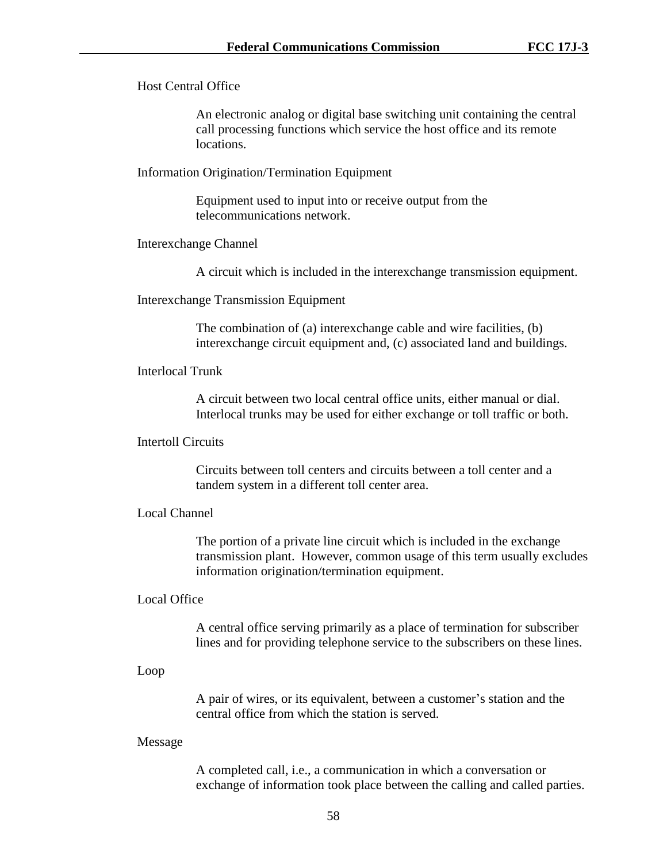Host Central Office

An electronic analog or digital base switching unit containing the central call processing functions which service the host office and its remote locations.

Information Origination/Termination Equipment

Equipment used to input into or receive output from the telecommunications network.

Interexchange Channel

A circuit which is included in the interexchange transmission equipment.

Interexchange Transmission Equipment

The combination of (a) interexchange cable and wire facilities, (b) interexchange circuit equipment and, (c) associated land and buildings.

Interlocal Trunk

A circuit between two local central office units, either manual or dial. Interlocal trunks may be used for either exchange or toll traffic or both.

### Intertoll Circuits

Circuits between toll centers and circuits between a toll center and a tandem system in a different toll center area.

### Local Channel

The portion of a private line circuit which is included in the exchange transmission plant. However, common usage of this term usually excludes information origination/termination equipment.

### Local Office

A central office serving primarily as a place of termination for subscriber lines and for providing telephone service to the subscribers on these lines.

### Loop

A pair of wires, or its equivalent, between a customer's station and the central office from which the station is served.

### Message

A completed call, i.e., a communication in which a conversation or exchange of information took place between the calling and called parties.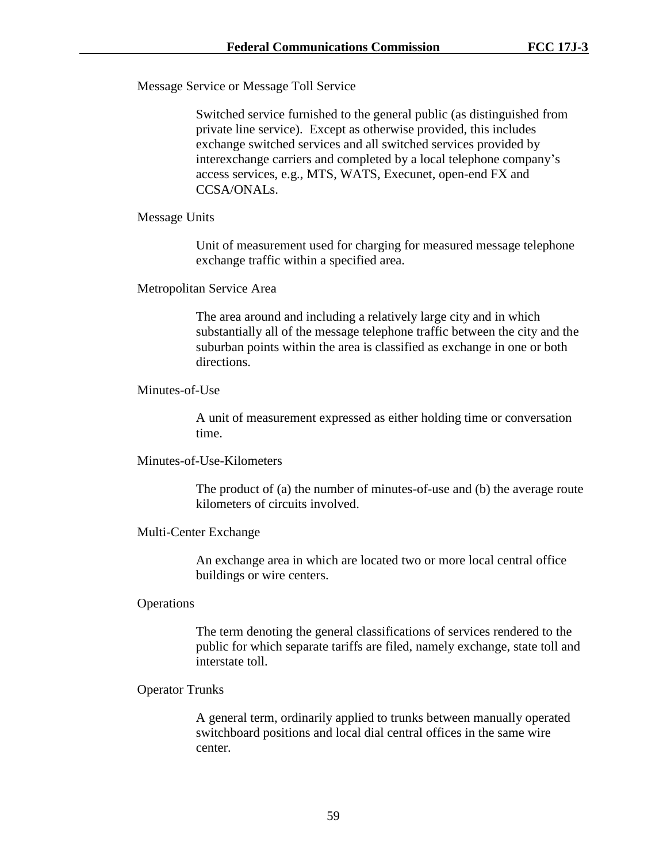Message Service or Message Toll Service

Switched service furnished to the general public (as distinguished from private line service). Except as otherwise provided, this includes exchange switched services and all switched services provided by interexchange carriers and completed by a local telephone company's access services, e.g., MTS, WATS, Execunet, open-end FX and CCSA/ONALs.

### Message Units

Unit of measurement used for charging for measured message telephone exchange traffic within a specified area.

### Metropolitan Service Area

The area around and including a relatively large city and in which substantially all of the message telephone traffic between the city and the suburban points within the area is classified as exchange in one or both directions.

#### Minutes-of-Use

A unit of measurement expressed as either holding time or conversation time.

## Minutes-of-Use-Kilometers

The product of (a) the number of minutes-of-use and (b) the average route kilometers of circuits involved.

### Multi-Center Exchange

An exchange area in which are located two or more local central office buildings or wire centers.

### **Operations**

The term denoting the general classifications of services rendered to the public for which separate tariffs are filed, namely exchange, state toll and interstate toll.

## Operator Trunks

A general term, ordinarily applied to trunks between manually operated switchboard positions and local dial central offices in the same wire center.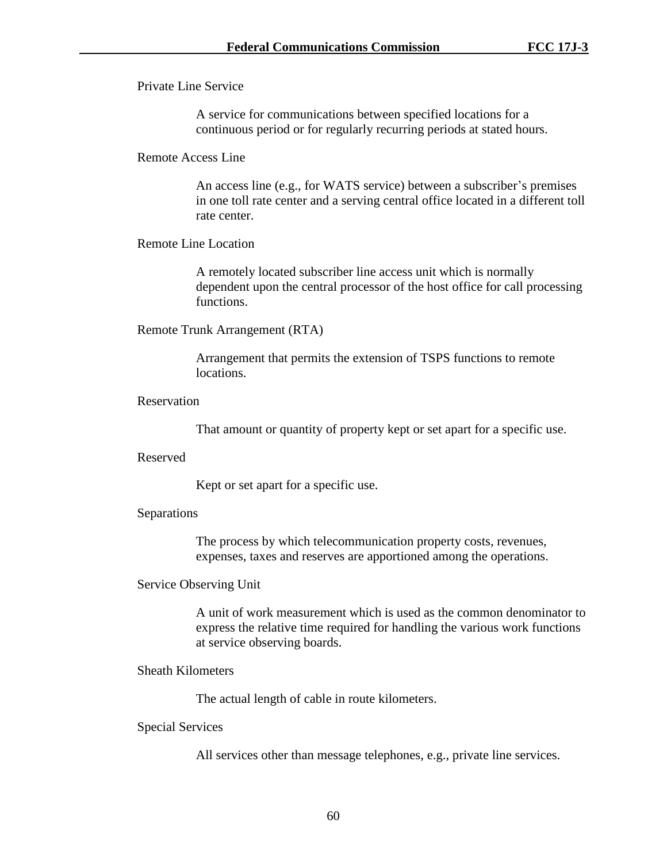Private Line Service

A service for communications between specified locations for a continuous period or for regularly recurring periods at stated hours.

### Remote Access Line

An access line (e.g., for WATS service) between a subscriber's premises in one toll rate center and a serving central office located in a different toll rate center.

### Remote Line Location

A remotely located subscriber line access unit which is normally dependent upon the central processor of the host office for call processing functions.

### Remote Trunk Arrangement (RTA)

Arrangement that permits the extension of TSPS functions to remote locations.

## Reservation

That amount or quantity of property kept or set apart for a specific use.

### Reserved

Kept or set apart for a specific use.

### Separations

The process by which telecommunication property costs, revenues, expenses, taxes and reserves are apportioned among the operations.

### Service Observing Unit

A unit of work measurement which is used as the common denominator to express the relative time required for handling the various work functions at service observing boards.

## Sheath Kilometers

The actual length of cable in route kilometers.

### Special Services

All services other than message telephones, e.g., private line services.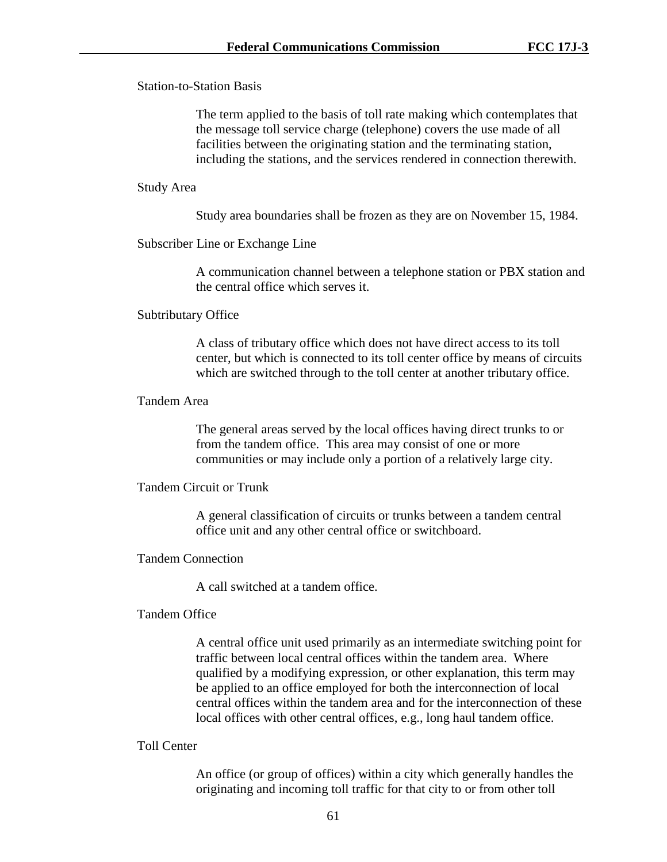Station-to-Station Basis

The term applied to the basis of toll rate making which contemplates that the message toll service charge (telephone) covers the use made of all facilities between the originating station and the terminating station, including the stations, and the services rendered in connection therewith.

### Study Area

Study area boundaries shall be frozen as they are on November 15, 1984.

## Subscriber Line or Exchange Line

A communication channel between a telephone station or PBX station and the central office which serves it.

### Subtributary Office

A class of tributary office which does not have direct access to its toll center, but which is connected to its toll center office by means of circuits which are switched through to the toll center at another tributary office.

## Tandem Area

The general areas served by the local offices having direct trunks to or from the tandem office. This area may consist of one or more communities or may include only a portion of a relatively large city.

### Tandem Circuit or Trunk

A general classification of circuits or trunks between a tandem central office unit and any other central office or switchboard.

### Tandem Connection

A call switched at a tandem office.

### Tandem Office

A central office unit used primarily as an intermediate switching point for traffic between local central offices within the tandem area. Where qualified by a modifying expression, or other explanation, this term may be applied to an office employed for both the interconnection of local central offices within the tandem area and for the interconnection of these local offices with other central offices, e.g., long haul tandem office.

## Toll Center

An office (or group of offices) within a city which generally handles the originating and incoming toll traffic for that city to or from other toll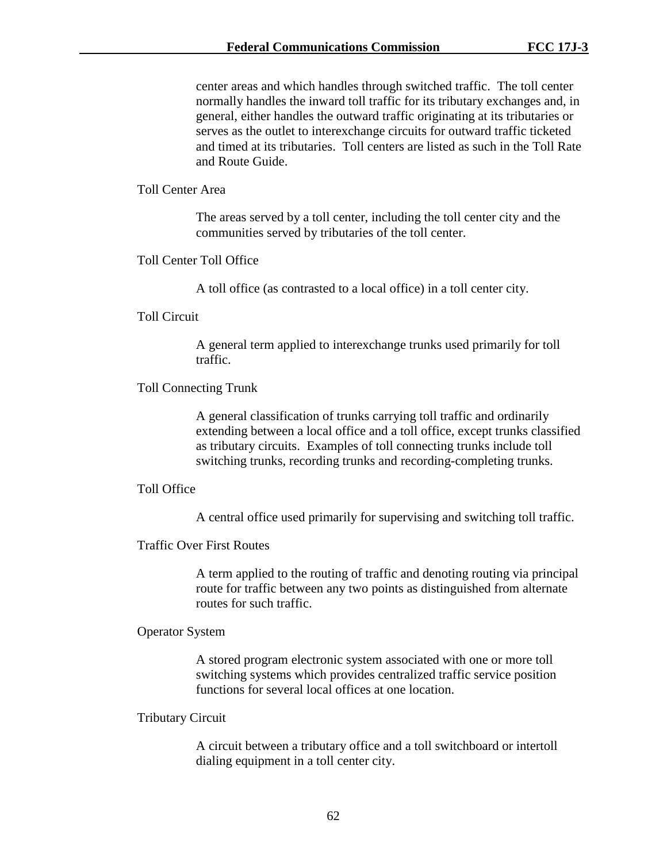center areas and which handles through switched traffic. The toll center normally handles the inward toll traffic for its tributary exchanges and, in general, either handles the outward traffic originating at its tributaries or serves as the outlet to interexchange circuits for outward traffic ticketed and timed at its tributaries. Toll centers are listed as such in the Toll Rate and Route Guide.

### Toll Center Area

The areas served by a toll center, including the toll center city and the communities served by tributaries of the toll center.

Toll Center Toll Office

A toll office (as contrasted to a local office) in a toll center city.

#### Toll Circuit

A general term applied to interexchange trunks used primarily for toll traffic.

### Toll Connecting Trunk

A general classification of trunks carrying toll traffic and ordinarily extending between a local office and a toll office, except trunks classified as tributary circuits. Examples of toll connecting trunks include toll switching trunks, recording trunks and recording-completing trunks.

#### Toll Office

A central office used primarily for supervising and switching toll traffic.

## Traffic Over First Routes

A term applied to the routing of traffic and denoting routing via principal route for traffic between any two points as distinguished from alternate routes for such traffic.

#### Operator System

A stored program electronic system associated with one or more toll switching systems which provides centralized traffic service position functions for several local offices at one location.

### Tributary Circuit

A circuit between a tributary office and a toll switchboard or intertoll dialing equipment in a toll center city.